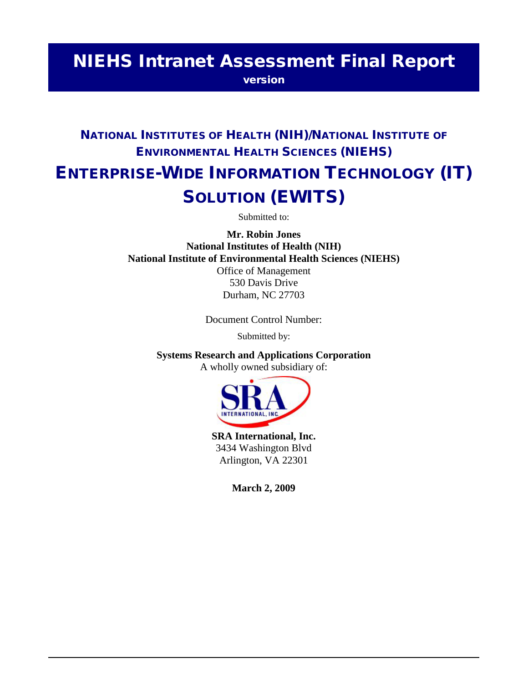# NIEHS Intranet Assessment Final Report

version

# NATIONAL INSTITUTES OF HEALTH (NIH)/NATIONAL INSTITUTE OF ENVIRONMENTAL HEALTH SCIENCES (NIEHS) ENTERPRISE-WIDE INFORMATION TECHNOLOGY (IT) SOLUTION (EWITS)

Submitted to:

**Mr. Robin Jones National Institutes of Health (NIH) National Institute of Environmental Health Sciences (NIEHS)** Office of Management

530 Davis Drive Durham, NC 27703

Document Control Number:

Submitted by:

**Systems Research and Applications Corporation** 

A wholly owned subsidiary of:



**SRA International, Inc.**  3434 Washington Blvd Arlington, VA 22301

**March 2, 2009**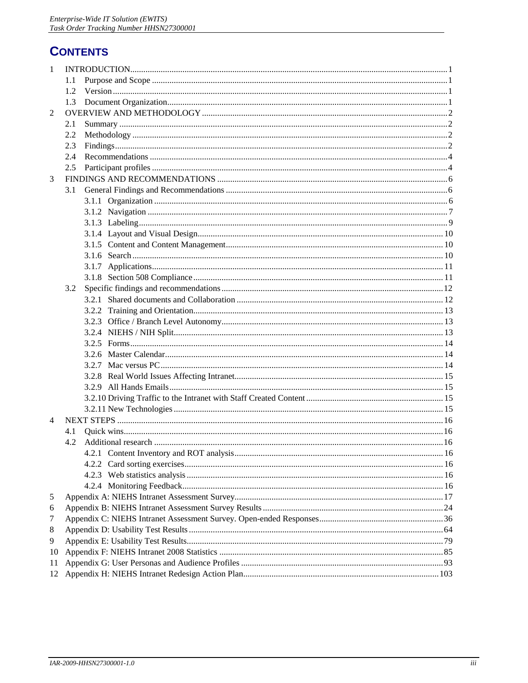# **CONTENTS**

| 1  |     |  |
|----|-----|--|
|    | 1.1 |  |
|    | 1.2 |  |
|    | 1.3 |  |
| 2  |     |  |
|    | 2.1 |  |
|    | 2.2 |  |
|    | 2.3 |  |
|    | 2.4 |  |
|    | 2.5 |  |
| 3  |     |  |
|    | 3.1 |  |
|    |     |  |
|    |     |  |
|    |     |  |
|    |     |  |
|    |     |  |
|    |     |  |
|    |     |  |
|    |     |  |
|    | 3.2 |  |
|    |     |  |
|    |     |  |
|    |     |  |
|    |     |  |
|    |     |  |
|    |     |  |
|    |     |  |
|    |     |  |
|    |     |  |
|    |     |  |
|    |     |  |
| 4  |     |  |
|    | 4.1 |  |
|    | 4.2 |  |
|    |     |  |
|    |     |  |
|    |     |  |
|    |     |  |
| 5  |     |  |
| 6  |     |  |
| 7  |     |  |
| 8  |     |  |
| 9  |     |  |
| 10 |     |  |
| 11 |     |  |
|    |     |  |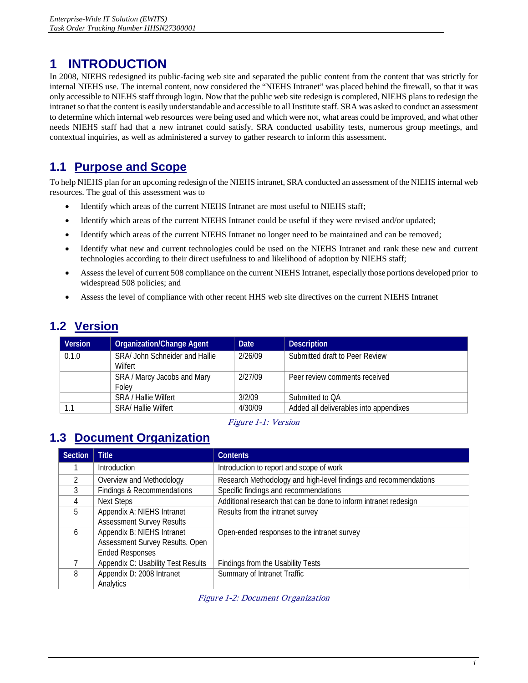# <span id="page-3-0"></span>**1 INTRODUCTION**

 In 2008, NIEHS redesigned its public-facing web site and separated the public content from the content that was strictly for internal NIEHS use. The internal content, now considered the "NIEHS Intranet" was placed behind the firewall, so that it was only accessible to NIEHS staff through login. Now that the public web site redesign is completed, NIEHS plans to redesign the intranet so that the content is easily understandable and accessible to all Institute staff. SRA was asked to conduct an assessment to determine which internal web resources were being used and which were not, what areas could be improved, and what other needs NIEHS staff had that a new intranet could satisfy. SRA conducted usability tests, numerous group meetings, and contextual inquiries, as well as administered a survey to gather research to inform this assessment.

# **1.1 Purpose and Scope**

 To help NIEHS plan for an upcoming redesign of the NIEHS intranet, SRA conducted an assessment of the NIEHS internal web resources. The goal of this assessment was to

- Identify which areas of the current NIEHS Intranet are most useful to NIEHS staff;
- Identify which areas of the current NIEHS Intranet could be useful if they were revised and/or updated;
- Identify which areas of the current NIEHS Intranet no longer need to be maintained and can be removed;
- Identify what new and current technologies could be used on the NIEHS Intranet and rank these new and current technologies according to their direct usefulness to and likelihood of adoption by NIEHS staff;
- Assess the level of current 508 compliance on the current NIEHS Intranet, especially those portions developed prior to widespread 508 policies; and
- Assess the level of compliance with other recent HHS web site directives on the current NIEHS Intranet

# **1.2 Version**

| <b>Version</b> | <b>Organization/Change Agent</b> | <b>Date</b> | <b>Description</b>                     |
|----------------|----------------------------------|-------------|----------------------------------------|
| 0.1.0          | SRA/John Schneider and Hallie    | 2/26/09     | Submitted draft to Peer Review         |
|                | Wilfert                          |             |                                        |
|                | SRA / Marcy Jacobs and Mary      | 2/27/09     | Peer review comments received          |
|                | Folev                            |             |                                        |
|                | <b>SRA / Hallie Wilfert</b>      | 3/2/09      | Submitted to OA                        |
|                | <b>SRA/ Hallie Wilfert</b>       | 4/30/09     | Added all deliverables into appendixes |

Figure 1-1: Version

# **1.3 Document Organization**

| <b>Section</b> | <b>Title</b>                       | <b>Contents</b>                                                  |  |
|----------------|------------------------------------|------------------------------------------------------------------|--|
|                | Introduction                       | Introduction to report and scope of work                         |  |
|                | Overview and Methodology           | Research Methodology and high-level findings and recommendations |  |
| 3              | Findings & Recommendations         | Specific findings and recommendations                            |  |
| 4              | <b>Next Steps</b>                  | Additional research that can be done to inform intranet redesign |  |
| 5              | Appendix A: NIEHS Intranet         | Results from the intranet survey                                 |  |
|                | <b>Assessment Survey Results</b>   |                                                                  |  |
| 6              | Appendix B: NIEHS Intranet         | Open-ended responses to the intranet survey                      |  |
|                | Assessment Survey Results. Open    |                                                                  |  |
|                | <b>Ended Responses</b>             |                                                                  |  |
|                | Appendix C: Usability Test Results | Findings from the Usability Tests                                |  |
| 8              | Appendix D: 2008 Intranet          | Summary of Intranet Traffic                                      |  |
|                | Analytics                          |                                                                  |  |

Figure 1-2: Document Organization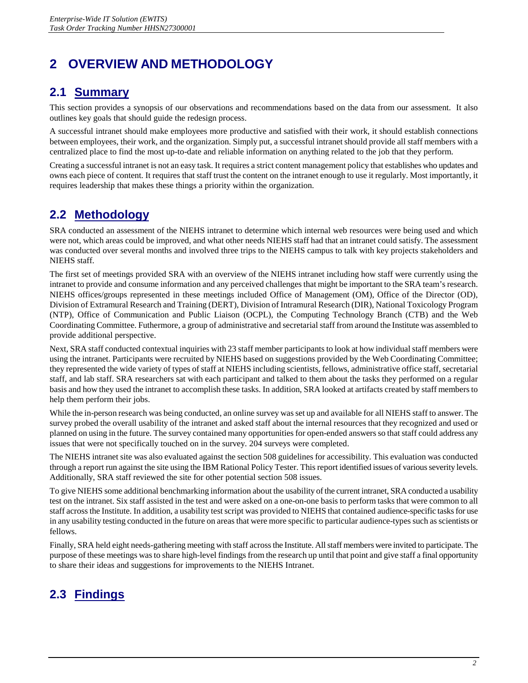# <span id="page-4-0"></span>**2 OVERVIEW AND METHODOLOGY**

# **2.1 Summary**

This section provides a synopsis of our observations and recommendations based on the data from our assessment. It also outlines key goals that should guide the redesign process.

 between employees, their work, and the organization. Simply put, a successful intranet should provide all staff members with a A successful intranet should make employees more productive and satisfied with their work, it should establish connections centralized place to find the most up-to-date and reliable information on anything related to the job that they perform.

 owns each piece of content. It requires that staff trust the content on the intranet enough to use it regularly. Most importantly, it Creating a successful intranet is not an easy task. It requires a strict content management policy that establishes who updates and requires leadership that makes these things a priority within the organization.

# **2.2 Methodology**

 SRA conducted an assessment of the NIEHS intranet to determine which internal web resources were being used and which were not, which areas could be improved, and what other needs NIEHS staff had that an intranet could satisfy. The assessment was conducted over several months and involved three trips to the NIEHS campus to talk with key projects stakeholders and NIEHS staff.

 The first set of meetings provided SRA with an overview of the NIEHS intranet including how staff were currently using the NIEHS offices/groups represented in these meetings included Office of Management (OM), Office of the Director (OD), Division of Extramural Research and Training (DERT), Division of Intramural Research (DIR), National Toxicology Program (NTP), Office of Communication and Public Liaison (OCPL), the Computing Technology Branch (CTB) and the Web intranet to provide and consume information and any perceived challenges that might be important to the SRA team's research. Coordinating Committee. Futhermore, a group of administrative and secretarial staff from around the Institute was assembled to provide additional perspective.

 staff, and lab staff. SRA researchers sat with each participant and talked to them about the tasks they performed on a regular Next, SRA staff conducted contextual inquiries with 23 staff member participants to look at how individual staff members were using the intranet. Participants were recruited by NIEHS based on suggestions provided by the Web Coordinating Committee; they represented the wide variety of types of staff at NIEHS including scientists, fellows, administrative office staff, secretarial basis and how they used the intranet to accomplish these tasks. In addition, SRA looked at artifacts created by staff members to help them perform their jobs.

 While the in-person research was being conducted, an online survey was set up and available for all NIEHS staff to answer. The survey probed the overall usability of the intranet and asked staff about the internal resources that they recognized and used or planned on using in the future. The survey contained many opportunities for open-ended answers so that staff could address any issues that were not specifically touched on in the survey. 204 surveys were completed.

 through a report run against the site using the IBM Rational Policy Tester. This report identified issues of various severity levels. The NIEHS intranet site was also evaluated against the section 508 guidelines for accessibility. This evaluation was conducted Additionally, SRA staff reviewed the site for other potential section 508 issues.

 To give NIEHS some additional benchmarking information about the usability of the current intranet, SRA conducted a usability in any usability testing conducted in the future on areas that were more specific to particular audience-types such as scientists or test on the intranet. Six staff assisted in the test and were asked on a one-on-one basis to perform tasks that were common to all staff across the Institute. In addition, a usability test script was provided to NIEHS that contained audience-specific tasks for use fellows.

 Finally, SRA held eight needs-gathering meeting with staff across the Institute. All staff members were invited to participate. The purpose of these meetings was to share high-level findings from the research up until that point and give staff a final opportunity to share their ideas and suggestions for improvements to the NIEHS Intranet.

# **2.3 Findings**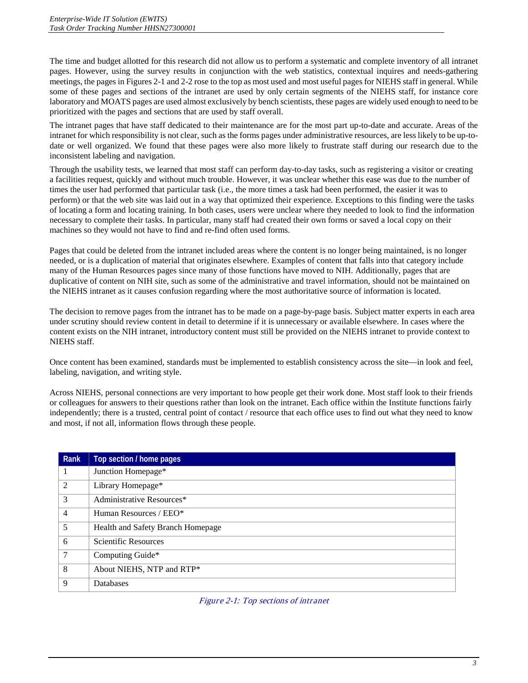The time and budget allotted for this research did not allow us to perform a systematic and complete inventory of all intranet pages. However, using the survey results in conjunction with the web statistics, contextual inquires and needs-gathering some of these pages and sections of the intranet are used by only certain segments of the NIEHS staff, for instance core laboratory and MOATS pages are used almost exclusively by bench scientists, these pages are widely used enough to need to be meetings, the pages in Figures 2-1 and 2-2 rose to the top as most used and most useful pages for NIEHS staff in general. While prioritized with the pages and sections that are used by staff overall.

inconsistent labeling and navigation. The intranet pages that have staff dedicated to their maintenance are for the most part up-to-date and accurate. Areas of the intranet for which responsibility is not clear, such as the forms pages under administrative resources, are less likely to be up-todate or well organized. We found that these pages were also more likely to frustrate staff during our research due to the

Through the usability tests, we learned that most staff can perform day-to-day tasks, such as registering a visitor or creating a facilities request, quickly and without much trouble. However, it was unclear whether this ease was due to the number of times the user had performed that particular task (i.e., the more times a task had been performed, the easier it was to perform) or that the web site was laid out in a way that optimized their experience. Exceptions to this finding were the tasks of locating a form and locating training. In both cases, users were unclear where they needed to look to find the information necessary to complete their tasks. In particular, many staff had created their own forms or saved a local copy on their machines so they would not have to find and re-find often used forms.

Pages that could be deleted from the intranet included areas where the content is no longer being maintained, is no longer needed, or is a duplication of material that originates elsewhere. Examples of content that falls into that category include many of the Human Resources pages since many of those functions have moved to NIH. Additionally, pages that are duplicative of content on NIH site, such as some of the administrative and travel information, should not be maintained on the NIEHS intranet as it causes confusion regarding where the most authoritative source of information is located.

The decision to remove pages from the intranet has to be made on a page-by-page basis. Subject matter experts in each area under scrutiny should review content in detail to determine if it is unnecessary or available elsewhere. In cases where the content exists on the NIH intranet, introductory content must still be provided on the NIEHS intranet to provide context to NIEHS staff.

Once content has been examined, standards must be implemented to establish consistency across the site—in look and feel, labeling, navigation, and writing style.

 independently; there is a trusted, central point of contact / resource that each office uses to find out what they need to know Across NIEHS, personal connections are very important to how people get their work done. Most staff look to their friends or colleagues for answers to their questions rather than look on the intranet. Each office within the Institute functions fairly and most, if not all, information flows through these people.

| Rank           | Top section / home pages          |
|----------------|-----------------------------------|
| 1              | Junction Homepage*                |
| 2              | Library Homepage*                 |
| 3              | Administrative Resources*         |
| $\overline{4}$ | Human Resources / EEO*            |
| 5              | Health and Safety Branch Homepage |
| 6              | <b>Scientific Resources</b>       |
| $\overline{7}$ | Computing Guide*                  |
| 8              | About NIEHS, NTP and RTP*         |
| 9              | Databases                         |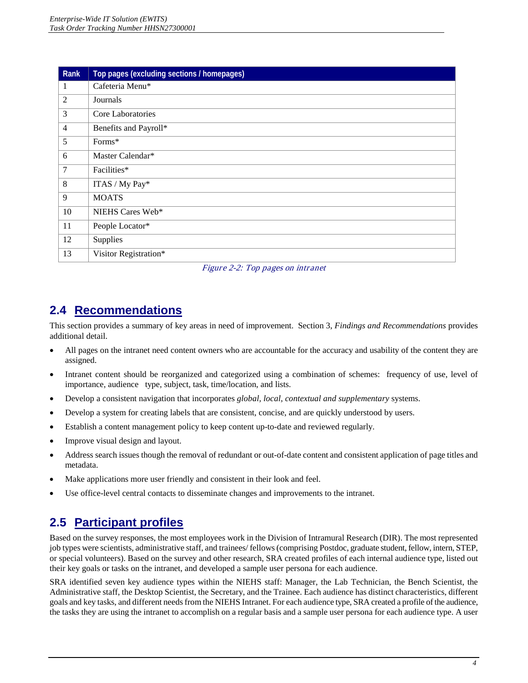<span id="page-6-0"></span>

| Rank           | Top pages (excluding sections / homepages) |
|----------------|--------------------------------------------|
| 1              | Cafeteria Menu*                            |
| $\overline{2}$ | Journals                                   |
| 3              | Core Laboratories                          |
| $\overline{4}$ | Benefits and Payroll*                      |
| 5              | Forms*                                     |
| 6              | Master Calendar*                           |
| 7              | Facilities*                                |
| 8              | ITAS / My Pay*                             |
| 9              | <b>MOATS</b>                               |
| 10             | NIEHS Cares Web*                           |
| 11             | People Locator*                            |
| 12             | Supplies                                   |
| 13             | Visitor Registration*                      |

Figure 2-2: Top pages on intranet

# **2.4 Recommendations**

This section provides a summary of key areas in need of improvement. Section 3, *Findings and Recommendations* provides additional detail.

- All pages on the intranet need content owners who are accountable for the accuracy and usability of the content they are assigned.
- • Intranet content should be reorganized and categorized using a combination of schemes: frequency of use, level of importance, audience type, subject, task, time/location, and lists.
- • Develop a consistent navigation that incorporates *global, local, contextual and supplementary* systems.
- Develop a system for creating labels that are consistent, concise, and are quickly understood by users.
- • Establish a content management policy to keep content up-to-date and reviewed regularly.
- Improve visual design and layout.
- Address search issues though the removal of redundant or out-of-date content and consistent application of page titles and metadata.
- Make applications more user friendly and consistent in their look and feel.
- Use office-level central contacts to disseminate changes and improvements to the intranet.

# **2.5 Participant profiles**

 or special volunteers). Based on the survey and other research, SRA created profiles of each internal audience type, listed out Based on the survey responses, the most employees work in the Division of Intramural Research (DIR). The most represented job types were scientists, administrative staff, and trainees/ fellows (comprising Postdoc, graduate student, fellow, intern, STEP, their key goals or tasks on the intranet, and developed a sample user persona for each audience.

 SRA identified seven key audience types within the NIEHS staff: Manager, the Lab Technician, the Bench Scientist, the Administrative staff, the Desktop Scientist, the Secretary, and the Trainee. Each audience has distinct characteristics, different goals and key tasks, and different needs from the NIEHS Intranet. For each audience type, SRA created a profile of the audience, the tasks they are using the intranet to accomplish on a regular basis and a sample user persona for each audience type. A user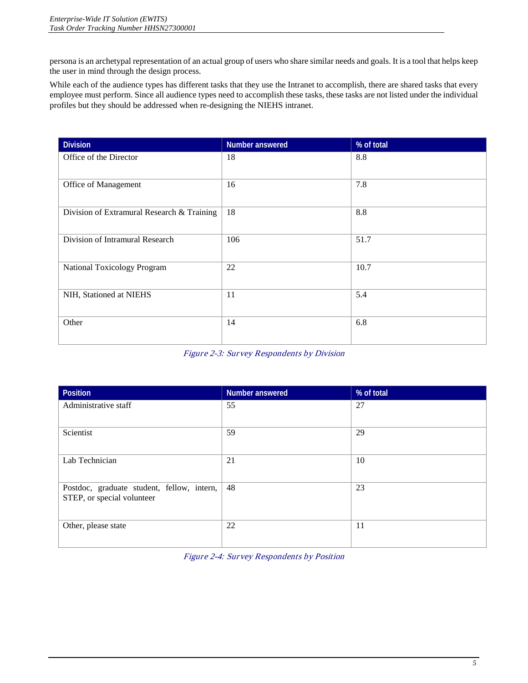<span id="page-7-0"></span>persona is an archetypal representation of an actual group of users who share similar needs and goals. It is a tool that helps keep the user in mind through the design process.

 While each of the audience types has different tasks that they use the Intranet to accomplish, there are shared tasks that every employee must perform. Since all audience types need to accomplish these tasks, these tasks are not listed under the individual profiles but they should be addressed when re-designing the NIEHS intranet.

| <b>Division</b>                            | Number answered | % of total |
|--------------------------------------------|-----------------|------------|
| Office of the Director                     | 18              | 8.8        |
|                                            |                 |            |
| Office of Management                       | 16              | 7.8        |
|                                            |                 |            |
| Division of Extramural Research & Training | 18              | 8.8        |
|                                            |                 |            |
| Division of Intramural Research            | 106             | 51.7       |
|                                            |                 |            |
| National Toxicology Program                | 22              | 10.7       |
|                                            |                 |            |
| NIH, Stationed at NIEHS                    | 11              | 5.4        |
|                                            |                 |            |
| Other                                      | 14              | 6.8        |
|                                            |                 |            |

Figure 2-3: Survey Respondents by Division

| Position                                   | Number answered | % of total |
|--------------------------------------------|-----------------|------------|
| Administrative staff                       | 55              | 27         |
|                                            |                 |            |
| Scientist                                  | 59              | 29         |
|                                            |                 |            |
| Lab Technician                             | 21              | 10         |
|                                            |                 |            |
| Postdoc, graduate student, fellow, intern, | 48              | 23         |
| STEP, or special volunteer                 |                 |            |
|                                            |                 |            |
| Other, please state                        | 22              | 11         |
|                                            |                 |            |

Figure 2-4: Survey Respondents by Position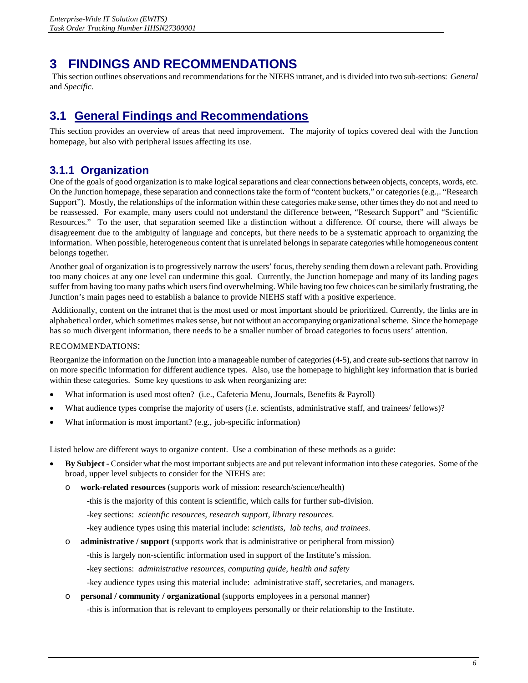# <span id="page-8-0"></span>**3 FINDINGS AND RECOMMENDATIONS**

This section outlines observations and recommendations for the NIEHS intranet, and is divided into two sub-sections: *General*  and *Specific.* 

# **3.1 General Findings and Recommendations**

This section provides an overview of areas that need improvement. The majority of topics covered deal with the Junction homepage, but also with peripheral issues affecting its use.

## **3.1.1 Organization**

 Support"). Mostly, the relationships of the information within these categories make sense, other times they do not and need to be reassessed. For example, many users could not understand the difference between, "Research Support" and "Scientific Resources." To the user, that separation seemed like a distinction without a difference. Of course, there will always be belongs together. One of the goals of good organization is to make logical separations and clear connections between objects, concepts, words, etc. On the Junction homepage, these separation and connections take the form of "content buckets," or categories (e.g.,. "Research disagreement due to the ambiguity of language and concepts, but there needs to be a systematic approach to organizing the information. When possible, heterogeneous content that is unrelated belongs in separate categories while homogeneous content

Junction's main pages need to establish a balance to provide NIEHS staff with a positive experience. Another goal of organization is to progressively narrow the users' focus, thereby sending them down a relevant path. Providing too many choices at any one level can undermine this goal. Currently, the Junction homepage and many of its landing pages suffer from having too many paths which users find overwhelming. While having too few choices can be similarly frustrating, the

Additionally, content on the intranet that is the most used or most important should be prioritized. Currently, the links are in alphabetical order, which sometimes makes sense, but not without an accompanying organizational scheme. Since the homepage has so much divergent information, there needs to be a smaller number of broad categories to focus users' attention.

#### RECOMMENDATIONS:

 on more specific information for different audience types. Also, use the homepage to highlight key information that is buried within these categories. Some key questions to ask when reorganizing are: Reorganize the information on the Junction into a manageable number of categories (4-5), and create sub-sections that narrow in

- What information is used most often? (i.e., Cafeteria Menu, Journals, Benefits & Payroll)
- What audience types comprise the majority of users (*i.e.* scientists, administrative staff, and trainees/ fellows)?
- What information is most important? (e.g., job-specific information)

Listed below are different ways to organize content. Use a combination of these methods as a guide:

- • **By Subject -** Consider what the most important subjects are and put relevant information into these categories. Some of the broad, upper level subjects to consider for the NIEHS are:
	- o **work-related resources** (supports work of mission: research/science/health)

-this is the majority of this content is scientific, which calls for further sub-division.

- -key sections: *scientific resources, research support, library resources*.
- -key audience types using this material include: *scientists, lab techs, and trainees*.
- o **administrative / support** (supports work that is administrative or peripheral from mission)

-this is largely non-scientific information used in support of the Institute's mission.

-key sections: *administrative resources, computing guide, health and safety*

-key audience types using this material include: administrative staff, secretaries, and managers.

o **personal / community / organizational** (supports employees in a personal manner)

-this is information that is relevant to employees personally or their relationship to the Institute.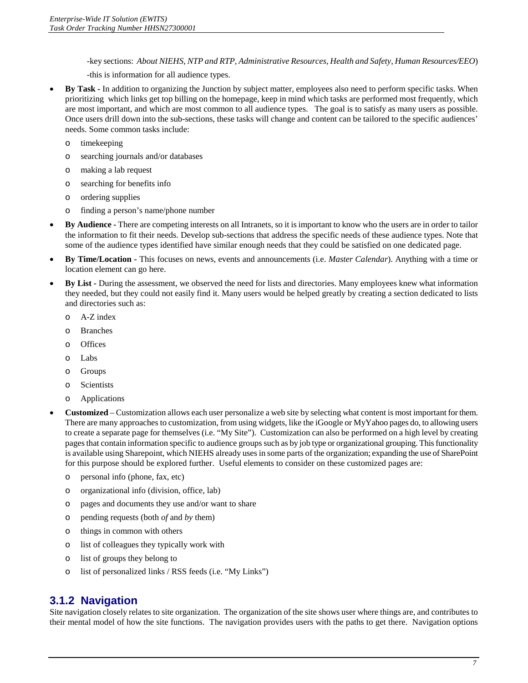-key sections: *About NIEHS, NTP and RTP*, *Administrative Resources*, *Health and Safety*, *Human Resources/EEO*)

-this is information for all audience types.

- <span id="page-9-0"></span> • **By Task -** In addition to organizing the Junction by subject matter, employees also need to perform specific tasks. When prioritizing which links get top billing on the homepage, keep in mind which tasks are performed most frequently, which are most important, and which are most common to all audience types. The goal is to satisfy as many users as possible. Once users drill down into the sub-sections, these tasks will change and content can be tailored to the specific audiences' needs. Some common tasks include:
	- o timekeeping
	- o searching journals and/or databases
	- o making a lab request
	- o searching for benefits info
	- o ordering supplies
	- o finding a person's name/phone number
- • **By Audience -** There are competing interests on all Intranets, so it is important to know who the users are in order to tailor the information to fit their needs. Develop sub-sections that address the specific needs of these audience types. Note that some of the audience types identified have similar enough needs that they could be satisfied on one dedicated page.
- • **By Time/Location -** This focuses on news, events and announcements (i.e. *Master Calendar*). Anything with a time or location element can go here.
- **By List -** During the assessment, we observed the need for lists and directories. Many employees knew what information they needed, but they could not easily find it. Many users would be helped greatly by creating a section dedicated to lists and directories such as:
	- o A-Z index
	- o Branches
	- o Offices
	- o Labs
	- o Groups
	- o Scientists
	- o Applications
- **Customized** Customization allows each user personalize a web site by selecting what content is most important for them. There are many approaches to customization, from using widgets, like the iGoogle or MyYahoo pages do, to allowing users to create a separate page for themselves (i.e. "My Site"). Customization can also be performed on a high level by creating pages that contain information specific to audience groups such as by job type or organizational grouping. This functionality is available using Sharepoint, which NIEHS already uses in some parts of the organization; expanding the use of SharePoint for this purpose should be explored further. Useful elements to consider on these customized pages are:
	- o personal info (phone, fax, etc)
	- o organizational info (division, office, lab)
	- o pages and documents they use and/or want to share
	- o pending requests (both *of* and *by* them)
	- o things in common with others
	- o list of colleagues they typically work with
	- o list of groups they belong to
	- o list of personalized links / RSS feeds (i.e. "My Links")

### **3.1.2 Navigation**

 Site navigation closely relates to site organization. The organization of the site shows user where things are, and contributes to their mental model of how the site functions. The navigation provides users with the paths to get there. Navigation options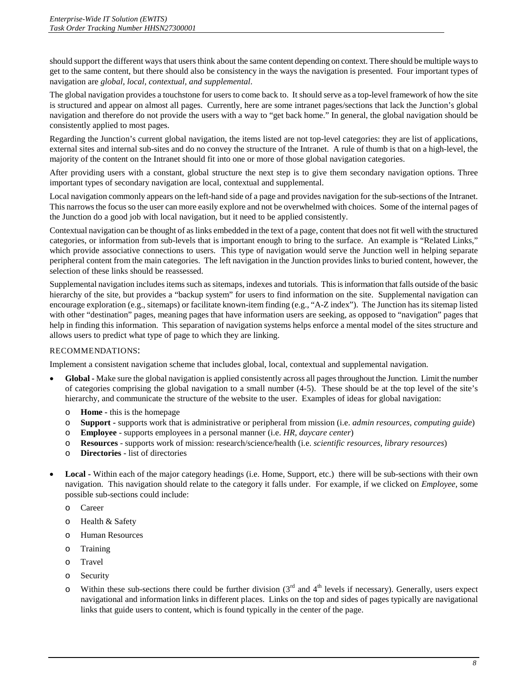should support the different ways that users think about the same content depending on context. There should be multiple ways to get to the same content, but there should also be consistency in the ways the navigation is presented. Four important types of navigation are *global, local, contextual, and supplemental*.

 The global navigation provides a touchstone for users to come back to. It should serve as a top-level framework of how the site navigation and therefore do not provide the users with a way to "get back home." In general, the global navigation should be consistently applied to most pages. is structured and appear on almost all pages. Currently, here are some intranet pages/sections that lack the Junction's global

 external sites and internal sub-sites and do no convey the structure of the Intranet. A rule of thumb is that on a high-level, the majority of the content on the Intranet should fit into one or more of those global navigation categories. Regarding the Junction's current global navigation, the items listed are not top-level categories: they are list of applications,

 After providing users with a constant, global structure the next step is to give them secondary navigation options. Three important types of secondary navigation are local, contextual and supplemental.

Local navigation commonly appears on the left-hand side of a page and provides navigation for the sub-sections of the Intranet.<br>This narrows the focus so the user can more easily explore and not be overwhelmed with choices This narrows the focus so the user can more easily explore and not be overwhelmed with choices. Some of the internal pages of the Junction do a good job with local navigation, but it need to be applied consistently.

 categories, or information from sub-levels that is important enough to bring to the surface. An example is "Related Links," which provide associative connections to users. This type of navigation would serve the Junction well in helping separate peripheral content from the main categories. The left navigation in the Junction provides links to buried content, however, the Contextual navigation can be thought of as links embedded in the text of a page, content that does not fit well with the structured selection of these links should be reassessed.

 Supplemental navigation includes items such as sitemaps, indexes and tutorials. This is information that falls outside of the basic encourage exploration (e.g., sitemaps) or facilitate known-item finding (e.g., "A-Z index"). The Junction has its sitemap listed help in finding this information. This separation of navigation systems helps enforce a mental model of the sites structure and hierarchy of the site, but provides a "backup system" for users to find information on the site. Supplemental navigation can with other "destination" pages, meaning pages that have information users are seeking, as opposed to "navigation" pages that allows users to predict what type of page to which they are linking.

#### RECOMMENDATIONS:

Implement a consistent navigation scheme that includes global, local, contextual and supplemental navigation.

- Global Make sure the global navigation is applied consistently across all pages throughout the Junction. Limit the number of categories comprising the global navigation to a small number (4-5). These should be at the top level of the site's hierarchy, and communicate the structure of the website to the user. Examples of ideas for global navigation:
	- o **Home -** this is the homepage
	- o **Support -** supports work that is administrative or peripheral from mission (i.e. *admin resources, computing guide*)
	- o **Employee**  supports employees in a personal manner (i.e. *HR, daycare center*)
	- o **Resources**  supports work of mission: research/science/health (i.e. *scientific resources, library resources*)
	- o **Directories**  list of directories
- Local Within each of the major category headings (i.e. Home, Support, etc.) there will be sub-sections with their own navigation. This navigation should relate to the category it falls under. For example, if we clicked on *Employee*, some possible sub-sections could include:
	- o Career
	- o Health & Safety
	- o Human Resources
	- o Training
	- o Travel
	- o Security
	- $\circ$  Within these sub-sections there could be further division (3<sup>rd</sup> and 4<sup>th</sup> levels if necessary). Generally, users expect navigational and information links in different places. Links on the top and sides of pages typically are navigational links that guide users to content, which is found typically in the center of the page.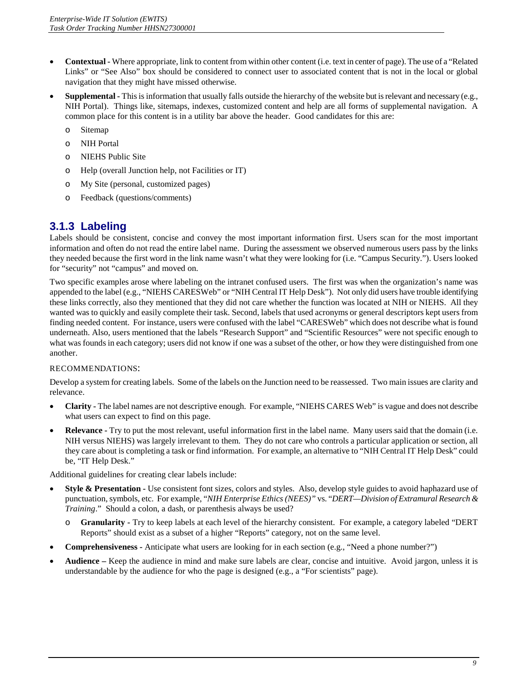- <span id="page-11-0"></span> • **Contextual -** Where appropriate, link to content from within other content (i.e. text in center of page). The use of a "Related Links" or "See Also" box should be considered to connect user to associated content that is not in the local or global navigation that they might have missed otherwise.
- Supplemental This is information that usually falls outside the hierarchy of the website but is relevant and necessary (e.g., NIH Portal). Things like, sitemaps, indexes, customized content and help are all forms of supplemental navigation. A common place for this content is in a utility bar above the header. Good candidates for this are:
	- o Sitemap
	- o NIH Portal
	- o NIEHS Public Site
	- o Help (overall Junction help, not Facilities or IT)
	- o My Site (personal, customized pages)
	- o Feedback (questions/comments)

### **3.1.3 Labeling**

 Labels should be consistent, concise and convey the most important information first. Users scan for the most important they needed because the first word in the link name wasn't what they were looking for (i.e. "Campus Security."). Users looked information and often do not read the entire label name. During the assessment we observed numerous users pass by the links for "security" not "campus" and moved on.

 these links correctly, also they mentioned that they did not care whether the function was located at NIH or NIEHS. All they finding needed content. For instance, users were confused with the label "CARESWeb" which does not describe what is found what was founds in each category; users did not know if one was a subset of the other, or how they were distinguished from one Two specific examples arose where labeling on the intranet confused users. The first was when the organization's name was appended to the label (e.g., "NIEHS CARESWeb" or "NIH Central IT Help Desk"). Not only did users have trouble identifying wanted was to quickly and easily complete their task. Second, labels that used acronyms or general descriptors kept users from underneath. Also, users mentioned that the labels "Research Support" and "Scientific Resources" were not specific enough to another.

#### RECOMMENDATIONS:

 Develop a system for creating labels. Some of the labels on the Junction need to be reassessed. Two main issues are clarity and relevance.

- **Clarity** The label names are not descriptive enough. For example, "NIEHS CARES Web" is vague and does not describe what users can expect to find on this page.
- **Relevance -** Try to put the most relevant, useful information first in the label name. Many users said that the domain (i.e. NIH versus NIEHS) was largely irrelevant to them. They do not care who controls a particular application or section, all they care about is completing a task or find information. For example, an alternative to "NIH Central IT Help Desk" could be, "IT Help Desk."

Additional guidelines for creating clear labels include:

- **Style & Presentation** Use consistent font sizes, colors and styles. Also, develop style guides to avoid haphazard use of punctuation, symbols, etc. For example, "*NIH Enterprise Ethics (NEES)"* vs. "*DERT—Division of Extramural Research & Training*." Should a colon, a dash, or parenthesis always be used?
	- o **Granularity -** Try to keep labels at each level of the hierarchy consistent. For example, a category labeled "DERT Reports" should exist as a subset of a higher "Reports" category, not on the same level.
- **Comprehensiveness** Anticipate what users are looking for in each section (e.g., "Need a phone number?")
- **Audience** Keep the audience in mind and make sure labels are clear, concise and intuitive. Avoid jargon, unless it is understandable by the audience for who the page is designed (e.g., a "For scientists" page).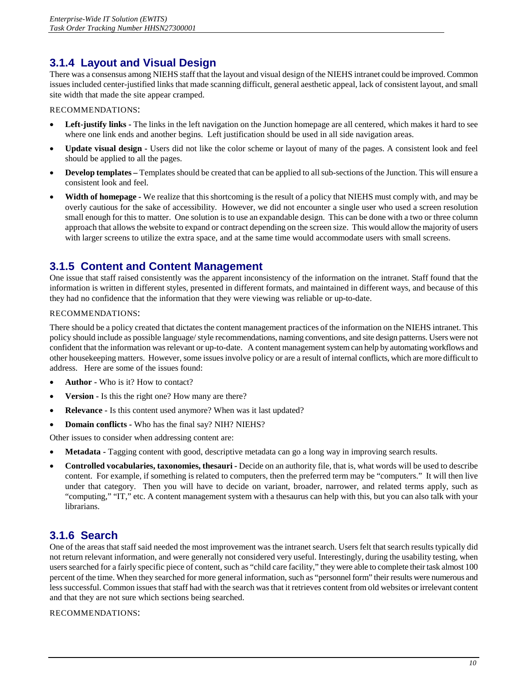## <span id="page-12-0"></span>**3.1.4 Layout and Visual Design**

 There was a consensus among NIEHS staff that the layout and visual design of the NIEHS intranet could be improved. Common issues included center-justified links that made scanning difficult, general aesthetic appeal, lack of consistent layout, and small site width that made the site appear cramped.

#### RECOMMENDATIONS:

- Left-justify links The links in the left navigation on the Junction homepage are all centered, which makes it hard to see where one link ends and another begins. Left justification should be used in all side navigation areas.
- • **Update visual design -** Users did not like the color scheme or layout of many of the pages. A consistent look and feel should be applied to all the pages.
- **Develop templates –** Templates should be created that can be applied to all sub-sections of the Junction. This will ensure a consistent look and feel.
- • **Width of homepage -** We realize that this shortcoming is the result of a policy that NIEHS must comply with, and may be overly cautious for the sake of accessibility. However, we did not encounter a single user who used a screen resolution small enough for this to matter. One solution is to use an expandable design. This can be done with a two or three column approach that allows the website to expand or contract depending on the screen size. This would allow the majority of users with larger screens to utilize the extra space, and at the same time would accommodate users with small screens.

### **3.1.5 Content and Content Management**

 One issue that staff raised consistently was the apparent inconsistency of the information on the intranet. Staff found that the information is written in different styles, presented in different formats, and maintained in different ways, and because of this they had no confidence that the information that they were viewing was reliable or up-to-date.

#### RECOMMENDATIONS:

 There should be a policy created that dictates the content management practices of the information on the NIEHS intranet. This policy should include as possible language/ style recommendations, naming conventions, and site design patterns. Users were not confident that the information was relevant or up-to-date. A content management system can help by automating workflows and other housekeeping matters. However, some issues involve policy or are a result of internal conflicts, which are more difficult to address. Here are some of the issues found:

- **Author -** Who is it? How to contact?
- **Version -** Is this the right one? How many are there?
- **Relevance -** Is this content used anymore? When was it last updated?
- **Domain conflicts -** Who has the final say? NIH? NIEHS?

Other issues to consider when addressing content are:

- • **Metadata -** Tagging content with good, descriptive metadata can go a long way in improving search results.
- **Controlled vocabularies, taxonomies, thesauri -** Decide on an authority file, that is, what words will be used to describe content. For example, if something is related to computers, then the preferred term may be "computers." It will then live under that category. Then you will have to decide on variant, broader, narrower, and related terms apply, such as "computing," "IT," etc. A content management system with a thesaurus can help with this, but you can also talk with your librarians.

### **3.1.6 Search**

 users searched for a fairly specific piece of content, such as "child care facility," they were able to complete their task almost 100 percent of the time. When they searched for more general information, such as "personnel form" their results were numerous and One of the areas that staff said needed the most improvement was the intranet search. Users felt that search results typically did not return relevant information, and were generally not considered very useful. Interestingly, during the usability testing, when less successful. Common issues that staff had with the search was that it retrieves content from old websites or irrelevant content and that they are not sure which sections being searched.

RECOMMENDATIONS: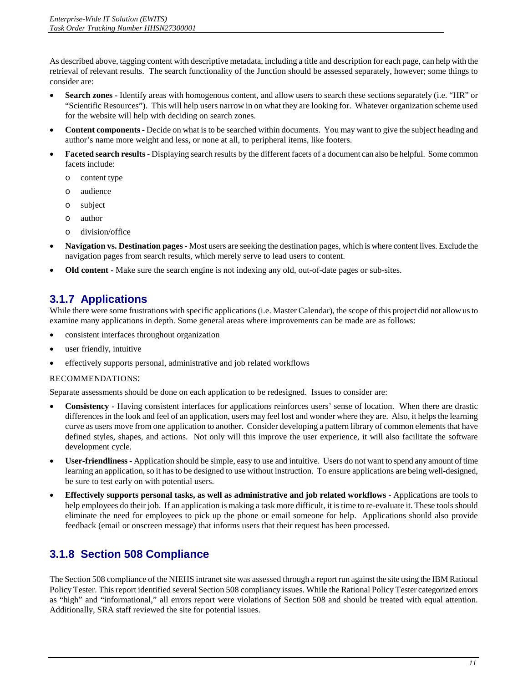<span id="page-13-0"></span>As described above, tagging content with descriptive metadata, including a title and description for each page, can help with the retrieval of relevant results. The search functionality of the Junction should be assessed separately, however; some things to consider are:

- Search zones Identify areas with homogenous content, and allow users to search these sections separately (i.e. "HR" or "Scientific Resources"). This will help users narrow in on what they are looking for. Whatever organization scheme used for the website will help with deciding on search zones.
- **Content components -** Decide on what is to be searched within documents. You may want to give the subject heading and author's name more weight and less, or none at all, to peripheral items, like footers.
- Faceted search results Displaying search results by the different facets of a document can also be helpful. Some common facets include:
	- o content type
	- o audience
	- o subject
	- o author
	- o division/office
- • **Navigation vs. Destination pages -** Most users are seeking the destination pages, which is where content lives. Exclude the navigation pages from search results, which merely serve to lead users to content.
- **Old content -** Make sure the search engine is not indexing any old, out-of-date pages or sub-sites.

# **3.1.7 Applications**

 While there were some frustrations with specific applications (i.e. Master Calendar), the scope of this project did not allow us to examine many applications in depth. Some general areas where improvements can be made are as follows:

- consistent interfaces throughout organization
- user friendly, intuitive
- effectively supports personal, administrative and job related workflows

#### RECOMMENDATIONS:

Separate assessments should be done on each application to be redesigned. Issues to consider are:

- **Consistency -** Having consistent interfaces for applications reinforces users' sense of location. When there are drastic differences in the look and feel of an application, users may feel lost and wonder where they are. Also, it helps the learning curve as users move from one application to another. Consider developing a pattern library of common elements that have defined styles, shapes, and actions. Not only will this improve the user experience, it will also facilitate the software development cycle.
- • **User-friendliness -** Application should be simple, easy to use and intuitive. Users do not want to spend any amount of time learning an application, so it has to be designed to use without instruction. To ensure applications are being well-designed, be sure to test early on with potential users.
- • **Effectively supports personal tasks, as well as administrative and job related workflows -** Applications are tools to help employees do their job. If an application is making a task more difficult, it is time to re-evaluate it. These tools should eliminate the need for employees to pick up the phone or email someone for help. Applications should also provide feedback (email or onscreen message) that informs users that their request has been processed.

# **3.1.8 Section 508 Compliance**

 The Section 508 compliance of the NIEHS intranet site was assessed through a report run against the site using the IBM Rational Policy Tester. This report identified several Section 508 compliancy issues. While the Rational Policy Tester categorized errors as "high" and "informational," all errors report were violations of Section 508 and should be treated with equal attention. Additionally, SRA staff reviewed the site for potential issues.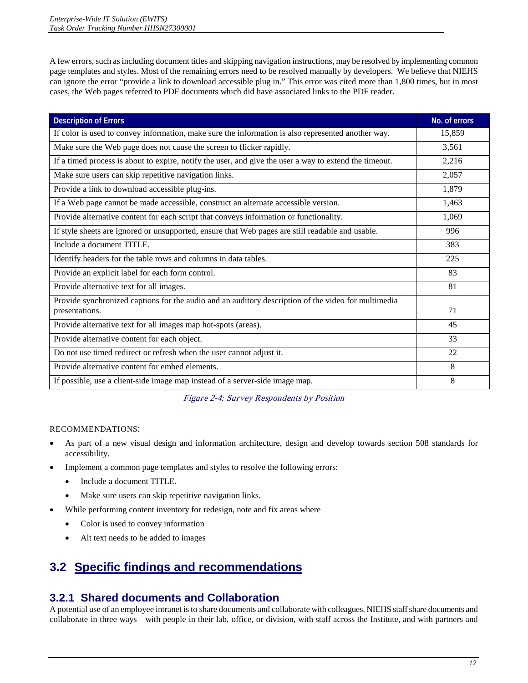A few errors, such as including document titles and skipping navigation instructions, may be resolved by implementing common page templates and styles. Most of the remaining errors need to be resolved manually by developers. We believe that NIEHS cases, the Web pages referred to PDF documents which did have associated links to the PDF reader. can ignore the error "provide a link to download accessible plug in." This error was cited more than 1,800 times, but in most

| <b>Description of Errors</b>                                                                           | No. of errors |
|--------------------------------------------------------------------------------------------------------|---------------|
| If color is used to convey information, make sure the information is also represented another way.     | 15,859        |
| Make sure the Web page does not cause the screen to flicker rapidly.                                   | 3,561         |
| If a timed process is about to expire, notify the user, and give the user a way to extend the timeout. | 2,216         |
| Make sure users can skip repetitive navigation links.                                                  | 2,057         |
| Provide a link to download accessible plug-ins.                                                        | 1,879         |
| If a Web page cannot be made accessible, construct an alternate accessible version.                    | 1,463         |
| Provide alternative content for each script that conveys information or functionality.                 | 1,069         |
| If style sheets are ignored or unsupported, ensure that Web pages are still readable and usable.       | 996           |
| Include a document TITLE.                                                                              | 383           |
| Identify headers for the table rows and columns in data tables.                                        | 225           |
| Provide an explicit label for each form control.                                                       | 83            |
| Provide alternative text for all images.                                                               | 81            |
| Provide synchronized captions for the audio and an auditory description of the video for multimedia    |               |
| presentations.                                                                                         | 71            |
| Provide alternative text for all images map hot-spots (areas).                                         | 45            |
| Provide alternative content for each object.                                                           | 33            |
| Do not use timed redirect or refresh when the user cannot adjust it.                                   | 22            |
| Provide alternative content for embed elements.                                                        | 8             |
| If possible, use a client-side image map instead of a server-side image map.                           | 8             |

Figure 2-4: Survey Respondents by Position

#### RECOMMENDATIONS:

- • As part of a new visual design and information architecture, design and develop towards section 508 standards for accessibility.
- Implement a common page templates and styles to resolve the following errors:
	- Include a document TITLE.
	- Make sure users can skip repetitive navigation links.
	- While performing content inventory for redesign, note and fix areas where
		- Color is used to convey information
		- Alt text needs to be added to images

# **3.2 Specific findings and recommendations**

### **3.2.1 Shared documents and Collaboration**

 A potential use of an employee intranet is to share documents and collaborate with colleagues. NIEHS staff share documents and collaborate in three ways—with people in their lab, office, or division, with staff across the Institute, and with partners and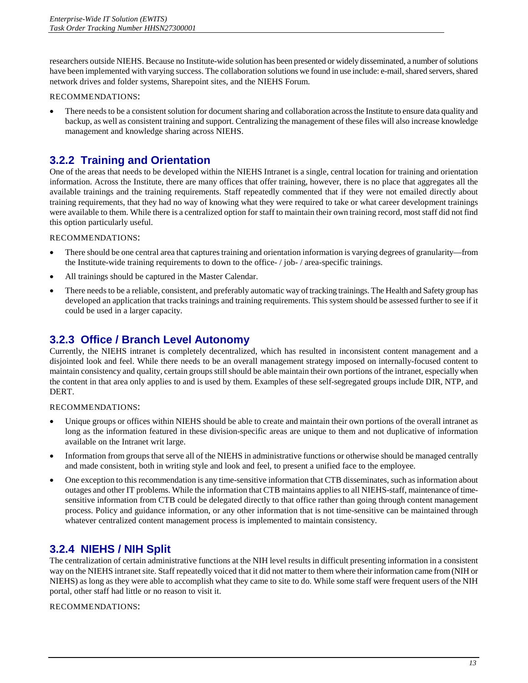<span id="page-15-0"></span> have been implemented with varying success. The collaboration solutions we found in use include: e-mail, shared servers, shared researchers outside NIEHS. Because no Institute-wide solution has been presented or widely disseminated, a number of solutions network drives and folder systems, Sharepoint sites, and the NIEHS Forum.

#### RECOMMENDATIONS:

• There needs to be a consistent solution for document sharing and collaboration across the Institute to ensure data quality and backup, as well as consistent training and support. Centralizing the management of these files will also increase knowledge management and knowledge sharing across NIEHS.

### **3.2.2 Training and Orientation**

 One of the areas that needs to be developed within the NIEHS Intranet is a single, central location for training and orientation were available to them. While there is a centralized option for staff to maintain their own training record, most staff did not find information. Across the Institute, there are many offices that offer training, however, there is no place that aggregates all the available trainings and the training requirements. Staff repeatedly commented that if they were not emailed directly about training requirements, that they had no way of knowing what they were required to take or what career development trainings this option particularly useful.

RECOMMENDATIONS:

- the Institute-wide training requirements to down to the office- / job- / area-specific trainings. • There should be one central area that captures training and orientation information is varying degrees of granularity—from
- All trainings should be captured in the Master Calendar.
- There needs to be a reliable, consistent, and preferably automatic way of tracking trainings. The Health and Safety group has developed an application that tracks trainings and training requirements. This system should be assessed further to see if it could be used in a larger capacity.

### **3.2.3 Office / Branch Level Autonomy**

 Currently, the NIEHS intranet is completely decentralized, which has resulted in inconsistent content management and a the content in that area only applies to and is used by them. Examples of these self-segregated groups include DIR, NTP, and disjointed look and feel. While there needs to be an overall management strategy imposed on internally-focused content to maintain consistency and quality, certain groups still should be able maintain their own portions of the intranet, especially when DERT.

RECOMMENDATIONS:

- • Unique groups or offices within NIEHS should be able to create and maintain their own portions of the overall intranet as long as the information featured in these division-specific areas are unique to them and not duplicative of information available on the Intranet writ large.
- and made consistent, both in writing style and look and feel, to present a unified face to the employee. • Information from groups that serve all of the NIEHS in administrative functions or otherwise should be managed centrally
- One exception to this recommendation is any time-sensitive information that CTB disseminates, such as information about outages and other IT problems. While the information that CTB maintains applies to all NIEHS-staff, maintenance of timesensitive information from CTB could be delegated directly to that office rather than going through content management process. Policy and guidance information, or any other information that is not time-sensitive can be maintained through whatever centralized content management process is implemented to maintain consistency.

### **3.2.4 NIEHS / NIH Split**

 The centralization of certain administrative functions at the NIH level results in difficult presenting information in a consistent way on the NIEHS intranet site. Staff repeatedly voiced that it did not matter to them where their information came from (NIH or NIEHS) as long as they were able to accomplish what they came to site to do. While some staff were frequent users of the NIH portal, other staff had little or no reason to visit it.

RECOMMENDATIONS: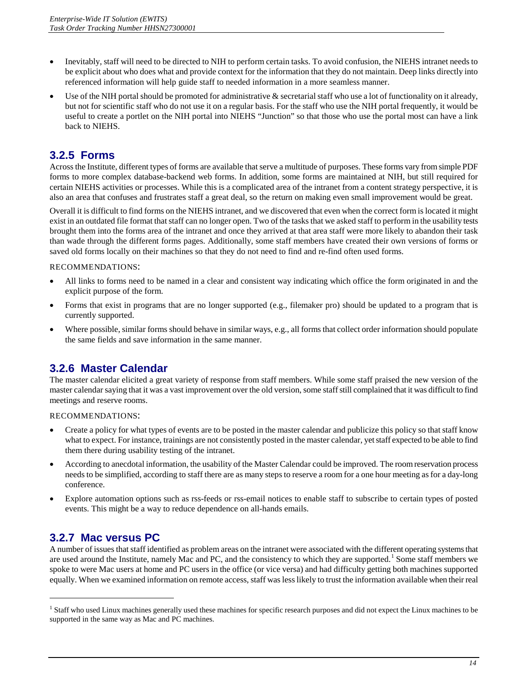- <span id="page-16-0"></span> • Inevitably, staff will need to be directed to NIH to perform certain tasks. To avoid confusion, the NIEHS intranet needs to be explicit about who does what and provide context for the information that they do not maintain. Deep links directly into referenced information will help guide staff to needed information in a more seamless manner.
- useful to create a portlet on the NIH portal into NIEHS "Junction" so that those who use the portal most can have a link Use of the NIH portal should be promoted for administrative  $\&$  secretarial staff who use a lot of functionality on it already, but not for scientific staff who do not use it on a regular basis. For the staff who use the NIH portal frequently, it would be back to NIEHS.

### **3.2.5 Forms**

Across the Institute, different types of forms are available that serve a multitude of purposes. These forms vary from simple PDF forms to more complex database-backend web forms. In addition, some forms are maintained at NIH, but still required for certain NIEHS activities or processes. While this is a complicated area of the intranet from a content strategy perspective, it is also an area that confuses and frustrates staff a great deal, so the return on making even small improvement would be great.

 Overall it is difficult to find forms on the NIEHS intranet, and we discovered that even when the correct form is located it might brought them into the forms area of the intranet and once they arrived at that area staff were more likely to abandon their task than wade through the different forms pages. Additionally, some staff members have created their own versions of forms or saved old forms locally on their machines so that they do not need to find and re-find often used forms. exist in an outdated file format that staff can no longer open. Two of the tasks that we asked staff to perform in the usability tests

#### RECOMMENDATIONS:

- All links to forms need to be named in a clear and consistent way indicating which office the form originated in and the explicit purpose of the form.
- Forms that exist in programs that are no longer supported (e.g., filemaker pro) should be updated to a program that is currently supported.
- Where possible, similar forms should behave in similar ways, e.g., all forms that collect order information should populate the same fields and save information in the same manner.

### **3.2.6 Master Calendar**

 The master calendar elicited a great variety of response from staff members. While some staff praised the new version of the master calendar saying that it was a vast improvement over the old version, some staff still complained that it was difficult to find meetings and reserve rooms.

RECOMMENDATIONS:

- • Create a policy for what types of events are to be posted in the master calendar and publicize this policy so that staff know what to expect. For instance, trainings are not consistently posted in the master calendar, yet staff expected to be able to find them there during usability testing of the intranet.
- According to anecdotal information, the usability of the Master Calendar could be improved. The room reservation process needs to be simplified, according to staff there are as many steps to reserve a room for a one hour meeting as for a day-long conference.
- • Explore automation options such as rss-feeds or rss-email notices to enable staff to subscribe to certain types of posted events. This might be a way to reduce dependence on all-hands emails.

### **3.2.7 Mac versus PC**

j

 spoke to were Mac users at home and PC users in the office (or vice versa) and had difficulty getting both machines supported A number of issues that staff identified as problem areas on the intranet were associated with the different operating systems that are used around the Institute, namely Mac and PC, and the consistency to which they are supported.<sup>1</sup> Some staff members we equally. When we examined information on remote access, staff was less likely to trust the information available when their real

<sup>&</sup>lt;sup>1</sup> Staff who used Linux machines generally used these machines for specific research purposes and did not expect the Linux machines to be supported in the same way as Mac and PC machines.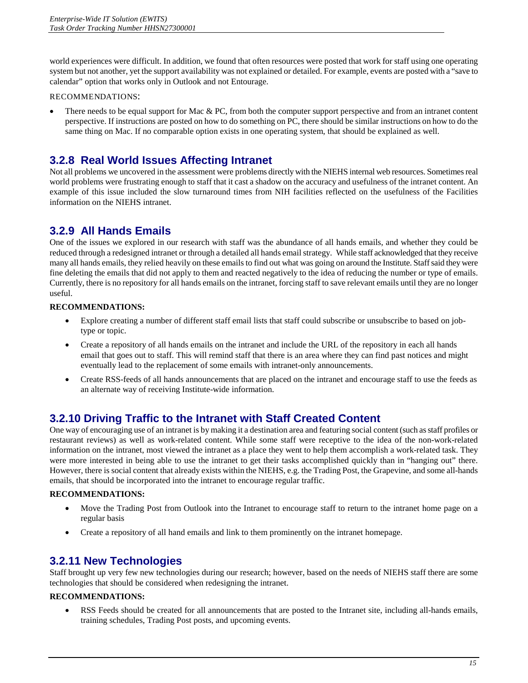<span id="page-17-0"></span> system but not another, yet the support availability was not explained or detailed. For example, events are posted with a "save to world experiences were difficult. In addition, we found that often resources were posted that work for staff using one operating calendar" option that works only in Outlook and not Entourage.

#### RECOMMENDATIONS:

 perspective. If instructions are posted on how to do something on PC, there should be similar instructions on how to do the There needs to be equal support for Mac  $& PC$ , from both the computer support perspective and from an intranet content same thing on Mac. If no comparable option exists in one operating system, that should be explained as well.

### **3.2.8 Real World Issues Affecting Intranet**

 Not all problems we uncovered in the assessment were problems directly with the NIEHS internal web resources. Sometimes real world problems were frustrating enough to staff that it cast a shadow on the accuracy and usefulness of the intranet content. An example of this issue included the slow turnaround times from NIH facilities reflected on the usefulness of the Facilities information on the NIEHS intranet.

### **3.2.9 All Hands Emails**

 reduced through a redesigned intranet or through a detailed all hands email strategy. While staff acknowledged that they receive many all hands emails, they relied heavily on these emails to find out what was going on around the Institute. Staff said they were fine deleting the emails that did not apply to them and reacted negatively to the idea of reducing the number or type of emails. One of the issues we explored in our research with staff was the abundance of all hands emails, and whether they could be Currently, there is no repository for all hands emails on the intranet, forcing staff to save relevant emails until they are no longer useful.

#### **RECOMMENDATIONS:**

- Explore creating a number of different staff email lists that staff could subscribe or unsubscribe to based on jobtype or topic.
- Create a repository of all hands emails on the intranet and include the URL of the repository in each all hands email that goes out to staff. This will remind staff that there is an area where they can find past notices and might eventually lead to the replacement of some emails with intranet-only announcements.
- Create RSS-feeds of all hands announcements that are placed on the intranet and encourage staff to use the feeds as an alternate way of receiving Institute-wide information.

### **3.2.10 Driving Traffic to the Intranet with Staff Created Content**

 One way of encouraging use of an intranet is by making it a destination area and featuring social content (such as staff profiles or restaurant reviews) as well as work-related content. While some staff were receptive to the idea of the non-work-related information on the intranet, most viewed the intranet as a place they went to help them accomplish a work-related task. They were more interested in being able to use the intranet to get their tasks accomplished quickly than in "hanging out" there. However, there is social content that already exists within the NIEHS, e.g. the Trading Post, the Grapevine, and some all-hands emails, that should be incorporated into the intranet to encourage regular traffic.

#### **RECOMMENDATIONS:**

- Move the Trading Post from Outlook into the Intranet to encourage staff to return to the intranet home page on a regular basis
- Create a repository of all hand emails and link to them prominently on the intranet homepage.

### **3.2.11 New Technologies**

Staff brought up very few new technologies during our research; however, based on the needs of NIEHS staff there are some technologies that should be considered when redesigning the intranet.

#### **RECOMMENDATIONS:**

RSS Feeds should be created for all announcements that are posted to the Intranet site, including all-hands emails, training schedules, Trading Post posts, and upcoming events.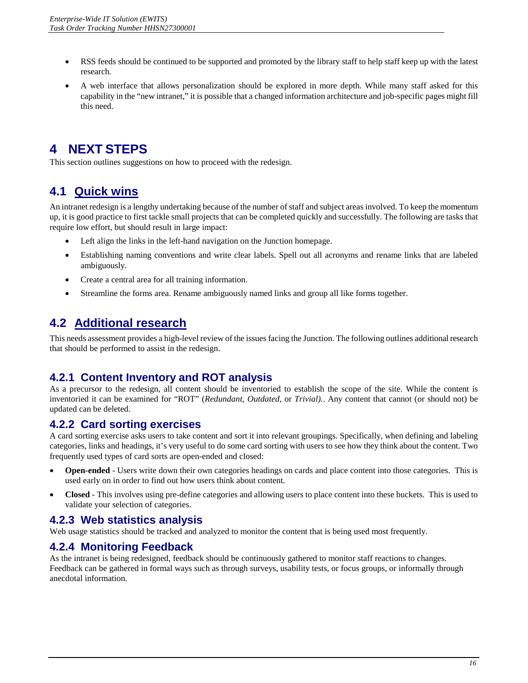- <span id="page-18-0"></span>• RSS feeds should be continued to be supported and promoted by the library staff to help staff keep up with the latest research.
- • A web interface that allows personalization should be explored in more depth. While many staff asked for this capability in the "new intranet," it is possible that a changed information architecture and job-specific pages might fill this need.

# **4 NEXT STEPS**

This section outlines suggestions on how to proceed with the redesign.

# **4.1 Quick wins**

An intranet redesign is a lengthy undertaking because of the number of staff and subject areas involved. To keep the momentum up, it is good practice to first tackle small projects that can be completed quickly and successfully. The following are tasks that require low effort, but should result in large impact:

- Left align the links in the left-hand navigation on the Junction homepage.
- • Establishing naming conventions and write clear labels. Spell out all acronyms and rename links that are labeled ambiguously.
- • Create a central area for all training information.
- Streamline the forms area. Rename ambiguously named links and group all like forms together.

# **4.2 Additional research**

 This needs assessment provides a high-level review of the issues facing the Junction. The following outlines additional research that should be performed to assist in the redesign.

### **4.2.1 Content Inventory and ROT analysis**

 As a precursor to the redesign, all content should be inventoried to establish the scope of the site. While the content is inventoried it can be examined for "ROT" (*Redundant*, *Outdated*, or *Trivial).*. Any content that cannot (or should not) be updated can be deleted.

### **4.2.2 Card sorting exercises**

 A card sorting exercise asks users to take content and sort it into relevant groupings. Specifically, when defining and labeling categories, links and headings, it's very useful to do some card sorting with users to see how they think about the content. Two frequently used types of card sorts are open-ended and closed:

- **Open-ended** Users write down their own categories headings on cards and place content into those categories. This is used early on in order to find out how users think about content.
- **Closed** This involves using pre-define categories and allowing users to place content into these buckets. This is used to validate your selection of categories.

### **4.2.3 Web statistics analysis**

Web usage statistics should be tracked and analyzed to monitor the content that is being used most frequently.

### **4.2.4 Monitoring Feedback**

As the intranet is being redesigned, feedback should be continuously gathered to monitor staff reactions to changes. Feedback can be gathered in formal ways such as through surveys, usability tests, or focus groups, or informally through anecdotal information.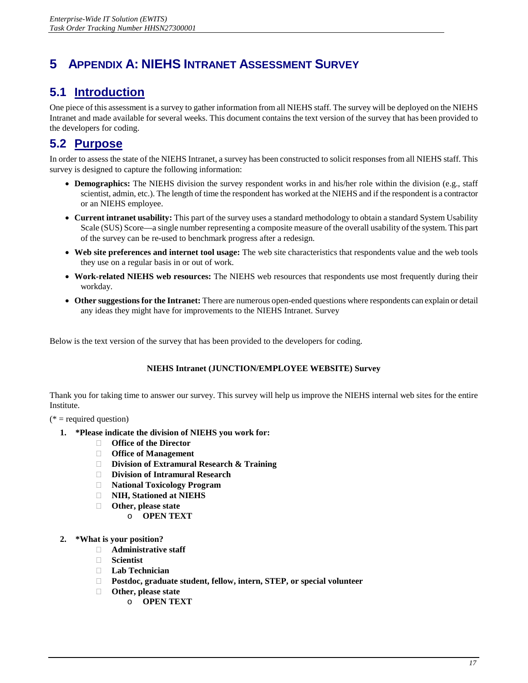# <span id="page-19-0"></span>**5 APPENDIX A: NIEHS INTRANET ASSESSMENT SURVEY**

# **5.1 Introduction**

 Intranet and made available for several weeks. This document contains the text version of the survey that has been provided to One piece of this assessment is a survey to gather information from all NIEHS staff. The survey will be deployed on the NIEHS the developers for coding.

# **5.2 Purpose**

 In order to assess the state of the NIEHS Intranet, a survey has been constructed to solicit responses from all NIEHS staff. This survey is designed to capture the following information:

- • **Demographics:** The NIEHS division the survey respondent works in and his/her role within the division (e.g., staff scientist, admin, etc.). The length of time the respondent has worked at the NIEHS and if the respondent is a contractor or an NIEHS employee.
- • **Current intranet usability:** This part of the survey uses a standard methodology to obtain a standard System Usability Scale (SUS) Score—a single number representing a composite measure of the overall usability of the system. This part of the survey can be re-used to benchmark progress after a redesign.
- • **Web site preferences and internet tool usage:** The web site characteristics that respondents value and the web tools they use on a regular basis in or out of work.
- • **Work-related NIEHS web resources:** The NIEHS web resources that respondents use most frequently during their workday.
- • **Other suggestions for the Intranet:** There are numerous open-ended questions where respondents can explain or detail any ideas they might have for improvements to the NIEHS Intranet. Survey

Below is the text version of the survey that has been provided to the developers for coding.

#### **NIEHS Intranet (JUNCTION/EMPLOYEE WEBSITE) Survey**

Thank you for taking time to answer our survey. This survey will help us improve the NIEHS internal web sites for the entire Institute.

 $(* = required question)$ 

- **1. \*Please indicate the division of NIEHS you work for:** 
	- **Office of the Director**
	- **Office of Management**
	- **Division of Extramural Research & Training**
	- **Division of Intramural Research**
	- **National Toxicology Program**
	- **NIH, Stationed at NIEHS**
	- **Other, please state** 
		- o **OPEN TEXT**
- **2. \*What is your position?** 
	- **Administrative staff**
	- **Scientist**
	- **Lab Technician**
	- **Postdoc, graduate student, fellow, intern, STEP, or special volunteer**
	- **Other, please state** 
		- o **OPEN TEXT**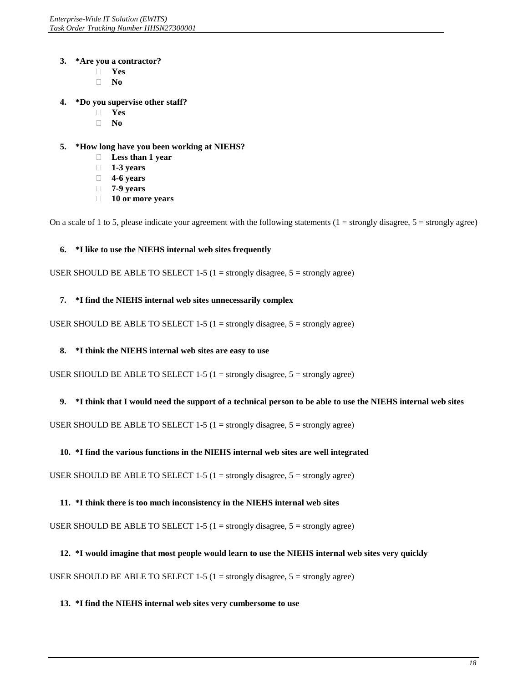#### **3. \*Are you a contractor?**

- **Yes**
- **No**
- **4. \*Do you supervise other staff?**
	- **Yes**
	- **No**

#### **5. \*How long have you been working at NIEHS?**

- **Less than 1 year**
- **1-3 years**
- **4-6 years**
- **7-9 years**
- **10 or more years**

On a scale of 1 to 5, please indicate your agreement with the following statements  $(1 =$  strongly disagree,  $5 =$  strongly agree)

#### **6. \*I like to use the NIEHS internal web sites frequently**

USER SHOULD BE ABLE TO SELECT 1-5 (1 = strongly disagree,  $5$  = strongly agree)

#### **7. \*I find the NIEHS internal web sites unnecessarily complex**

USER SHOULD BE ABLE TO SELECT 1-5 (1 = strongly disagree,  $5$  = strongly agree)

#### **8. \*I think the NIEHS internal web sites are easy to use**

USER SHOULD BE ABLE TO SELECT 1-5 (1 = strongly disagree,  $5$  = strongly agree)

#### **9. \*I think that I would need the support of a technical person to be able to use the NIEHS internal web sites**

USER SHOULD BE ABLE TO SELECT 1-5 (1 = strongly disagree,  $5$  = strongly agree)

#### **10. \*I find the various functions in the NIEHS internal web sites are well integrated**

USER SHOULD BE ABLE TO SELECT  $1-5$  ( $1 =$  strongly disagree,  $5 =$  strongly agree)

#### **11. \*I think there is too much inconsistency in the NIEHS internal web sites**

USER SHOULD BE ABLE TO SELECT 1-5 (1 = strongly disagree,  $5$  = strongly agree)

#### **12. \*I would imagine that most people would learn to use the NIEHS internal web sites very quickly**

USER SHOULD BE ABLE TO SELECT 1-5 (1 = strongly disagree,  $5$  = strongly agree)

#### **13. \*I find the NIEHS internal web sites very cumbersome to use**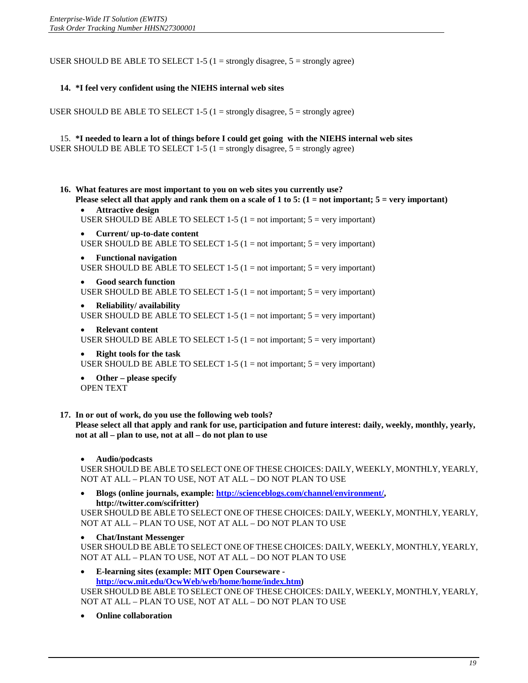USER SHOULD BE ABLE TO SELECT 1-5 (1 = strongly disagree,  $5$  = strongly agree)

#### **14. \*I feel very confident using the NIEHS internal web sites**

USER SHOULD BE ABLE TO SELECT  $1-5$  ( $1 =$  strongly disagree,  $5 =$  strongly agree)

 15. **\*I needed to learn a lot of things before I could get going with the NIEHS internal web sites** USER SHOULD BE ABLE TO SELECT  $1-5$  ( $1 =$  strongly disagree,  $5 =$  strongly agree)

- **16. What features are most important to you on web sites you currently use?**
	- **Please select all that apply and rank them on a scale of 1 to 5: (1 = not important; 5 = very important) Attractive design**
	- USER SHOULD BE ABLE TO SELECT 1-5 (1 = not important;  $5 = \text{very important}$ )
	- Current/ up-to-date content USER SHOULD BE ABLE TO SELECT 1-5 (1 = not important;  $5 = \text{very important}$ )
	- **Functional navigation** USER SHOULD BE ABLE TO SELECT 1-5 (1 = not important;  $5 = \text{very important}$ )
	- **Good search function** USER SHOULD BE ABLE TO SELECT 1-5 (1 = not important;  $5 = \text{very important}$ )
	- • **Reliability/ availability**  USER SHOULD BE ABLE TO SELECT 1-5 (1 = not important;  $5 = \text{very important}$ )
	- • **Relevant content**
	- USER SHOULD BE ABLE TO SELECT 1-5 (1 = not important;  $5 = \text{very important}$ )
	- **Right tools for the task** USER SHOULD BE ABLE TO SELECT 1-5 (1 = not important;  $5 = \text{very important}$ )

• **Other – please specify**  OPEN TEXT

**17. In or out of work, do you use the following web tools?** 

**Please select all that apply and rank for use, participation and future interest: daily, weekly, monthly, yearly, not at all – plan to use, not at all – do not plan to use** 

 • **Audio/podcasts** 

USER SHOULD BE ABLE TO SELECT ONE OF THESE CHOICES: DAILY, WEEKLY, MONTHLY, YEARLY, NOT AT ALL – PLAN TO USE, NOT AT ALL – DO NOT PLAN TO USE

• **Blogs (online journals, example: [http://scienceblogs.com/channel/environment/,](http://scienceblogs.com/channel/environment/)  http://twitter.com/scifritter)**

USER SHOULD BE ABLE TO SELECT ONE OF THESE CHOICES: DAILY, WEEKLY, MONTHLY, YEARLY, NOT AT ALL – PLAN TO USE, NOT AT ALL – DO NOT PLAN TO USE

• **Chat/Instant Messenger** 

USER SHOULD BE ABLE TO SELECT ONE OF THESE CHOICES: DAILY, WEEKLY, MONTHLY, YEARLY, NOT AT ALL – PLAN TO USE, NOT AT ALL – DO NOT PLAN TO USE

**E-learning sites (example: MIT Open Courseware [http://ocw.mit.edu/OcwWeb/web/home/home/index.htm\)](http://ocw.mit.edu/OcwWeb/web/home/home/index.htm)**

USER SHOULD BE ABLE TO SELECT ONE OF THESE CHOICES: DAILY, WEEKLY, MONTHLY, YEARLY, NOT AT ALL – PLAN TO USE, NOT AT ALL – DO NOT PLAN TO USE

**Online collaboration**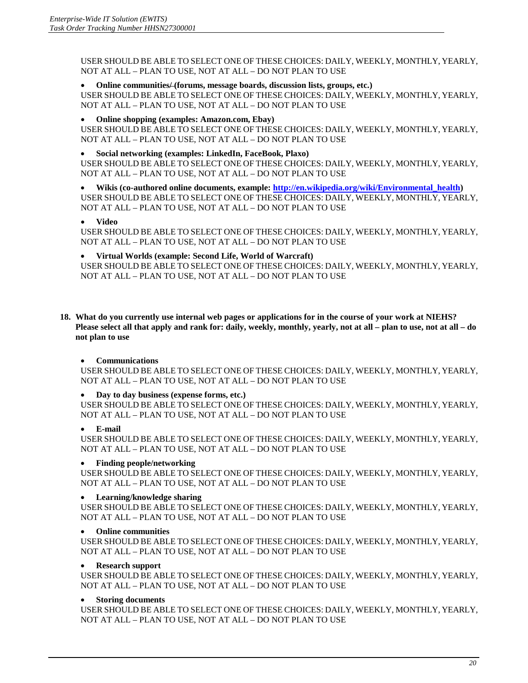USER SHOULD BE ABLE TO SELECT ONE OF THESE CHOICES: DAILY, WEEKLY, MONTHLY, YEARLY, NOT AT ALL – PLAN TO USE, NOT AT ALL – DO NOT PLAN TO USE

• **Online communities/ (forums, message boards, discussion lists, groups, etc.)** 

USER SHOULD BE ABLE TO SELECT ONE OF THESE CHOICES: DAILY, WEEKLY, MONTHLY, YEARLY, NOT AT ALL – PLAN TO USE, NOT AT ALL – DO NOT PLAN TO USE

• **Online shopping (examples: Amazon.com, Ebay)** 

USER SHOULD BE ABLE TO SELECT ONE OF THESE CHOICES: DAILY, WEEKLY, MONTHLY, YEARLY, NOT AT ALL – PLAN TO USE, NOT AT ALL – DO NOT PLAN TO USE

#### • **Social networking (examples: LinkedIn, FaceBook, Plaxo)**

USER SHOULD BE ABLE TO SELECT ONE OF THESE CHOICES: DAILY, WEEKLY, MONTHLY, YEARLY, NOT AT ALL – PLAN TO USE, NOT AT ALL – DO NOT PLAN TO USE

• **Wikis (co-authored online documents, example: [http://en.wikipedia.org/wiki/Environmental\\_health\)](http://en.wikipedia.org/wiki/Environmental_health)**  USER SHOULD BE ABLE TO SELECT ONE OF THESE CHOICES: DAILY, WEEKLY, MONTHLY, YEARLY, NOT AT ALL – PLAN TO USE, NOT AT ALL – DO NOT PLAN TO USE

• **Video** 

USER SHOULD BE ABLE TO SELECT ONE OF THESE CHOICES: DAILY, WEEKLY, MONTHLY, YEARLY, NOT AT ALL – PLAN TO USE, NOT AT ALL – DO NOT PLAN TO USE

#### • **Virtual Worlds (example: Second Life, World of Warcraft)**

USER SHOULD BE ABLE TO SELECT ONE OF THESE CHOICES: DAILY, WEEKLY, MONTHLY, YEARLY, NOT AT ALL – PLAN TO USE, NOT AT ALL – DO NOT PLAN TO USE

**18. What do you currently use internal web pages or applications for in the course of your work at NIEHS? Please select all that apply and rank for: daily, weekly, monthly, yearly, not at all – plan to use, not at all – do not plan to use** 

#### • **Communications**

USER SHOULD BE ABLE TO SELECT ONE OF THESE CHOICES: DAILY, WEEKLY, MONTHLY, YEARLY, NOT AT ALL – PLAN TO USE, NOT AT ALL – DO NOT PLAN TO USE

#### • **Day to day business (expense forms, etc.)**

USER SHOULD BE ABLE TO SELECT ONE OF THESE CHOICES: DAILY, WEEKLY, MONTHLY, YEARLY, NOT AT ALL – PLAN TO USE, NOT AT ALL – DO NOT PLAN TO USE

#### • **E-mail**

USER SHOULD BE ABLE TO SELECT ONE OF THESE CHOICES: DAILY, WEEKLY, MONTHLY, YEARLY, NOT AT ALL – PLAN TO USE, NOT AT ALL – DO NOT PLAN TO USE

#### • **Finding people/networking**

USER SHOULD BE ABLE TO SELECT ONE OF THESE CHOICES: DAILY, WEEKLY, MONTHLY, YEARLY, NOT AT ALL – PLAN TO USE, NOT AT ALL – DO NOT PLAN TO USE

#### • **Learning/knowledge sharing**

USER SHOULD BE ABLE TO SELECT ONE OF THESE CHOICES: DAILY, WEEKLY, MONTHLY, YEARLY, NOT AT ALL – PLAN TO USE, NOT AT ALL – DO NOT PLAN TO USE

#### • **Online communities**

USER SHOULD BE ABLE TO SELECT ONE OF THESE CHOICES: DAILY, WEEKLY, MONTHLY, YEARLY, NOT AT ALL – PLAN TO USE, NOT AT ALL – DO NOT PLAN TO USE

#### • **Research support**

USER SHOULD BE ABLE TO SELECT ONE OF THESE CHOICES: DAILY, WEEKLY, MONTHLY, YEARLY, NOT AT ALL – PLAN TO USE, NOT AT ALL – DO NOT PLAN TO USE

#### • **Storing documents**

USER SHOULD BE ABLE TO SELECT ONE OF THESE CHOICES: DAILY, WEEKLY, MONTHLY, YEARLY, NOT AT ALL – PLAN TO USE, NOT AT ALL – DO NOT PLAN TO USE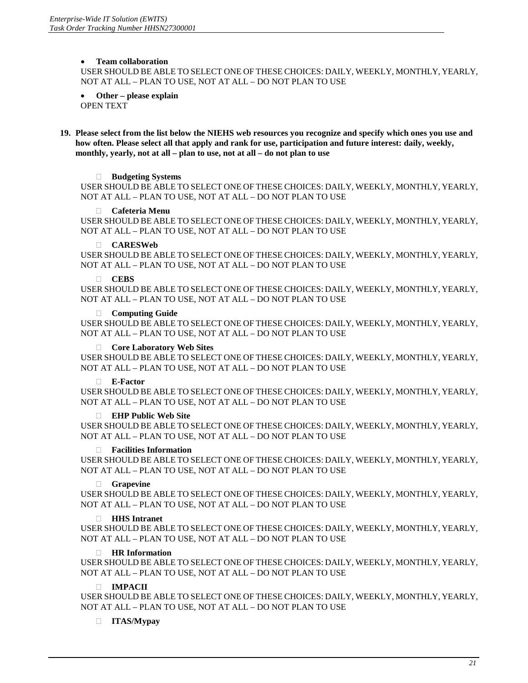#### • **Team collaboration**

USER SHOULD BE ABLE TO SELECT ONE OF THESE CHOICES: DAILY, WEEKLY, MONTHLY, YEARLY, NOT AT ALL – PLAN TO USE, NOT AT ALL – DO NOT PLAN TO USE

• **Other – please explain**  OPEN TEXT

**19. Please select from the list below the NIEHS web resources you recognize and specify which ones you use and how often. Please select all that apply and rank for use, participation and future interest: daily, weekly, monthly, yearly, not at all – plan to use, not at all – do not plan to use** 

#### **Budgeting Systems**

USER SHOULD BE ABLE TO SELECT ONE OF THESE CHOICES: DAILY, WEEKLY, MONTHLY, YEARLY, NOT AT ALL – PLAN TO USE, NOT AT ALL – DO NOT PLAN TO USE

#### **Cafeteria Menu**

USER SHOULD BE ABLE TO SELECT ONE OF THESE CHOICES: DAILY, WEEKLY, MONTHLY, YEARLY, NOT AT ALL – PLAN TO USE, NOT AT ALL – DO NOT PLAN TO USE

#### **CARESWeb**

USER SHOULD BE ABLE TO SELECT ONE OF THESE CHOICES: DAILY, WEEKLY, MONTHLY, YEARLY, NOT AT ALL – PLAN TO USE, NOT AT ALL – DO NOT PLAN TO USE

#### **CEBS**

USER SHOULD BE ABLE TO SELECT ONE OF THESE CHOICES: DAILY, WEEKLY, MONTHLY, YEARLY, NOT AT ALL – PLAN TO USE, NOT AT ALL – DO NOT PLAN TO USE

#### **Computing Guide**

USER SHOULD BE ABLE TO SELECT ONE OF THESE CHOICES: DAILY, WEEKLY, MONTHLY, YEARLY, NOT AT ALL – PLAN TO USE, NOT AT ALL – DO NOT PLAN TO USE

#### **Core Laboratory Web Sites**

USER SHOULD BE ABLE TO SELECT ONE OF THESE CHOICES: DAILY, WEEKLY, MONTHLY, YEARLY, NOT AT ALL – PLAN TO USE, NOT AT ALL – DO NOT PLAN TO USE

#### **E-Factor**

USER SHOULD BE ABLE TO SELECT ONE OF THESE CHOICES: DAILY, WEEKLY, MONTHLY, YEARLY, NOT AT ALL – PLAN TO USE, NOT AT ALL – DO NOT PLAN TO USE

#### **EHP Public Web Site**

USER SHOULD BE ABLE TO SELECT ONE OF THESE CHOICES: DAILY, WEEKLY, MONTHLY, YEARLY, NOT AT ALL – PLAN TO USE, NOT AT ALL – DO NOT PLAN TO USE

#### **Facilities Information**

USER SHOULD BE ABLE TO SELECT ONE OF THESE CHOICES: DAILY, WEEKLY, MONTHLY, YEARLY, NOT AT ALL – PLAN TO USE, NOT AT ALL – DO NOT PLAN TO USE

#### **Grapevine**

USER SHOULD BE ABLE TO SELECT ONE OF THESE CHOICES: DAILY, WEEKLY, MONTHLY, YEARLY, NOT AT ALL – PLAN TO USE, NOT AT ALL – DO NOT PLAN TO USE

#### **HHS Intranet**

USER SHOULD BE ABLE TO SELECT ONE OF THESE CHOICES: DAILY, WEEKLY, MONTHLY, YEARLY, NOT AT ALL – PLAN TO USE, NOT AT ALL – DO NOT PLAN TO USE

#### **HR Information**

USER SHOULD BE ABLE TO SELECT ONE OF THESE CHOICES: DAILY, WEEKLY, MONTHLY, YEARLY, NOT AT ALL – PLAN TO USE, NOT AT ALL – DO NOT PLAN TO USE

#### **IMPACII**

USER SHOULD BE ABLE TO SELECT ONE OF THESE CHOICES: DAILY, WEEKLY, MONTHLY, YEARLY, NOT AT ALL – PLAN TO USE, NOT AT ALL – DO NOT PLAN TO USE

#### **ITAS/Mypay**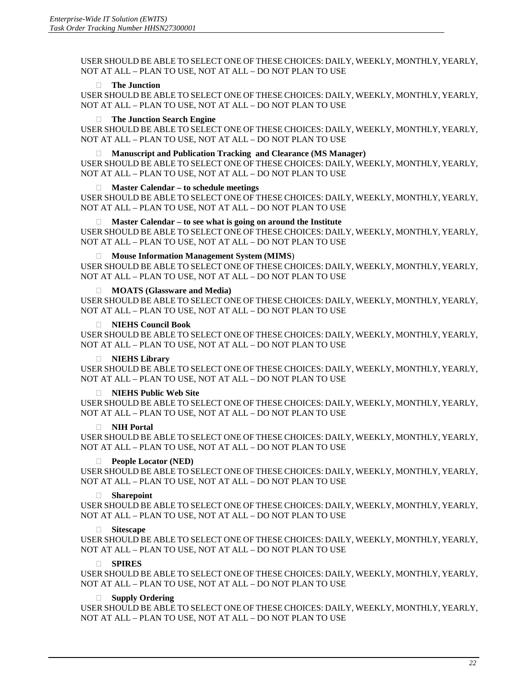USER SHOULD BE ABLE TO SELECT ONE OF THESE CHOICES: DAILY, WEEKLY, MONTHLY, YEARLY, NOT AT ALL – PLAN TO USE, NOT AT ALL – DO NOT PLAN TO USE

#### **The Junction**

USER SHOULD BE ABLE TO SELECT ONE OF THESE CHOICES: DAILY, WEEKLY, MONTHLY, YEARLY, NOT AT ALL – PLAN TO USE, NOT AT ALL – DO NOT PLAN TO USE

#### **The Junction Search Engine**

USER SHOULD BE ABLE TO SELECT ONE OF THESE CHOICES: DAILY, WEEKLY, MONTHLY, YEARLY, NOT AT ALL – PLAN TO USE, NOT AT ALL – DO NOT PLAN TO USE

#### **Manuscript and Publication Tracking and Clearance (MS Manager)**

USER SHOULD BE ABLE TO SELECT ONE OF THESE CHOICES: DAILY, WEEKLY, MONTHLY, YEARLY, NOT AT ALL – PLAN TO USE, NOT AT ALL – DO NOT PLAN TO USE

#### **Master Calendar – to schedule meetings**

USER SHOULD BE ABLE TO SELECT ONE OF THESE CHOICES: DAILY, WEEKLY, MONTHLY, YEARLY, NOT AT ALL – PLAN TO USE, NOT AT ALL – DO NOT PLAN TO USE

**Master Calendar – to see what is going on around the Institute** 

USER SHOULD BE ABLE TO SELECT ONE OF THESE CHOICES: DAILY, WEEKLY, MONTHLY, YEARLY, NOT AT ALL – PLAN TO USE, NOT AT ALL – DO NOT PLAN TO USE

#### **Mouse Information Management System (MIMS**)

USER SHOULD BE ABLE TO SELECT ONE OF THESE CHOICES: DAILY, WEEKLY, MONTHLY, YEARLY, NOT AT ALL – PLAN TO USE, NOT AT ALL – DO NOT PLAN TO USE

#### **MOATS (Glassware and Media)**

USER SHOULD BE ABLE TO SELECT ONE OF THESE CHOICES: DAILY, WEEKLY, MONTHLY, YEARLY, NOT AT ALL – PLAN TO USE, NOT AT ALL – DO NOT PLAN TO USE

#### **NIEHS Council Book**

USER SHOULD BE ABLE TO SELECT ONE OF THESE CHOICES: DAILY, WEEKLY, MONTHLY, YEARLY, NOT AT ALL – PLAN TO USE, NOT AT ALL – DO NOT PLAN TO USE

#### **NIEHS Library**

USER SHOULD BE ABLE TO SELECT ONE OF THESE CHOICES: DAILY, WEEKLY, MONTHLY, YEARLY, NOT AT ALL – PLAN TO USE, NOT AT ALL – DO NOT PLAN TO USE

#### **NIEHS Public Web Site**

USER SHOULD BE ABLE TO SELECT ONE OF THESE CHOICES: DAILY, WEEKLY, MONTHLY, YEARLY, NOT AT ALL – PLAN TO USE, NOT AT ALL – DO NOT PLAN TO USE

#### **NIH Portal**

USER SHOULD BE ABLE TO SELECT ONE OF THESE CHOICES: DAILY, WEEKLY, MONTHLY, YEARLY, NOT AT ALL – PLAN TO USE, NOT AT ALL – DO NOT PLAN TO USE

#### **People Locator (NED)**

USER SHOULD BE ABLE TO SELECT ONE OF THESE CHOICES: DAILY, WEEKLY, MONTHLY, YEARLY, NOT AT ALL – PLAN TO USE, NOT AT ALL – DO NOT PLAN TO USE

#### **Sharepoint**

USER SHOULD BE ABLE TO SELECT ONE OF THESE CHOICES: DAILY, WEEKLY, MONTHLY, YEARLY, NOT AT ALL – PLAN TO USE, NOT AT ALL – DO NOT PLAN TO USE

#### **Sitescape**

USER SHOULD BE ABLE TO SELECT ONE OF THESE CHOICES: DAILY, WEEKLY, MONTHLY, YEARLY, NOT AT ALL – PLAN TO USE, NOT AT ALL – DO NOT PLAN TO USE

#### **SPIRES**

USER SHOULD BE ABLE TO SELECT ONE OF THESE CHOICES: DAILY, WEEKLY, MONTHLY, YEARLY, NOT AT ALL – PLAN TO USE, NOT AT ALL – DO NOT PLAN TO USE

#### **Supply Ordering**

 NOT AT ALL – PLAN TO USE, NOT AT ALL – DO NOT PLAN TO USE USER SHOULD BE ABLE TO SELECT ONE OF THESE CHOICES: DAILY, WEEKLY, MONTHLY, YEARLY,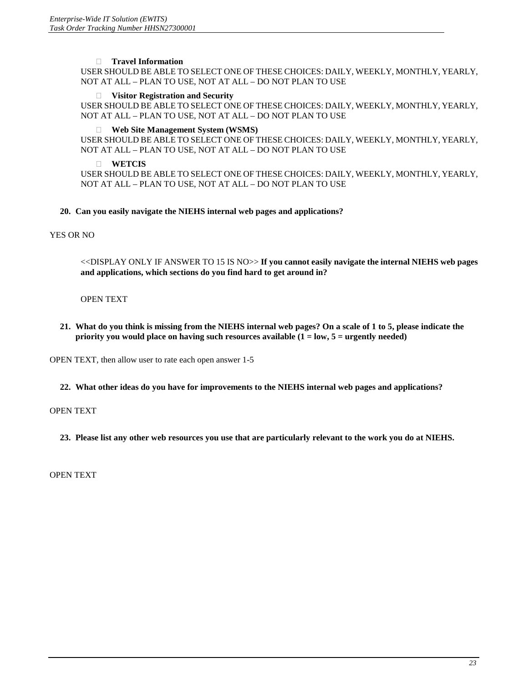#### **Travel Information**

USER SHOULD BE ABLE TO SELECT ONE OF THESE CHOICES: DAILY, WEEKLY, MONTHLY, YEARLY, NOT AT ALL – PLAN TO USE, NOT AT ALL – DO NOT PLAN TO USE

#### **Visitor Registration and Security**

USER SHOULD BE ABLE TO SELECT ONE OF THESE CHOICES: DAILY, WEEKLY, MONTHLY, YEARLY, NOT AT ALL – PLAN TO USE, NOT AT ALL – DO NOT PLAN TO USE

#### **Web Site Management System (WSMS)**

USER SHOULD BE ABLE TO SELECT ONE OF THESE CHOICES: DAILY, WEEKLY, MONTHLY, YEARLY, NOT AT ALL – PLAN TO USE, NOT AT ALL – DO NOT PLAN TO USE

#### **WETCIS**

USER SHOULD BE ABLE TO SELECT ONE OF THESE CHOICES: DAILY, WEEKLY, MONTHLY, YEARLY, NOT AT ALL – PLAN TO USE, NOT AT ALL – DO NOT PLAN TO USE

#### **20. Can you easily navigate the NIEHS internal web pages and applications?**

#### YES OR NO

<<DISPLAY ONLY IF ANSWER TO 15 IS NO>> **If you cannot easily navigate the internal NIEHS web pages and applications, which sections do you find hard to get around in?** 

#### OPEN TEXT

**21. What do you think is missing from the NIEHS internal web pages? On a scale of 1 to 5, please indicate the priority you would place on having such resources available (1 = low, 5 = urgently needed)** 

OPEN TEXT, then allow user to rate each open answer 1-5

**22. What other ideas do you have for improvements to the NIEHS internal web pages and applications?** 

#### OPEN TEXT

**23. Please list any other web resources you use that are particularly relevant to the work you do at NIEHS.** 

OPEN TEXT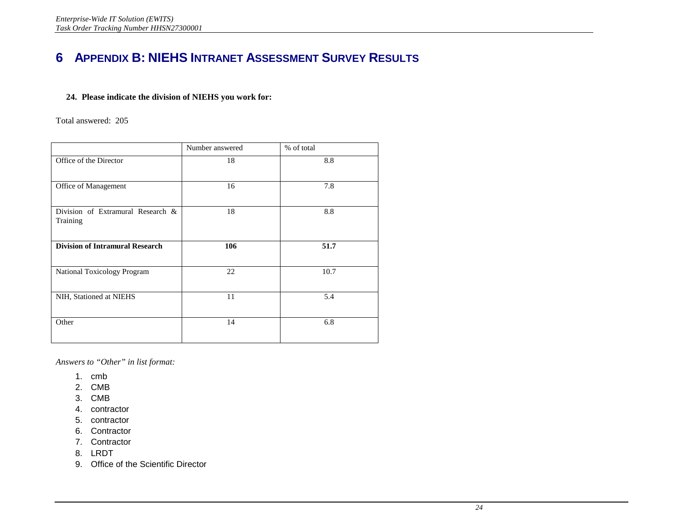# <span id="page-26-0"></span>**6 APPENDIX B: NIEHS INTRANET ASSESSMENT SURVEY RESULTS**

#### **24. Please indicate the division of NIEHS you work for:**

Total answered: 205

|                                               | Number answered | % of total |
|-----------------------------------------------|-----------------|------------|
| Office of the Director                        | 18              | 8.8        |
| Office of Management                          | 16              | 7.8        |
| Division of Extramural Research &<br>Training | 18              | 8.8        |
| <b>Division of Intramural Research</b>        | 106             | 51.7       |
| National Toxicology Program                   | 22              | 10.7       |
| NIH, Stationed at NIEHS                       | 11              | 5.4        |
| Other                                         | 14              | 6.8        |

*Answers to "Other" in list format:* 

- 1. cmb
- 2. CMB
- 3. CMB
- 4. contractor
- 5. contractor
- 6. Contractor
- 7. Contractor
- 8. LRDT
- 9. Office of the Scientific Director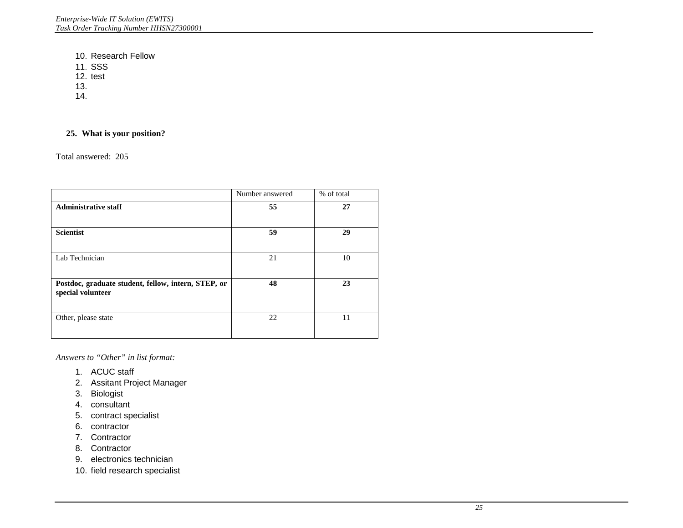10. Research Fellow

11. SSS

12. test

13.

14.

#### **25. What is your position?**

Total answered: 205

|                                                                          | Number answered | % of total |
|--------------------------------------------------------------------------|-----------------|------------|
| <b>Administrative staff</b>                                              | 55              | 27         |
| <b>Scientist</b>                                                         | 59              | 29         |
| Lab Technician                                                           | 21              | 10         |
| Postdoc, graduate student, fellow, intern, STEP, or<br>special volunteer | 48              | 23         |
| Other, please state                                                      | 22              | 11         |

*Answers to "Other" in list format:* 

- 1. ACUC staff
- 2. Assitant Project Manager
- 3. Biologist
- 4. consultant
- 5. contract specialist
- 6. contractor
- 7. Contractor
- 8. Contractor
- 9. electronics technician
- 10. field research specialist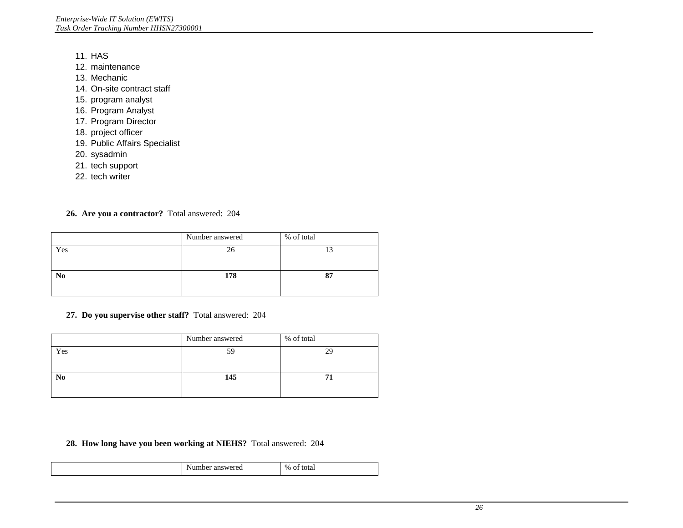- 11. HAS
- 12. maintenance
- 13. Mechanic
- 14. On-site contract staff
- 15. program analyst
- 16. Program Analyst
- 17. Program Director
- 18. project officer
- 19. Public Affairs Specialist
- 20. sysadmin
- 21. tech support
- 22. tech writer

#### **26. Are you a contractor?** Total answered: 204

|                | Number answered | % of total |
|----------------|-----------------|------------|
| Yes            | 26              | 13         |
|                |                 |            |
| N <sub>0</sub> | 178             | 87         |
|                |                 |            |

#### **27. Do you supervise other staff?** Total answered: 204

| Yes<br>59<br>29       | Number answered | % of total |  |
|-----------------------|-----------------|------------|--|
|                       |                 |            |  |
| 145<br>N <sub>o</sub> |                 |            |  |

#### **28. How long have you been working at NIEHS?** Total answered: 204

| ۰.<br>۱а.<br>ĸ<br>u<br>.<br>___ | $\sim$<br>$\mathcal{Q}_0$<br>. |
|---------------------------------|--------------------------------|
|                                 |                                |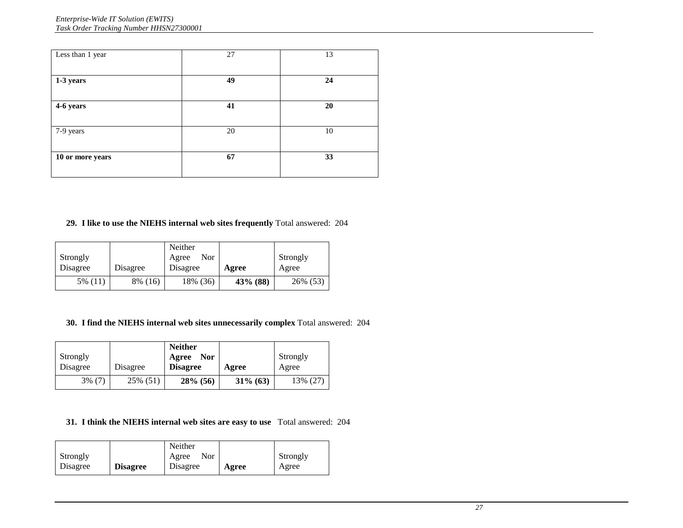| Less than 1 year | 27 | 13 |
|------------------|----|----|
| 1-3 years        | 49 | 24 |
| 4-6 years        | 41 | 20 |
| 7-9 years        | 20 | 10 |
| 10 or more years | 67 | 33 |
|                  |    |    |

### **29. I like to use the NIEHS internal web sites frequently** Total answered: 204

| Strongly<br>Disagree | Disagree | Neither<br>Nor<br>Agree<br>Disagree | Agree    | Strongly<br>Agree |
|----------------------|----------|-------------------------------------|----------|-------------------|
| 5% (11)              | 8% (16)  | 18% (36)                            | 43% (88) | 26% (53)          |

#### **30. I find the NIEHS internal web sites unnecessarily complex** Total answered: 204

| Strongly<br>Disagree | Disagree | <b>Neither</b><br><b>Nor</b><br>Agree<br><b>Disagree</b> | Agree       | Strongly<br>Agree |
|----------------------|----------|----------------------------------------------------------|-------------|-------------------|
| $3\%$ (7)            | 25% (51) | $28\%$ (56)                                              | $31\%$ (63) | 13% (27)          |

#### **31. I think the NIEHS internal web sites are easy to use** Total answered: 204

|          |                 | Neither      |       |          |
|----------|-----------------|--------------|-------|----------|
| Strongly |                 | Nor<br>Agree |       | Strongly |
| Disagree | <b>Disagree</b> | Disagree     | Agree | Agree    |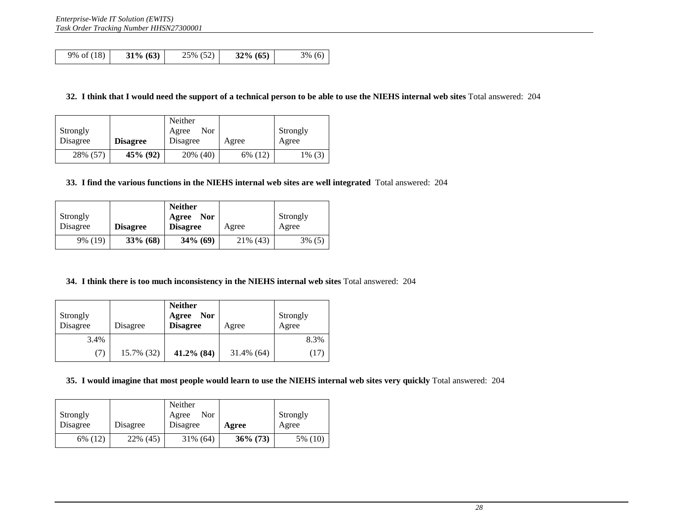|  | 9% of (18) | $31\% (63)$ | 25% (52) | $32\% (65)$ | $3\%$ (6) |
|--|------------|-------------|----------|-------------|-----------|
|--|------------|-------------|----------|-------------|-----------|

#### **32. I think that I would need the support of a technical person to be able to use the NIEHS internal web sites** Total answered: 204

| Strongly |                 | Neither<br>Nor<br>Agree |         | Strongly |
|----------|-----------------|-------------------------|---------|----------|
| Disagree | <b>Disagree</b> | Disagree                | Agree   | Agree    |
| 28% (57) | 45% (92)        | 20% (40)                | 6% (12) | 1% (3)   |

#### **33. I find the various functions in the NIEHS internal web sites are well integrated** Total answered: 204

| Strongly |                 | <b>Neither</b><br><b>Nor</b><br>Agree |           | Strongly  |
|----------|-----------------|---------------------------------------|-----------|-----------|
| Disagree | <b>Disagree</b> | <b>Disagree</b>                       | Agree     | Agree     |
| 9% (19)  | $33\%$ (68)     | $34\%$ (69)                           | 21\% (43) | $3\%$ (5) |

#### **34. I think there is too much inconsistency in the NIEHS internal web sites** Total answered: 204

| Strongly<br>Disagree | Disagree   | <b>Neither</b><br><b>Nor</b><br>Agree<br><b>Disagree</b> | Agree         | Strongly<br>Agree |
|----------------------|------------|----------------------------------------------------------|---------------|-------------------|
| 3.4%                 |            |                                                          |               | 8.3%              |
| (7)                  | 15.7% (32) | 41.2% (84)                                               | $31.4\%$ (64) | (17)              |

#### **35. I would imagine that most people would learn to use the NIEHS internal web sites very quickly** Total answered: 204

| Strongly |          | Neither<br>Nor<br>Agree |             | Strongly |
|----------|----------|-------------------------|-------------|----------|
| Disagree | Disagree | Disagree                | Agree       | Agree    |
| 6% (12)  | 22% (45) | 31% (64)                | $36\%$ (73) | 5% (10)  |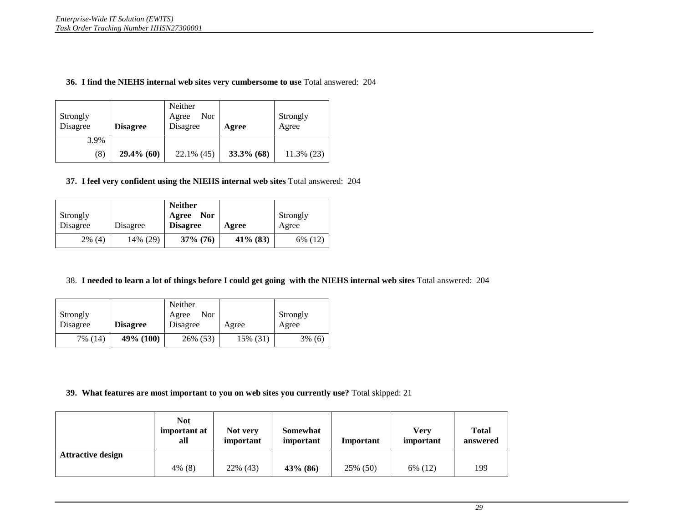#### **36. I find the NIEHS internal web sites very cumbersome to use** Total answered: 204

| Strongly<br>Disagree | <b>Disagree</b> | Neither<br>Nor<br>Agree<br>Disagree | Agree      | Strongly<br>Agree |
|----------------------|-----------------|-------------------------------------|------------|-------------------|
| 3.9%                 |                 |                                     |            |                   |
| (8)                  | $29.4\%$ (60)   | $22.1\%$ (45)                       | 33.3% (68) | $11.3\%$ (23)     |

#### **37. I feel very confident using the NIEHS internal web sites** Total answered: 204

| Strongly |          | <b>Neither</b><br><b>Nor</b><br>Agree |             | Strongly |
|----------|----------|---------------------------------------|-------------|----------|
| Disagree | Disagree | <b>Disagree</b>                       | Agree       | Agree    |
| 2% (4)   | 14% (29) | $37\%$ (76)                           | $41\%$ (83) | 6% (12)  |

#### 38. **I needed to learn a lot of things before I could get going with the NIEHS internal web sites** Total answered: 204

|          |                 | Neither       |          |           |
|----------|-----------------|---------------|----------|-----------|
| Strongly |                 | Nor.<br>Agree |          | Strongly  |
| Disagree | <b>Disagree</b> | Disagree      | Agree    | Agree     |
| 7% (14)  | 49% (100)       | 26% (53)      | 15% (31) | $3\%$ (6) |

#### **39. What features are most important to you on web sites you currently use?** Total skipped: 21

|                          | <b>Not</b><br>important at<br>all | Not very<br>important | Somewhat<br>important | Important | Verv<br>important | <b>Total</b><br>answered |
|--------------------------|-----------------------------------|-----------------------|-----------------------|-----------|-------------------|--------------------------|
| <b>Attractive design</b> |                                   |                       |                       |           |                   |                          |
|                          | 4% (8)                            | 22% (43)              | $43\%$ (86)           | 25% (50)  | 6% (12)           | 199                      |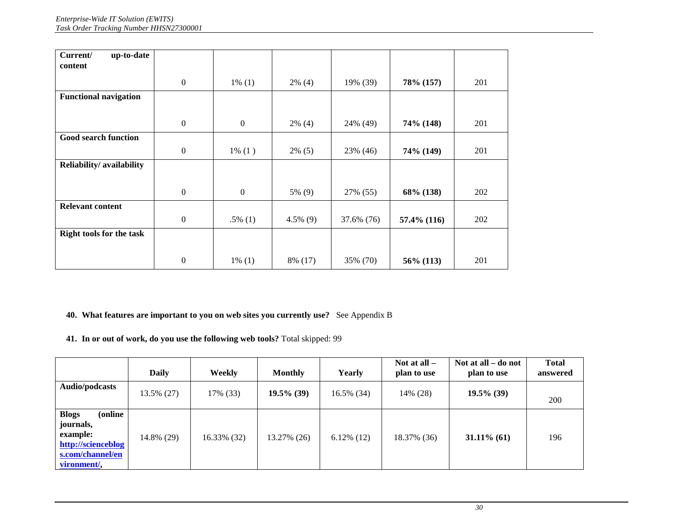| Current/<br>up-to-date       |                  |                  |             |            |             |     |
|------------------------------|------------------|------------------|-------------|------------|-------------|-----|
|                              |                  |                  |             |            |             |     |
| content                      |                  |                  |             |            |             |     |
|                              |                  |                  |             |            |             |     |
|                              | $\boldsymbol{0}$ | $1\%$ (1)        | $2\%$ (4)   | 19% (39)   | 78% (157)   | 201 |
| <b>Functional navigation</b> |                  |                  |             |            |             |     |
|                              |                  |                  |             |            |             |     |
|                              | $\mathbf{0}$     | $\boldsymbol{0}$ | $2\%$ (4)   | 24% (49)   | 74% (148)   | 201 |
| <b>Good search function</b>  |                  |                  |             |            |             |     |
|                              | $\boldsymbol{0}$ | $1\% (1)$        | $2\%$ (5)   | 23% (46)   | 74% (149)   | 201 |
| Reliability/availability     |                  |                  |             |            |             |     |
|                              |                  |                  |             |            |             |     |
|                              |                  |                  |             |            |             |     |
|                              | $\boldsymbol{0}$ | $\boldsymbol{0}$ | 5% (9)      | 27% (55)   | 68% (138)   | 202 |
| <b>Relevant content</b>      |                  |                  |             |            |             |     |
|                              | $\boldsymbol{0}$ | $.5\%$ (1)       | $4.5\%$ (9) | 37.6% (76) | 57.4% (116) | 202 |
| Right tools for the task     |                  |                  |             |            |             |     |
|                              |                  |                  |             |            |             |     |
|                              | $\overline{0}$   | $1\%$ (1)        | 8% (17)     | 35% (70)   | 56% (113)   | 201 |

#### **40. What features are important to you on web sites you currently use?** See Appendix B

**41. In or out of work, do you use the following web tools?** Total skipped: 99

|                                                                                                           | <b>Daily</b> | Weekly      | <b>Monthly</b> | Yearly        | Not at all $-$<br>plan to use | Not at all – do not<br>plan to use | <b>Total</b><br>answered |
|-----------------------------------------------------------------------------------------------------------|--------------|-------------|----------------|---------------|-------------------------------|------------------------------------|--------------------------|
| Audio/podcasts                                                                                            | 13.5% (27)   | 17% (33)    | $19.5\%$ (39)  | 16.5% (34)    | 14% (28)                      | $19.5\%$ (39)                      | 200                      |
| <b>Blogs</b><br>online)<br>journals,<br>example:<br>http://scienceblog<br>s.com/channel/en<br>vironment/, | 14.8% (29)   | 16.33% (32) | 13.27% (26)    | $6.12\%$ (12) | 18.37% (36)                   | $31.11\%$ (61)                     | 196                      |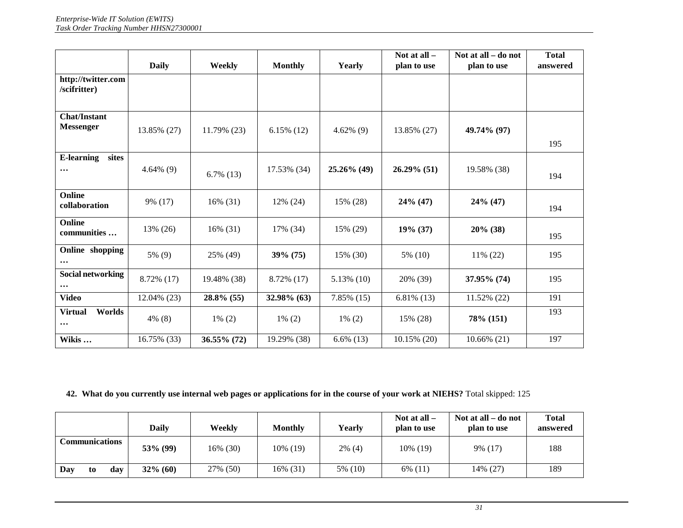|                                         | <b>Daily</b> | Weekly        | <b>Monthly</b> | Yearly        | Not at all $-$<br>plan to use | Not at all – do not<br>plan to use | <b>Total</b><br>answered |
|-----------------------------------------|--------------|---------------|----------------|---------------|-------------------------------|------------------------------------|--------------------------|
| http://twitter.com<br>/scifritter)      |              |               |                |               |                               |                                    |                          |
| <b>Chat/Instant</b><br><b>Messenger</b> | 13.85% (27)  | 11.79% (23)   | $6.15\%$ (12)  | $4.62\%$ (9)  | 13.85% (27)                   | 49.74% (97)                        | 195                      |
| <b>E-learning</b><br>sites<br>$\cdots$  | $4.64\%$ (9) | $6.7\%$ (13)  | 17.53% (34)    | 25.26% (49)   | 26.29% (51)                   | 19.58% (38)                        | 194                      |
| Online<br>collaboration                 | 9% (17)      | 16% (31)      | 12% (24)       | 15% (28)      | $24\%$ (47)                   | $24\%$ (47)                        | 194                      |
| Online<br>communities                   | 13% (26)     | 16% (31)      | 17% (34)       | 15% (29)      | $19\%$ (37)                   | $20\%$ (38)                        | 195                      |
| Online shopping<br>$\cdots$             | 5% (9)       | 25% (49)      | $39\%$ (75)    | 15% (30)      | 5% (10)                       | 11% (22)                           | 195                      |
| Social networking<br>$\cdots$           | 8.72% (17)   | 19.48% (38)   | 8.72% (17)     | $5.13\%$ (10) | 20% (39)                      | 37.95% (74)                        | 195                      |
| <b>Video</b>                            | 12.04% (23)  | $28.8\%$ (55) | 32.98% (63)    | $7.85\%$ (15) | $6.81\%$ (13)                 | 11.52% (22)                        | 191                      |
| <b>Virtual</b><br>Worlds<br>$\cdots$    | $4\%$ (8)    | $1\% (2)$     | $1\% (2)$      | $1\%$ (2)     | 15% (28)                      | 78% (151)                          | 193                      |
| Wikis                                   | 16.75% (33)  | 36.55% (72)   | 19.29% (38)    | $6.6\%$ (13)  | 10.15% (20)                   | $10.66\%$ (21)                     | 197                      |

#### **42. What do you currently use internal web pages or applications for in the course of your work at NIEHS?** Total skipped: 125

|                       | Dailv       | Weekly   | <b>Monthly</b> | Yearly    | Not at all $-$<br>plan to use | Not at all – do not<br>plan to use | <b>Total</b><br>answered |
|-----------------------|-------------|----------|----------------|-----------|-------------------------------|------------------------------------|--------------------------|
| <b>Communications</b> | $53\%$ (99) | 16% (30) | 10% (19)       | $2\%$ (4) | 10\% (19)                     | 9% (17)                            | 188                      |
| Day<br>day<br>to      | $32\%$ (60) | 27% (50) | 16% (31)       | 5% (10)   | 6% (11)                       | 14% (27)                           | 189                      |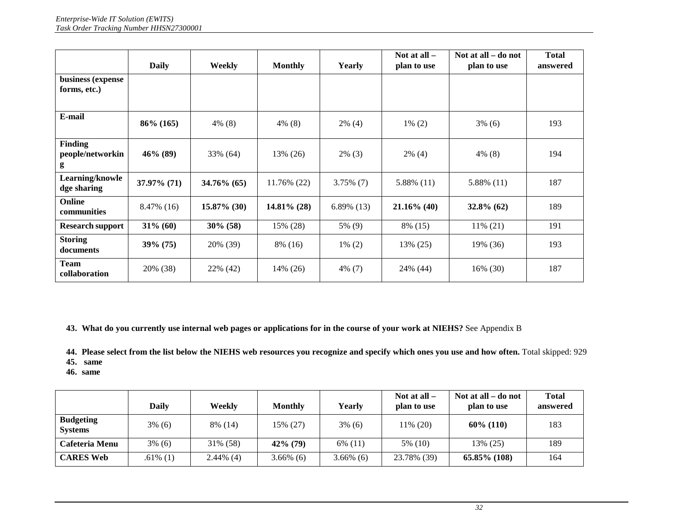|                                         | <b>Daily</b>   | Weekly         | <b>Monthly</b> | Yearly        | Not at all $-$<br>plan to use | Not at all – do not<br>plan to use | <b>Total</b><br>answered |
|-----------------------------------------|----------------|----------------|----------------|---------------|-------------------------------|------------------------------------|--------------------------|
| business (expense<br>forms, etc.)       |                |                |                |               |                               |                                    |                          |
| E-mail                                  | $86\%$ (165)   | $4\%$ (8)      | $4\%$ (8)      | $2\%$ (4)     | $1\%$ (2)                     | $3\%$ (6)                          | 193                      |
| <b>Finding</b><br>people/networkin<br>g | $46\%$ (89)    | 33% (64)       | 13% (26)       | $2\%$ (3)     | $2\%$ (4)                     | $4\%$ (8)                          | 194                      |
| Learning/knowle<br>dge sharing          | $37.97\%$ (71) | $34.76\%$ (65) | 11.76% (22)    | $3.75\%$ (7)  | 5.88% (11)                    | 5.88% (11)                         | 187                      |
| Online<br>communities                   | 8.47% (16)     | $15.87\%$ (30) | $14.81\%$ (28) | $6.89\%$ (13) | $21.16\%$ (40)                | $32.8\%$ (62)                      | 189                      |
| <b>Research support</b>                 | $31\%$ (60)    | $30\%$ (58)    | 15% (28)       | 5% (9)        | 8% (15)                       | 11% (21)                           | 191                      |
| <b>Storing</b><br>documents             | $39\% (75)$    | 20% (39)       | 8% (16)        | $1\% (2)$     | 13% (25)                      | 19% (36)                           | 193                      |
| <b>Team</b><br>collaboration            | 20% (38)       | 22% (42)       | 14% (26)       | $4\%$ (7)     | 24\% (44)                     | 16% (30)                           | 187                      |

**43. What do you currently use internal web pages or applications for in the course of your work at NIEHS?** See Appendix B

**44. Please select from the list below the NIEHS web resources you recognize and specify which ones you use and how often.** Total skipped: 929

 **45. same** 

**46. same** 

|                                    | Daily       | Weekly       | <b>Monthly</b> | Yearlv       | Not at all $-$<br>plan to use | Not at all – do not<br>plan to use | <b>Total</b><br>answered |
|------------------------------------|-------------|--------------|----------------|--------------|-------------------------------|------------------------------------|--------------------------|
| <b>Budgeting</b><br><b>Systems</b> | $3\%$ (6)   | 8% (14)      | 15% (27)       | $3\%$ (6)    | 11% (20)                      | $60\%$ (110)                       | 183                      |
| Cafeteria Menu                     | $3\%$ (6)   | 31% (58)     | $42\%$ (79)    | $6\%$ (11)   | 5% (10)                       | 13% (25)                           | 189                      |
| <b>CARES Web</b>                   | $.61\%$ (1) | $2.44\%$ (4) | $3.66\%$ (6)   | $3.66\%$ (6) | 23.78% (39)                   | $65.85\%$ (108)                    | 164                      |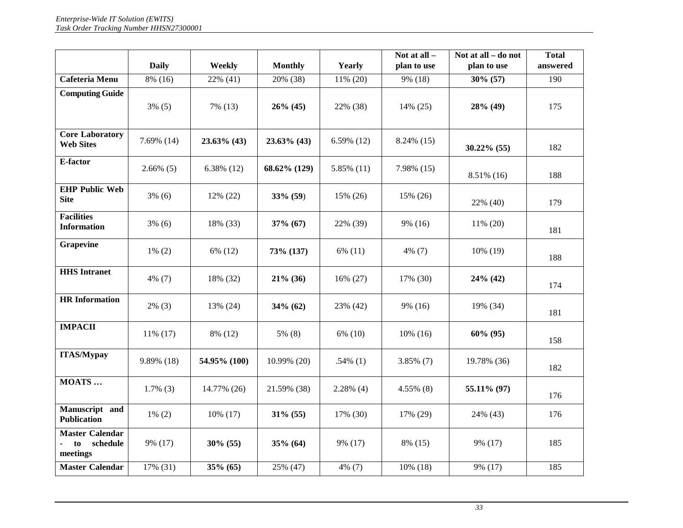|                                                      | <b>Daily</b> | Weekly        | <b>Monthly</b> | Yearly        | Not at all -<br>plan to use | Not at all - do not<br>plan to use | <b>Total</b><br>answered |
|------------------------------------------------------|--------------|---------------|----------------|---------------|-----------------------------|------------------------------------|--------------------------|
| Cafeteria Menu                                       | 8% (16)      | 22% (41)      | 20% (38)       | $11\% (20)$   | 9% (18)                     | $30\%$ (57)                        | 190                      |
| <b>Computing Guide</b>                               | $3\%$ (5)    | 7% (13)       | $26\%$ (45)    | 22% (38)      | $14\%$ (25)                 | 28% (49)                           | 175                      |
| <b>Core Laboratory</b><br><b>Web Sites</b>           | 7.69% (14)   | 23.63% (43)   | $23.63\%$ (43) | $6.59\%$ (12) | 8.24% (15)                  | $30.22\%$ (55)                     | 182                      |
| E-factor                                             | $2.66\%$ (5) | $6.38\%$ (12) | 68.62% (129)   | 5.85% (11)    | 7.98% (15)                  | 8.51% (16)                         | 188                      |
| <b>EHP Public Web</b><br><b>Site</b>                 | $3\%$ (6)    | 12% (22)      | 33% (59)       | 15% (26)      | 15% (26)                    | 22% (40)                           | 179                      |
| <b>Facilities</b><br><b>Information</b>              | $3\%$ (6)    | 18% (33)      | $37\%$ (67)    | 22% (39)      | $9\%$ (16)                  | 11% (20)                           | 181                      |
| <b>Grapevine</b>                                     | $1\%$ (2)    | 6% (12)       | 73% (137)      | $6\%$ (11)    | $4\%$ (7)                   | 10% (19)                           | 188                      |
| <b>HHS</b> Intranet                                  | $4\%$ (7)    | 18% (32)      | $21\%$ (36)    | 16% (27)      | 17% (30)                    | $24\%$ (42)                        | 174                      |
| <b>HR</b> Information                                | $2\%$ (3)    | 13% (24)      | $34\%$ (62)    | 23% (42)      | 9% (16)                     | 19% (34)                           | 181                      |
| <b>IMPACII</b>                                       | 11% (17)     | 8% (12)       | 5% (8)         | 6% (10)       | $10\%$ (16)                 | $60\%$ (95)                        | 158                      |
| <b>ITAS/Mypay</b>                                    | 9.89% (18)   | 54.95% (100)  | 10.99% (20)    | $.54\%$ (1)   | $3.85\%$ (7)                | 19.78% (36)                        | 182                      |
| MOATS                                                | $1.7\%$ (3)  | 14.77% (26)   | 21.59% (38)    | $2.28\%$ (4)  | $4.55\%$ (8)                | 55.11% (97)                        | 176                      |
| Manuscript and<br><b>Publication</b>                 | $1\% (2)$    | $10\%$ (17)   | $31\%$ (55)    | 17% (30)      | 17% (29)                    | 24% (43)                           | 176                      |
| <b>Master Calendar</b><br>to<br>schedule<br>meetings | 9% (17)      | $30\%$ (55)   | $35\%$ (64)    | 9% (17)       | 8% (15)                     | 9% (17)                            | 185                      |
| <b>Master Calendar</b>                               | 17% (31)     | $35\%$ (65)   | 25% (47)       | 4% (7)        | $10\%$ (18)                 | 9% (17)                            | 185                      |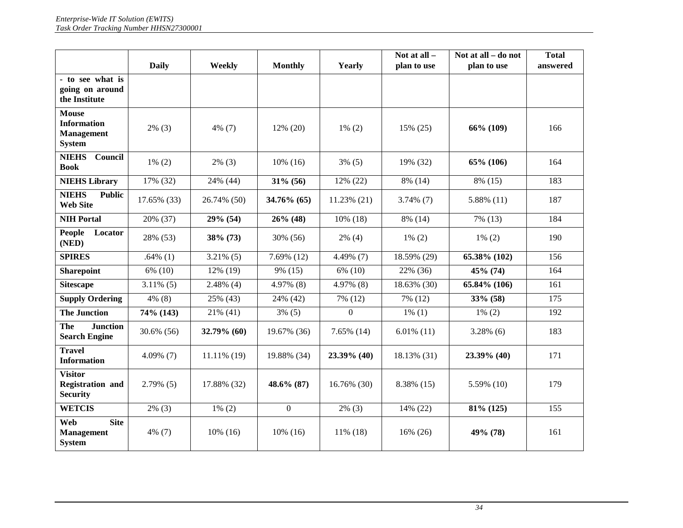|                                                                          | <b>Daily</b> | Weekly         | <b>Monthly</b> | Yearly         | Not at all $-$<br>plan to use | Not at all - do not<br>plan to use | <b>Total</b><br>answered |
|--------------------------------------------------------------------------|--------------|----------------|----------------|----------------|-------------------------------|------------------------------------|--------------------------|
| - to see what is<br>going on around<br>the Institute                     |              |                |                |                |                               |                                    |                          |
| <b>Mouse</b><br><b>Information</b><br><b>Management</b><br><b>System</b> | $2\%$ (3)    | $4\%$ (7)      | 12% (20)       | $1\%$ (2)      | 15% (25)                      | 66% (109)                          | 166                      |
| <b>NIEHS</b><br>Council<br><b>Book</b>                                   | $1\%$ (2)    | $2\%$ (3)      | $10\%$ (16)    | $3\%$ (5)      | 19% (32)                      | 65% (106)                          | 164                      |
| <b>NIEHS Library</b>                                                     | 17% (32)     | 24% (44)       | $31\%$ (56)    | 12% (22)       | 8% (14)                       | 8% (15)                            | 183                      |
| <b>NIEHS</b><br><b>Public</b><br><b>Web Site</b>                         | 17.65% (33)  | 26.74% (50)    | 34.76% (65)    | 11.23% (21)    | $3.74\%$ (7)                  | $5.88\%$ (11)                      | 187                      |
| <b>NIH Portal</b>                                                        | 20% (37)     | 29% (54)       | $26\%$ (48)    | $10\%$ (18)    | 8% (14)                       | 7% (13)                            | 184                      |
| <b>People</b><br>Locator<br>(NED)                                        | 28% (53)     | 38% (73)       | 30% (56)       | $2\%$ (4)      | $1\%$ (2)                     | $1\%$ (2)                          | 190                      |
| <b>SPIRES</b>                                                            | $.64\%$ (1)  | $3.21\%$ (5)   | $7.69\%$ (12)  | 4.49% (7)      | 18.59% (29)                   | 65.38% (102)                       | 156                      |
| <b>Sharepoint</b>                                                        | 6% (10)      | 12% (19)       | 9% (15)        | 6% (10)        | 22% (36)                      | 45% (74)                           | 164                      |
| <b>Sitescape</b>                                                         | $3.11\%$ (5) | $2.48\%$ (4)   | 4.97% (8)      | $4.97\%$ (8)   | 18.63% (30)                   | 65.84% (106)                       | 161                      |
| <b>Supply Ordering</b>                                                   | 4% (8)       | 25% (43)       | 24% (42)       | 7% (12)        | 7% (12)                       | 33% (58)                           | 175                      |
| <b>The Junction</b>                                                      | 74% (143)    | 21% (41)       | $3\%$ (5)      | $\overline{0}$ | $1\%$ (1)                     | $1\% (2)$                          | 192                      |
| <b>The</b><br><b>Junction</b><br><b>Search Engine</b>                    | 30.6% (56)   | 32.79% (60)    | 19.67% (36)    | $7.65\%$ (14)  | $6.01\%$ (11)                 | $3.28\%$ (6)                       | 183                      |
| <b>Travel</b><br><b>Information</b>                                      | $4.09\%$ (7) | $11.11\%$ (19) | 19.88% (34)    | 23.39% (40)    | 18.13% (31)                   | 23.39% (40)                        | 171                      |
| <b>Visitor</b><br><b>Registration and</b><br><b>Security</b>             | $2.79\%$ (5) | 17.88% (32)    | 48.6% (87)     | 16.76% (30)    | 8.38% (15)                    | 5.59% (10)                         | 179                      |
| <b>WETCIS</b>                                                            | $2\%$ (3)    | $1\%$ (2)      | $\Omega$       | $2\%$ (3)      | 14% (22)                      | 81% (125)                          | 155                      |
| Web<br><b>Site</b><br><b>Management</b><br><b>System</b>                 | $4\%$ (7)    | $10\%$ (16)    | $10\%$ (16)    | $11\%$ (18)    | 16% (26)                      | 49% (78)                           | 161                      |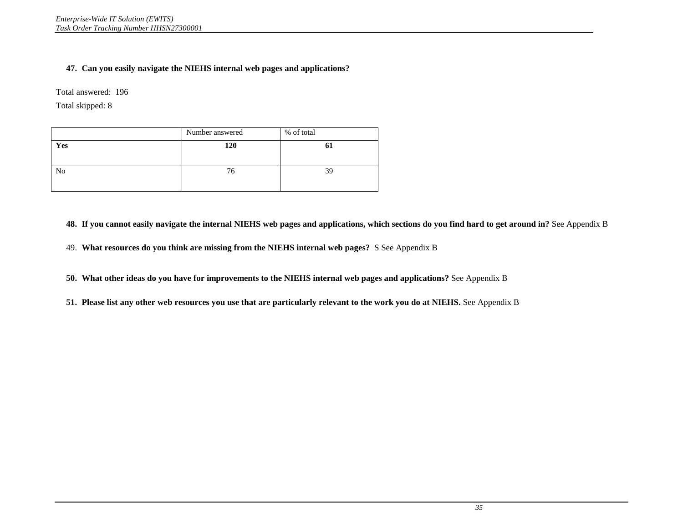# **47. Can you easily navigate the NIEHS internal web pages and applications?**

Total answered: 196

Total skipped: 8

|                | Number answered | % of total |
|----------------|-----------------|------------|
| Yes            | 120             | O.         |
| N <sub>0</sub> | 76              | 39         |

**48. If you cannot easily navigate the internal NIEHS web pages and applications, which sections do you find hard to get around in?** See Appendix B

49. **What resources do you think are missing from the NIEHS internal web pages?** S See Appendix B

**50. What other ideas do you have for improvements to the NIEHS internal web pages and applications?** See Appendix B

**51. Please list any other web resources you use that are particularly relevant to the work you do at NIEHS.** See Appendix B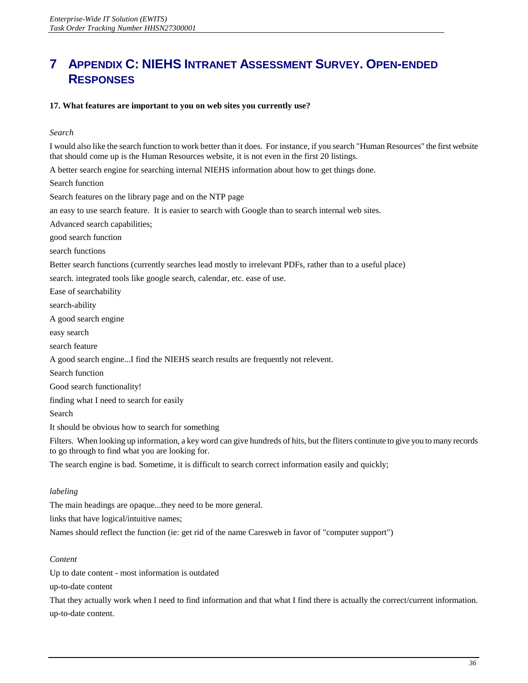# **7 APPENDIX C: NIEHS INTRANET ASSESSMENT SURVEY. OPEN-ENDED RESPONSES**

#### **17. What features are important to you on web sites you currently use?**

#### *Search*

I would also like the search function to work better than it does. For instance, if you search "Human Resources" the first website that should come up is the Human Resources website, it is not even in the first 20 listings.

A better search engine for searching internal NIEHS information about how to get things done. Search function

Search features on the library page and on the NTP page

an easy to use search feature. It is easier to search with Google than to search internal web sites.

Advanced search capabilities;

good search function

search functions

Better search functions (currently searches lead mostly to irrelevant PDFs, rather than to a useful place)

search. integrated tools like google search, calendar, etc. ease of use.

Ease of searchability

search-ability

A good search engine

easy search

search feature

A good search engine...I find the NIEHS search results are frequently not relevent.

Search function

Good search functionality!

finding what I need to search for easily

Search

It should be obvious how to search for something

Filters. When looking up information, a key word can give hundreds of hits, but the fliters continute to give you to many records to go through to find what you are looking for.

The search engine is bad. Sometime, it is difficult to search correct information easily and quickly;

#### *labeling*

The main headings are opaque...they need to be more general.

links that have logical/intuitive names;

Names should reflect the function (ie: get rid of the name Caresweb in favor of "computer support")

# *Content*

Up to date content - most information is outdated

up-to-date content

That they actually work when I need to find information and that what I find there is actually the correct/current information. up-to-date content.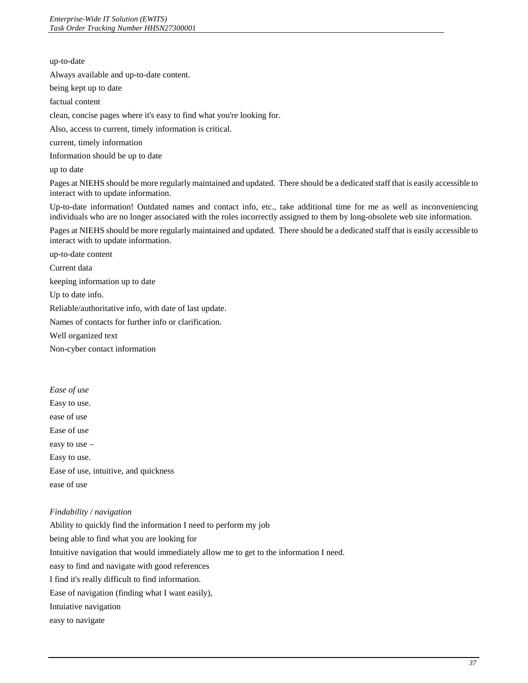#### up-to-date

Always available and up-to-date content.

being kept up to date

factual content

clean, concise pages where it's easy to find what you're looking for.

Also, access to current, timely information is critical.

current, timely information

Information should be up to date

up to date

Pages at NIEHS should be more regularly maintained and updated. There should be a dedicated staff that is easily accessible to interact with to update information.

 Up-to-date information! Outdated names and contact info, etc., take additional time for me as well as inconveniencing individuals who are no longer associated with the roles incorrectly assigned to them by long-obsolete web site information.

Pages at NIEHS should be more regularly maintained and updated. There should be a dedicated staff that is easily accessible to interact with to update information.

up-to-date content

Current data

keeping information up to date

Up to date info.

Reliable/authoritative info, with date of last update.

Names of contacts for further info or clarification.

Well organized text

Non-cyber contact information

*Ease of use* 

Easy to use.

ease of use

Ease of use

easy to use –

Easy to use.

Ease of use, intuitive, and quickness

ease of use

# *Findability / navigation*

Ability to quickly find the information I need to perform my job being able to find what you are looking for Intuitive navigation that would immediately allow me to get to the information I need. easy to find and navigate with good references I find it's really difficult to find information. Ease of navigation (finding what I want easily), Intuiative navigation easy to navigate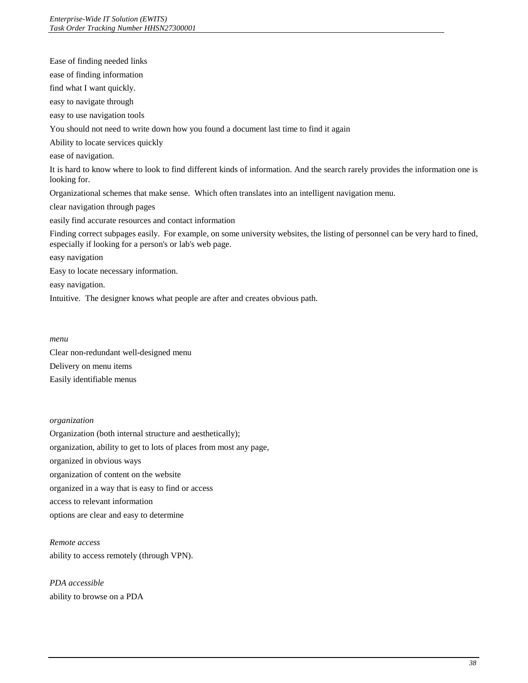Ease of finding needed links ease of finding information find what I want quickly. easy to navigate through easy to use navigation tools You should not need to write down how you found a document last time to find it again Ability to locate services quickly ease of navigation. It is hard to know where to look to find different kinds of information. And the search rarely provides the information one is looking for. Organizational schemes that make sense. Which often translates into an intelligent navigation menu. clear navigation through pages easily find accurate resources and contact information Finding correct subpages easily. For example, on some university websites, the listing of personnel can be very hard to fined, especially if looking for a person's or lab's web page. easy navigation Easy to locate necessary information. easy navigation. Intuitive. The designer knows what people are after and creates obvious path.

#### *menu*

Clear non-redundant well-designed menu Delivery on menu items Easily identifiable menus

# *organization*

Organization (both internal structure and aesthetically); organization, ability to get to lots of places from most any page, organized in obvious ways organization of content on the website organized in a way that is easy to find or access access to relevant information options are clear and easy to determine

*Remote access*  ability to access remotely (through VPN).

*PDA accessible*  ability to browse on a PDA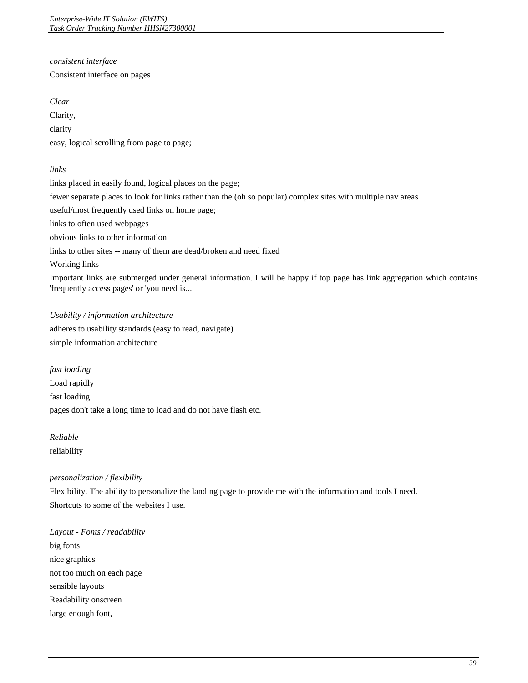*consistent interface* 

Consistent interface on pages

*Clear* 

Clarity,

clarity

easy, logical scrolling from page to page;

*links* 

links placed in easily found, logical places on the page; fewer separate places to look for links rather than the (oh so popular) complex sites with multiple nav areas useful/most frequently used links on home page; links to often used webpages obvious links to other information links to other sites -- many of them are dead/broken and need fixed Working links Important links are submerged under general information. I will be happy if top page has link aggregation which contains 'frequently access pages' or 'you need is...

*Usability / information architecture*  adheres to usability standards (easy to read, navigate) simple information architecture

*fast loading*  Load rapidly fast loading pages don't take a long time to load and do not have flash etc.

*Reliable*  reliability

# *personalization / flexibility*

Flexibility. The ability to personalize the landing page to provide me with the information and tools I need. Shortcuts to some of the websites I use.

*Layout - Fonts / readability*  big fonts nice graphics not too much on each page sensible layouts Readability onscreen large enough font,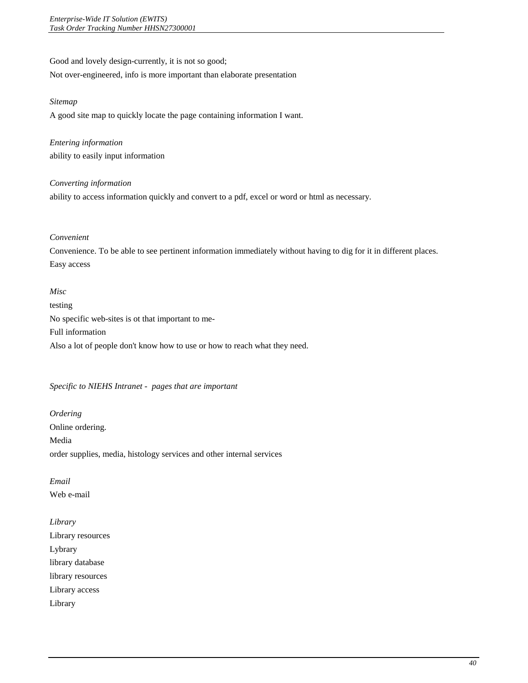# Good and lovely design-currently, it is not so good;

Not over-engineered, info is more important than elaborate presentation

#### *Sitemap*

A good site map to quickly locate the page containing information I want.

*Entering information*  ability to easily input information

# *Converting information*

ability to access information quickly and convert to a pdf, excel or word or html as necessary.

#### *Convenient*

Convenience. To be able to see pertinent information immediately without having to dig for it in different places. Easy access

#### *Misc*

testing No specific web-sites is ot that important to me-Full information Also a lot of people don't know how to use or how to reach what they need.

# *Specific to NIEHS Intranet - pages that are important*

 Online ordering. Media *Ordering*  order supplies, media, histology services and other internal services

*Email*  Web e-mail

*Library*  Library resources Lybrary library database library resources Library access Library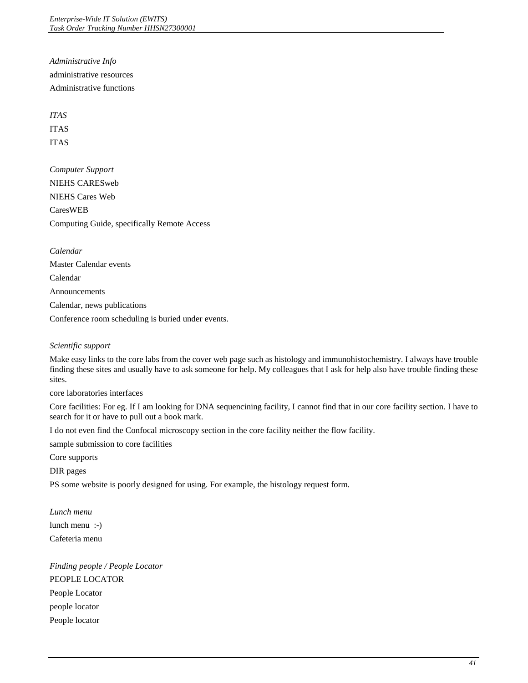*Administrative Info*  administrative resources Administrative functions

*ITAS*  ITAS

ITAS

*Computer Support*  NIEHS CARESweb NIEHS Cares Web CaresWEB Computing Guide, specifically Remote Access

*Calendar*  Master Calendar events Calendar Announcements Calendar, news publications Conference room scheduling is buried under events.

# *Scientific support*

 Make easy links to the core labs from the cover web page such as histology and immunohistochemistry. I always have trouble finding these sites and usually have to ask someone for help. My colleagues that I ask for help also have trouble finding these sites.

core laboratories interfaces

 Core facilities: For eg. If I am looking for DNA sequencining facility, I cannot find that in our core facility section. I have to search for it or have to pull out a book mark.

I do not even find the Confocal microscopy section in the core facility neither the flow facility.

sample submission to core facilities

Core supports

DIR pages

PS some website is poorly designed for using. For example, the histology request form.

*Lunch menu*  lunch menu :-) Cafeteria menu

*Finding people / People Locator*  PEOPLE LOCATOR People Locator people locator People locator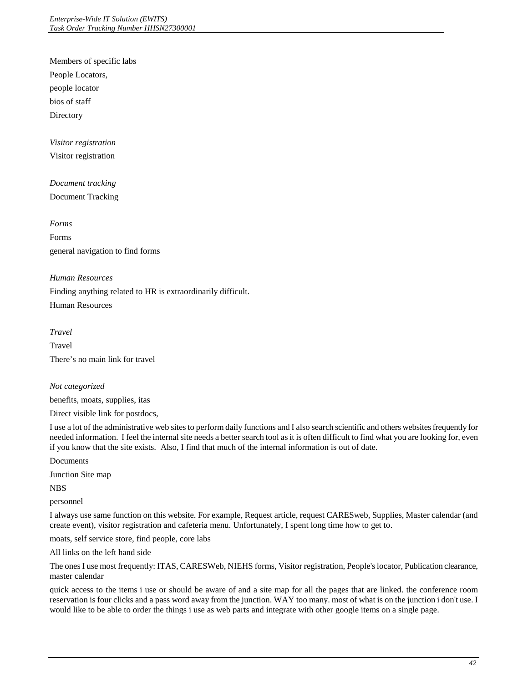Members of specific labs People Locators, people locator bios of staff **Directory** 

*Visitor registration* 

Visitor registration

*Document tracking*  Document Tracking

*Forms*  Forms general navigation to find forms

# *Human Resources*

Finding anything related to HR is extraordinarily difficult.

Human Resources

*Travel*  Travel There's no main link for travel

# *Not categorized*

benefits, moats, supplies, itas

Direct visible link for postdocs,

I use a lot of the administrative web sites to perform daily functions and I also search scientific and others websites frequently for needed information. I feel the internal site needs a better search tool as it is often difficult to find what you are looking for, even if you know that the site exists. Also, I find that much of the internal information is out of date.

Documents

Junction Site map

NBS

personnel

I always use same function on this website. For example, Request article, request CARESweb, Supplies, Master calendar (and create event), visitor registration and cafeteria menu. Unfortunately, I spent long time how to get to.

moats, self service store, find people, core labs

All links on the left hand side

The ones I use most frequently: ITAS, CARESWeb, NIEHS forms, Visitor registration, People's locator, Publication clearance, master calendar

 quick access to the items i use or should be aware of and a site map for all the pages that are linked. the conference room reservation is four clicks and a pass word away from the junction. WAY too many. most of what is on the junction i don't use. I would like to be able to order the things i use as web parts and integrate with other google items on a single page.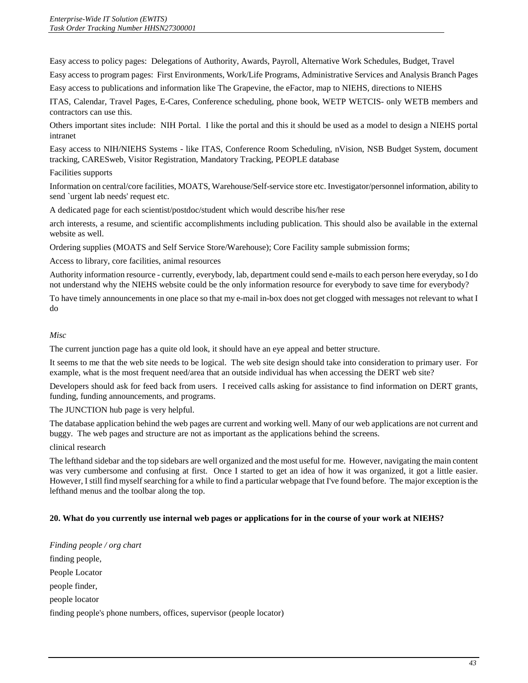Easy access to policy pages: Delegations of Authority, Awards, Payroll, Alternative Work Schedules, Budget, Travel

Easy access to program pages: First Environments, Work/Life Programs, Administrative Services and Analysis Branch Pages

Easy access to publications and information like The Grapevine, the eFactor, map to NIEHS, directions to NIEHS

ITAS, Calendar, Travel Pages, E-Cares, Conference scheduling, phone book, WETP WETCIS- only WETB members and contractors can use this.

 Others important sites include: NIH Portal. I like the portal and this it should be used as a model to design a NIEHS portal intranet

Easy access to NIH/NIEHS Systems - like ITAS, Conference Room Scheduling, nVision, NSB Budget System, document tracking, CARESweb, Visitor Registration, Mandatory Tracking, PEOPLE database

# Facilities supports

Information on central/core facilities, MOATS, Warehouse/Self-service store etc. Investigator/personnel information, ability to send `urgent lab needs' request etc.

A dedicated page for each scientist/postdoc/student which would describe his/her rese

arch interests, a resume, and scientific accomplishments including publication. This should also be available in the external website as well.

Ordering supplies (MOATS and Self Service Store/Warehouse); Core Facility sample submission forms;

Access to library, core facilities, animal resources

Authority information resource - currently, everybody, lab, department could send e-mails to each person here everyday, so I do not understand why the NIEHS website could be the only information resource for everybody to save time for everybody?

 To have timely announcements in one place so that my e-mail in-box does not get clogged with messages not relevant to what I do

# *Misc*

The current junction page has a quite old look, it should have an eye appeal and better structure.

 It seems to me that the web site needs to be logical. The web site design should take into consideration to primary user. For example, what is the most frequent need/area that an outside individual has when accessing the DERT web site?

example, what is the most frequent need/area that an outside individual has when accessing the DERT web site?<br>Developers should ask for feed back from users. I received calls asking for assistance to find information on DE funding, funding announcements, and programs.

The JUNCTION hub page is very helpful.

 The database application behind the web pages are current and working well. Many of our web applications are not current and buggy. The web pages and structure are not as important as the applications behind the screens.

# clinical research

 The lefthand sidebar and the top sidebars are well organized and the most useful for me. However, navigating the main content was very cumbersome and confusing at first. Once I started to get an idea of how it was organized, it got a little easier. However, I still find myself searching for a while to find a particular webpage that I've found before. The major exception is the lefthand menus and the toolbar along the top.

# **20. What do you currently use internal web pages or applications for in the course of your work at NIEHS?**

 *Finding people / org chart*  finding people, People Locator people finder, people locator finding people's phone numbers, offices, supervisor (people locator)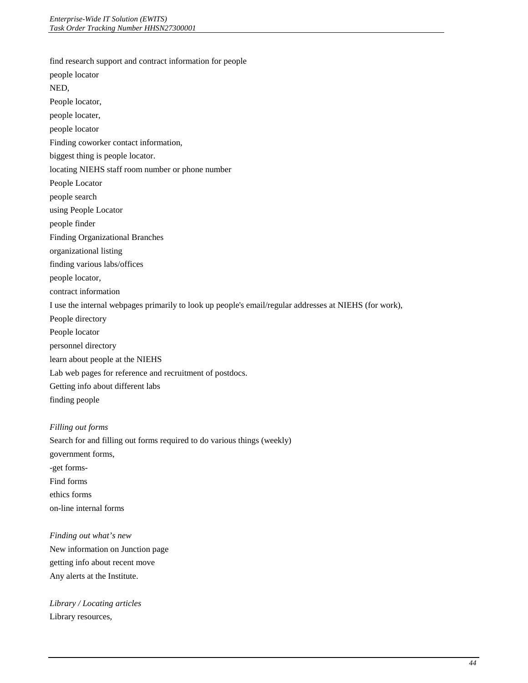find research support and contract information for people

people locator NED, People locator, people locater, people locator Finding coworker contact information, biggest thing is people locator. locating NIEHS staff room number or phone number People Locator people search using People Locator people finder Finding Organizational Branches organizational listing finding various labs/offices people locator, contract information I use the internal webpages primarily to look up people's email/regular addresses at NIEHS (for work), People directory People locator personnel directory learn about people at the NIEHS Lab web pages for reference and recruitment of postdocs. Getting info about different labs finding people

#### *Filling out forms*

Search for and filling out forms required to do various things (weekly) government forms, -get forms-Find forms ethics forms on-line internal forms

*Finding out what's new*  New information on Junction page getting info about recent move Any alerts at the Institute.

*Library / Locating articles*  Library resources,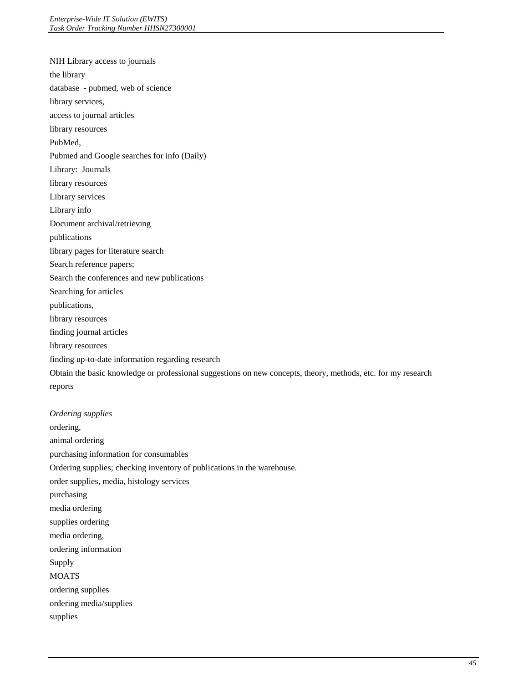NIH Library access to journals the library database - pubmed, web of science library services, access to journal articles library resources PubMed, Pubmed and Google searches for info (Daily) Library: Journals library resources Library services Library info Document archival/retrieving publications library pages for literature search Search reference papers; Search the conferences and new publications Searching for articles publications, library resources finding journal articles library resources finding up-to-date information regarding research Obtain the basic knowledge or professional suggestions on new concepts, theory, methods, etc. for my research reports *Ordering supplies* 

ordering, animal ordering purchasing information for consumables Ordering supplies; checking inventory of publications in the warehouse. order supplies, media, histology services purchasing media ordering supplies ordering media ordering, ordering information Supply MOATS ordering supplies ordering media/supplies supplies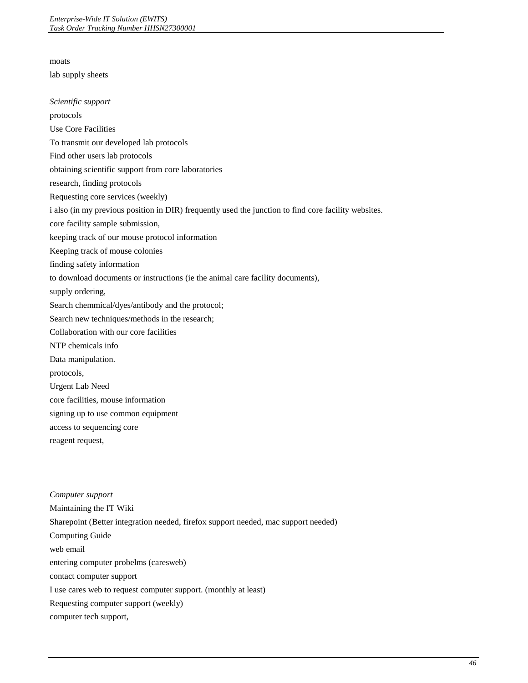moats lab supply sheets *Scientific support*  protocols Use Core Facilities To transmit our developed lab protocols Find other users lab protocols obtaining scientific support from core laboratories research, finding protocols Requesting core services (weekly) i also (in my previous position in DIR) frequently used the junction to find core facility websites. core facility sample submission, keeping track of our mouse protocol information Keeping track of mouse colonies finding safety information to download documents or instructions (ie the animal care facility documents), supply ordering, Search chemmical/dyes/antibody and the protocol; Search new techniques/methods in the research; Collaboration with our core facilities NTP chemicals info Data manipulation. protocols, Urgent Lab Need core facilities, mouse information signing up to use common equipment access to sequencing core reagent request,

*Computer support*  Maintaining the IT Wiki Sharepoint (Better integration needed, firefox support needed, mac support needed) Computing Guide web email entering computer probelms (caresweb) contact computer support I use cares web to request computer support. (monthly at least) Requesting computer support (weekly) computer tech support,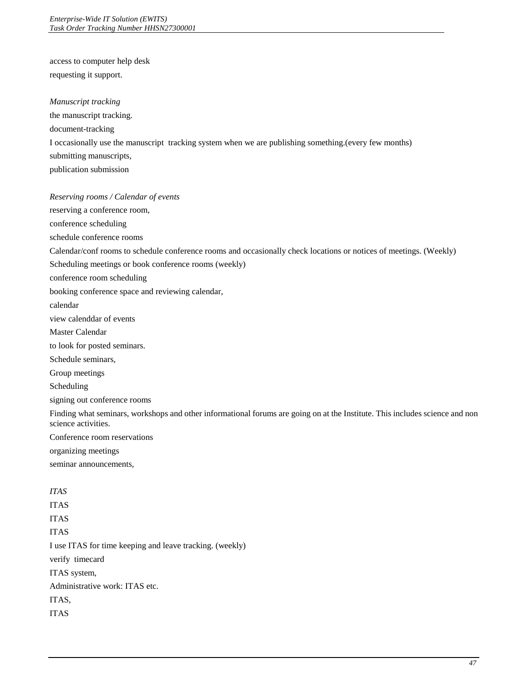access to computer help desk requesting it support.

*Manuscript tracking* 

the manuscript tracking. document-tracking I occasionally use the manuscript tracking system when we are publishing something.(every few months) submitting manuscripts, publication submission

*Reserving rooms / Calendar of events* 

reserving a conference room,

conference scheduling

schedule conference rooms

Calendar/conf rooms to schedule conference rooms and occasionally check locations or notices of meetings. (Weekly)

Scheduling meetings or book conference rooms (weekly)

conference room scheduling

booking conference space and reviewing calendar,

calendar

view calenddar of events

Master Calendar

to look for posted seminars.

Schedule seminars,

Group meetings

Scheduling

signing out conference rooms

Finding what seminars, workshops and other informational forums are going on at the Institute. This includes science and non science activities.

Conference room reservations

organizing meetings

seminar announcements,

*ITAS* 

ITAS

ITAS

ITAS

I use ITAS for time keeping and leave tracking. (weekly)

verify timecard

ITAS system,

Administrative work: ITAS etc.

ITAS,

ITAS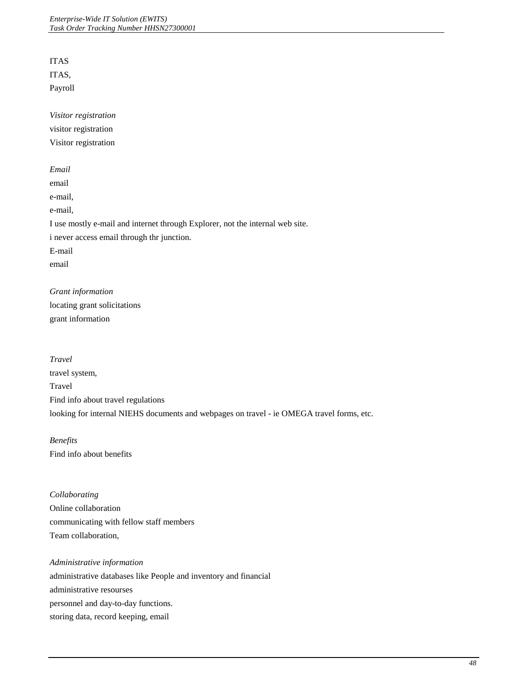ITAS

ITAS,

Payroll

*Visitor registration*  visitor registration Visitor registration

*Email*  email e-mail, e-mail, I use mostly e-mail and internet through Explorer, not the internal web site. i never access email through thr junction. E-mail email

*Grant information*  locating grant solicitations grant information

*Travel*  travel system, Travel Find info about travel regulations looking for internal NIEHS documents and webpages on travel - ie OMEGA travel forms, etc.

*Benefits*  Find info about benefits

*Collaborating*  Online collaboration communicating with fellow staff members Team collaboration,

# *Administrative information*  administrative databases like People and inventory and financial administrative resourses personnel and day-to-day functions. storing data, record keeping, email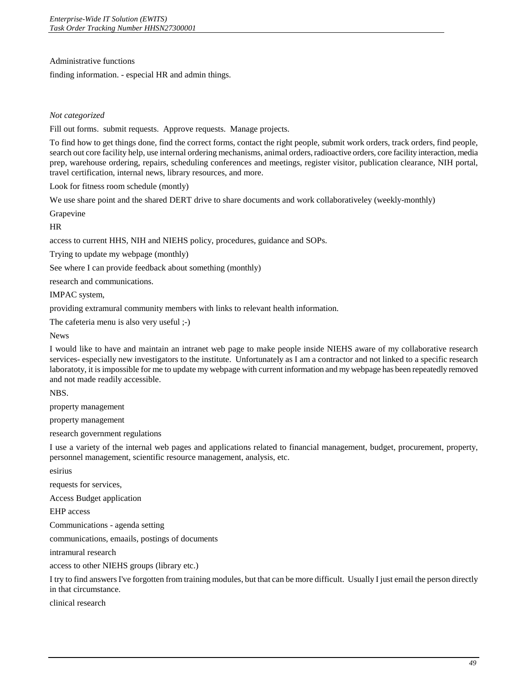Administrative functions

finding information. - especial HR and admin things.

# *Not categorized*

Fill out forms. submit requests. Approve requests. Manage projects.

To find how to get things done, find the correct forms, contact the right people, submit work orders, track orders, find people, search out core facility help, use internal ordering mechanisms, animal orders, radioactive orders, core facility interaction, media prep, warehouse ordering, repairs, scheduling conferences and meetings, register visitor, publication clearance, NIH portal, travel certification, internal news, library resources, and more.

Look for fitness room schedule (montly)

We use share point and the shared DERT drive to share documents and work collaborativeley (weekly-monthly)

Grapevine

HR

access to current HHS, NIH and NIEHS policy, procedures, guidance and SOPs.

Trying to update my webpage (monthly)

See where I can provide feedback about something (monthly)

research and communications.

IMPAC system,

providing extramural community members with links to relevant health information.

The cafeteria menu is also very useful ;-)

News

I would like to have and maintain an intranet web page to make people inside NIEHS aware of my collaborative research services- especially new investigators to the institute. Unfortunately as I am a contractor and not linked to a specific research laboratoty, it is impossible for me to update my webpage with current information and my webpage has been repeatedly removed and not made readily accessible.

NBS.

property management

property management

research government regulations

I use a variety of the internal web pages and applications related to financial management, budget, procurement, property, personnel management, scientific resource management, analysis, etc.

esirius

requests for services,

Access Budget application

EHP access

Communications - agenda setting

communications, emaails, postings of documents

intramural research

access to other NIEHS groups (library etc.)

I try to find answers I've forgotten from training modules, but that can be more difficult. Usually I just email the person directly in that circumstance.

clinical research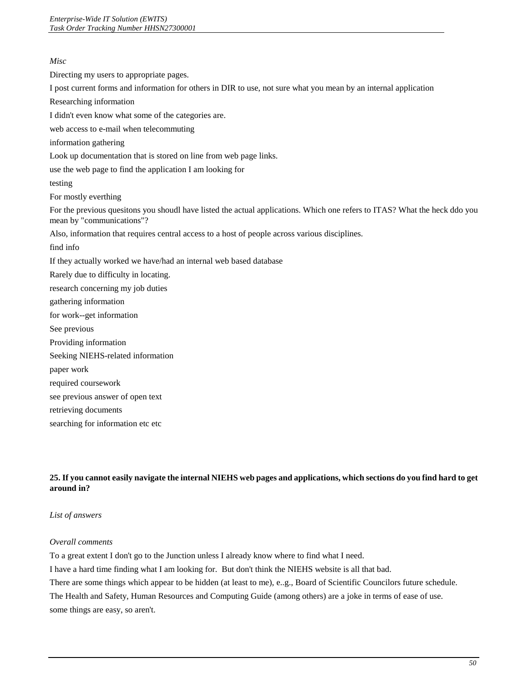# *Misc*  Directing my users to appropriate pages. I post current forms and information for others in DIR to use, not sure what you mean by an internal application Researching information I didn't even know what some of the categories are. web access to e-mail when telecommuting information gathering Look up documentation that is stored on line from web page links. use the web page to find the application I am looking for testing For mostly everthing For the previous quesitons you shoudl have listed the actual applications. Which one refers to ITAS? What the heck ddo you mean by "communications"? Also, information that requires central access to a host of people across various disciplines. find info If they actually worked we have/had an internal web based database Rarely due to difficulty in locating. research concerning my job duties gathering information for work--get information See previous Providing information Seeking NIEHS-related information paper work required coursework see previous answer of open text retrieving documents searching for information etc etc

# **25. If you cannot easily navigate the internal NIEHS web pages and applications, which sections do you find hard to get around in?**

# *List of answers*

# *Overall comments*

To a great extent I don't go to the Junction unless I already know where to find what I need.

I have a hard time finding what I am looking for. But don't think the NIEHS website is all that bad.

There are some things which appear to be hidden (at least to me), e..g., Board of Scientific Councilors future schedule.

The Health and Safety, Human Resources and Computing Guide (among others) are a joke in terms of ease of use.

some things are easy, so aren't.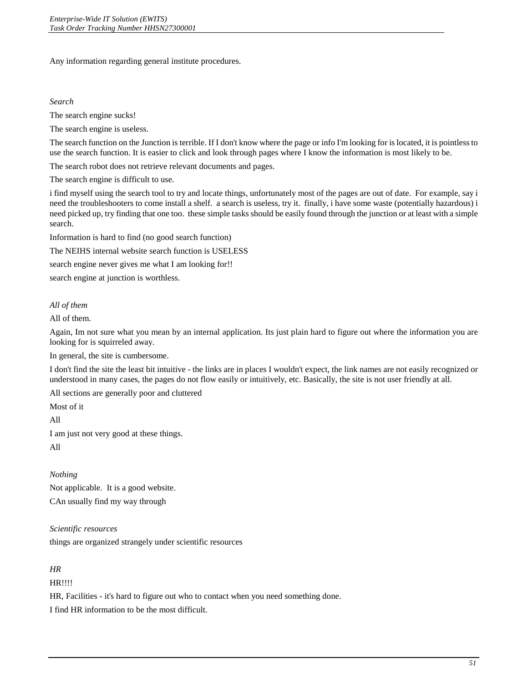Any information regarding general institute procedures.

#### *Search*

The search engine sucks!

The search engine is useless.

The search function on the Junction is terrible. If I don't know where the page or info I'm looking for is located, it is pointless to use the search function. It is easier to click and look through pages where I know the information is most likely to be.

The search robot does not retrieve relevant documents and pages.

The search engine is difficult to use.

i find myself using the search tool to try and locate things, unfortunately most of the pages are out of date. For example, say i need the troubleshooters to come install a shelf. a search is useless, try it. finally, i have some waste (potentially hazardous) i need picked up, try finding that one too. these simple tasks should be easily found through the junction or at least with a simple search.

Information is hard to find (no good search function)

The NEIHS internal website search function is USELESS

search engine never gives me what I am looking for!!

search engine at junction is worthless.

# *All of them*

All of them.

Again, Im not sure what you mean by an internal application. Its just plain hard to figure out where the information you are looking for is squirreled away.

In general, the site is cumbersome.

I don't find the site the least bit intuitive - the links are in places I wouldn't expect, the link names are not easily recognized or understood in many cases, the pages do not flow easily or intuitively, etc. Basically, the site is not user friendly at all.

All sections are generally poor and cluttered

Most of it

All

I am just not very good at these things.

All

*Nothing*  Not applicable. It is a good website. CAn usually find my way through

*Scientific resources* 

things are organized strangely under scientific resources

# *HR*

HR!!!!

HR, Facilities - it's hard to figure out who to contact when you need something done.

I find HR information to be the most difficult.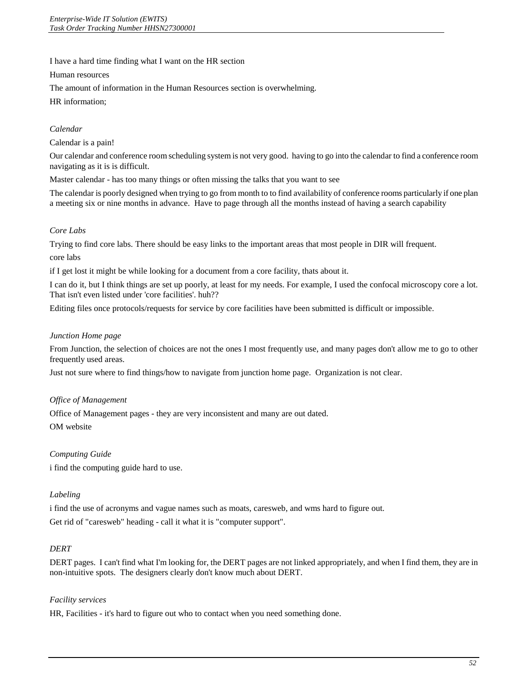I have a hard time finding what I want on the HR section

Human resources

The amount of information in the Human Resources section is overwhelming.

HR information;

# *Calendar*

Calendar is a pain!

Our calendar and conference room scheduling system is not very good. having to go into the calendar to find a conference room navigating as it is is difficult.

Master calendar - has too many things or often missing the talks that you want to see

The calendar is poorly designed when trying to go from month to to find availability of conference rooms particularly if one plan a meeting six or nine months in advance. Have to page through all the months instead of having a search capability

# *Core Labs*

Trying to find core labs. There should be easy links to the important areas that most people in DIR will frequent. core labs

if I get lost it might be while looking for a document from a core facility, thats about it.

I can do it, but I think things are set up poorly, at least for my needs. For example, I used the confocal microscopy core a lot. That isn't even listed under 'core facilities'. huh??

Editing files once protocols/requests for service by core facilities have been submitted is difficult or impossible.

# *Junction Home page*

From Junction, the selection of choices are not the ones I most frequently use, and many pages don't allow me to go to other frequently used areas.

Just not sure where to find things/how to navigate from junction home page. Organization is not clear.

# *Office of Management*

Office of Management pages - they are very inconsistent and many are out dated. OM website

# *Computing Guide*

i find the computing guide hard to use.

# *Labeling*

i find the use of acronyms and vague names such as moats, caresweb, and wms hard to figure out. Get rid of "caresweb" heading - call it what it is "computer support".

# *DERT*

 DERT pages. I can't find what I'm looking for, the DERT pages are not linked appropriately, and when I find them, they are in non-intuitive spots. The designers clearly don't know much about DERT.

# *Facility services*

HR, Facilities - it's hard to figure out who to contact when you need something done.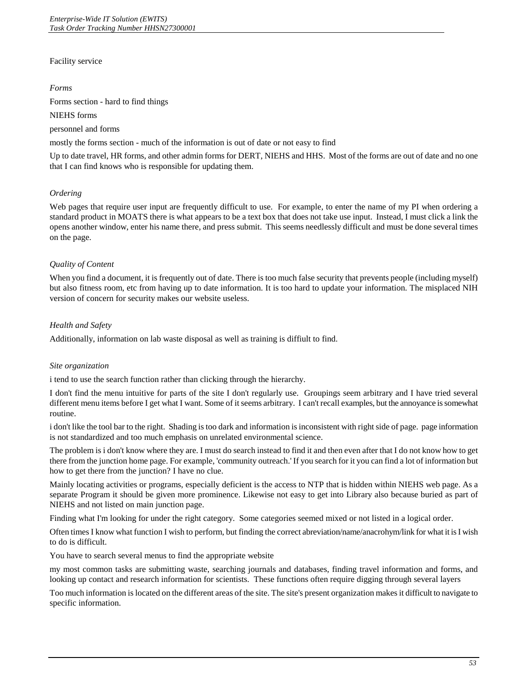# Facility service

#### *Forms*

Forms section - hard to find things

NIEHS forms

personnel and forms

mostly the forms section - much of the information is out of date or not easy to find

Up to date travel, HR forms, and other admin forms for DERT, NIEHS and HHS. Most of the forms are out of date and no one that I can find knows who is responsible for updating them.

# *Ordering*

 standard product in MOATS there is what appears to be a text box that does not take use input. Instead, I must click a link the Web pages that require user input are frequently difficult to use. For example, to enter the name of my PI when ordering a opens another window, enter his name there, and press submit. This seems needlessly difficult and must be done several times on the page.

# *Quality of Content*

 When you find a document, it is frequently out of date. There is too much false security that prevents people (including myself) but also fitness room, etc from having up to date information. It is too hard to update your information. The misplaced NIH version of concern for security makes our website useless.

# *Health and Safety*

Additionally, information on lab waste disposal as well as training is diffiult to find.

# *Site organization*

i tend to use the search function rather than clicking through the hierarchy.

 different menu items before I get what I want. Some of it seems arbitrary. I can't recall examples, but the annoyance is somewhat I don't find the menu intuitive for parts of the site I don't regularly use. Groupings seem arbitrary and I have tried several routine.

 i don't like the tool bar to the right. Shading is too dark and information is inconsistent with right side of page. page information is not standardized and too much emphasis on unrelated environmental science.

 The problem is i don't know where they are. I must do search instead to find it and then even after that I do not know how to get there from the junction home page. For example, 'community outreach.' If you search for it you can find a lot of information but how to get there from the junction? I have no clue.

 Mainly locating activities or programs, especially deficient is the access to NTP that is hidden within NIEHS web page. As a separate Program it should be given more prominence. Likewise not easy to get into Library also because buried as part of NIEHS and not listed on main junction page.

Finding what I'm looking for under the right category. Some categories seemed mixed or not listed in a logical order.

Often times I know what function I wish to perform, but finding the correct abreviation/name/anacrohym/link for what it is I wish to do is difficult.

You have to search several menus to find the appropriate website

my most common tasks are submitting waste, searching journals and databases, finding travel information and forms, and looking up contact and research information for scientists. These functions often require digging through several layers

Too much information is located on the different areas of the site. The site's present organization makes it difficult to navigate to specific information.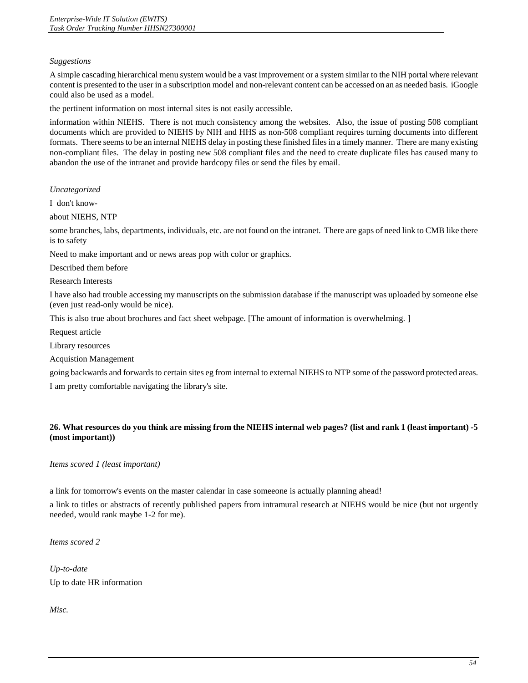# *Suggestions*

 A simple cascading hierarchical menu system would be a vast improvement or a system similar to the NIH portal where relevant content is presented to the user in a subscription model and non-relevant content can be accessed on an as needed basis. iGoogle could also be used as a model.

the pertinent information on most internal sites is not easily accessible.

 information within NIEHS. There is not much consistency among the websites. Also, the issue of posting 508 compliant non-compliant files. The delay in posting new 508 compliant files and the need to create duplicate files has caused many to documents which are provided to NIEHS by NIH and HHS as non-508 compliant requires turning documents into different formats. There seems to be an internal NIEHS delay in posting these finished files in a timely manner. There are many existing abandon the use of the intranet and provide hardcopy files or send the files by email.

*Uncategorized* 

I don't know-

about NIEHS, NTP

some branches, labs, departments, individuals, etc. are not found on the intranet. There are gaps of need link to CMB like there is to safety

Need to make important and or news areas pop with color or graphics.

Described them before

Research Interests

I have also had trouble accessing my manuscripts on the submission database if the manuscript was uploaded by someone else (even just read-only would be nice).

This is also true about brochures and fact sheet webpage. [The amount of information is overwhelming. ]

Request article

Library resources

Acquistion Management

going backwards and forwards to certain sites eg from internal to external NIEHS to NTP some of the password protected areas.

I am pretty comfortable navigating the library's site.

# **26. What resources do you think are missing from the NIEHS internal web pages? (list and rank 1 (least important) -5 (most important))**

*Items scored 1 (least important)* 

a link for tomorrow's events on the master calendar in case someeone is actually planning ahead!

 a link to titles or abstracts of recently published papers from intramural research at NIEHS would be nice (but not urgently needed, would rank maybe 1-2 for me).

*Items scored 2* 

*Up-to-date*  Up to date HR information

*Misc.*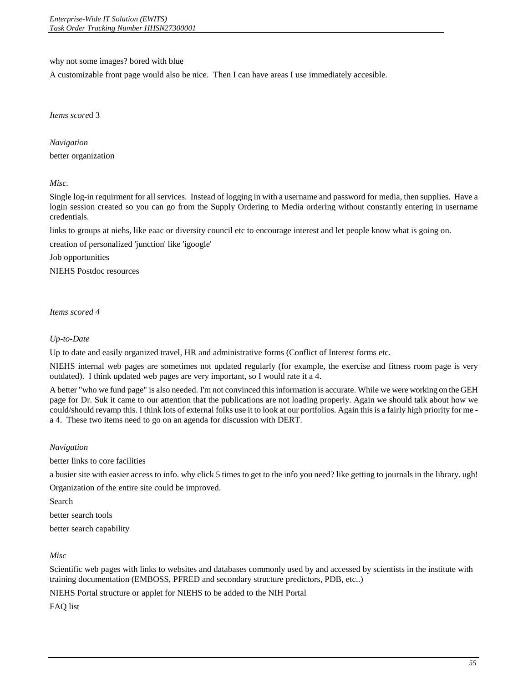why not some images? bored with blue

A customizable front page would also be nice. Then I can have areas I use immediately accesible.

*Items score*d 3

*Navigation*  better organization

*Misc.* 

 Single log-in requirment for all services. Instead of logging in with a username and password for media, then supplies. Have a login session created so you can go from the Supply Ordering to Media ordering without constantly entering in username credentials.

links to groups at niehs, like eaac or diversity council etc to encourage interest and let people know what is going on.

creation of personalized 'junction' like 'igoogle'

Job opportunities

NIEHS Postdoc resources

*Items scored 4* 

# *Up-to-Date*

Up to date and easily organized travel, HR and administrative forms (Conflict of Interest forms etc.

 NIEHS internal web pages are sometimes not updated regularly (for example, the exercise and fitness room page is very outdated). I think updated web pages are very important, so I would rate it a 4.

A better "who we fund page" is also needed. I'm not convinced this information is accurate. While we were working on the GEH page for Dr. Suk it came to our attention that the publications are not loading properly. Again we should talk about how we could/should revamp this. I think lots of external folks use it to look at our portfolios. Again this is a fairly high priority for me a 4. These two items need to go on an agenda for discussion with DERT.

# *Navigation*

better links to core facilities

a busier site with easier access to info. why click 5 times to get to the info you need? like getting to journals in the library. ugh!

Organization of the entire site could be improved.

Search

better search tools

better search capability

*Misc* 

Scientific web pages with links to websites and databases commonly used by and accessed by scientists in the institute with training documentation (EMBOSS, PFRED and secondary structure predictors, PDB, etc..)

NIEHS Portal structure or applet for NIEHS to be added to the NIH Portal

FAQ list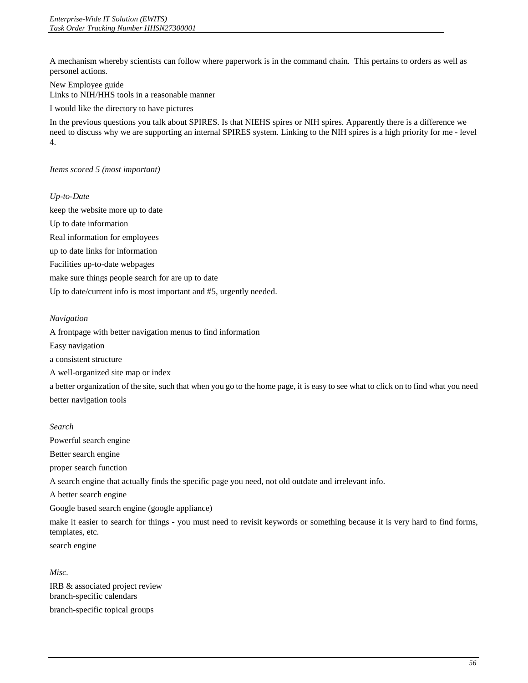A mechanism whereby scientists can follow where paperwork is in the command chain. This pertains to orders as well as personel actions.

New Employee guide Links to NIH/HHS tools in a reasonable manner

I would like the directory to have pictures

In the previous questions you talk about SPIRES. Is that NIEHS spires or NIH spires. Apparently there is a difference we need to discuss why we are supporting an internal SPIRES system. Linking to the NIH spires is a high priority for me - level 4.

# *Items scored 5 (most important)*

# *Up-to-Date*

 Facilities up-to-date webpages keep the website more up to date Up to date information Real information for employees up to date links for information make sure things people search for are up to date Up to date/current info is most important and #5, urgently needed.

# *Navigation*

A frontpage with better navigation menus to find information

Easy navigation

a consistent structure

A well-organized site map or index

 a better organization of the site, such that when you go to the home page, it is easy to see what to click on to find what you need better navigation tools

# *Search*

Powerful search engine

Better search engine

proper search function

A search engine that actually finds the specific page you need, not old outdate and irrelevant info.

A better search engine

Google based search engine (google appliance)

make it easier to search for things - you must need to revisit keywords or something because it is very hard to find forms, templates, etc.

search engine

*Misc.* 

IRB & associated project review branch-specific calendars branch-specific topical groups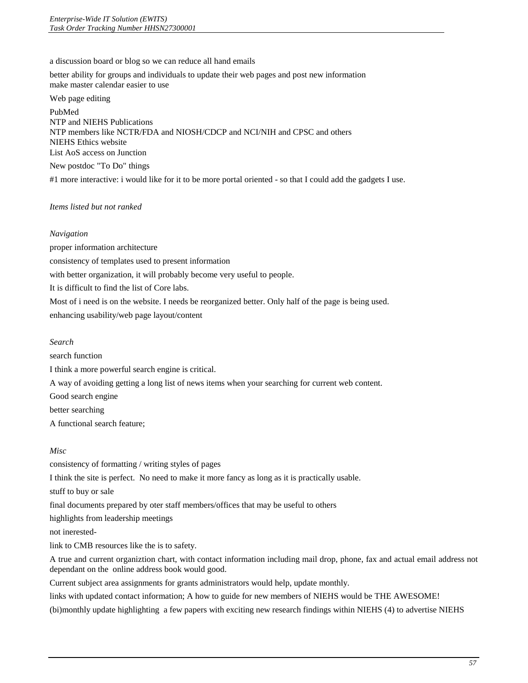a discussion board or blog so we can reduce all hand emails

better ability for groups and individuals to update their web pages and post new information make master calendar easier to use

Web page editing

PubMed NTP and NIEHS Publications NTP members like NCTR/FDA and NIOSH/CDCP and NCI/NIH and CPSC and others NIEHS Ethics website List AoS access on Junction

New postdoc "To Do" things

#1 more interactive: i would like for it to be more portal oriented - so that I could add the gadgets I use.

# *Items listed but not ranked*

#### *Navigation*

 proper information architecture consistency of templates used to present information with better organization, it will probably become very useful to people. It is difficult to find the list of Core labs. Most of i need is on the website. I needs be reorganized better. Only half of the page is being used. enhancing usability/web page layout/content

*Search* 

search function

I think a more powerful search engine is critical.

A way of avoiding getting a long list of news items when your searching for current web content.

Good search engine

better searching

A functional search feature;

# *Misc*

consistency of formatting / writing styles of pages I think the site is perfect. No need to make it more fancy as long as it is practically usable. stuff to buy or sale final documents prepared by oter staff members/offices that may be useful to others highlights from leadership meetings not inerestedlink to CMB resources like the is to safety. A true and current organiztion chart, with contact information including mail drop, phone, fax and actual email address not dependant on the online address book would good. Current subject area assignments for grants administrators would help, update monthly.

links with updated contact information; A how to guide for new members of NIEHS would be THE AWESOME!

(bi)monthly update highlighting a few papers with exciting new research findings within NIEHS (4) to advertise NIEHS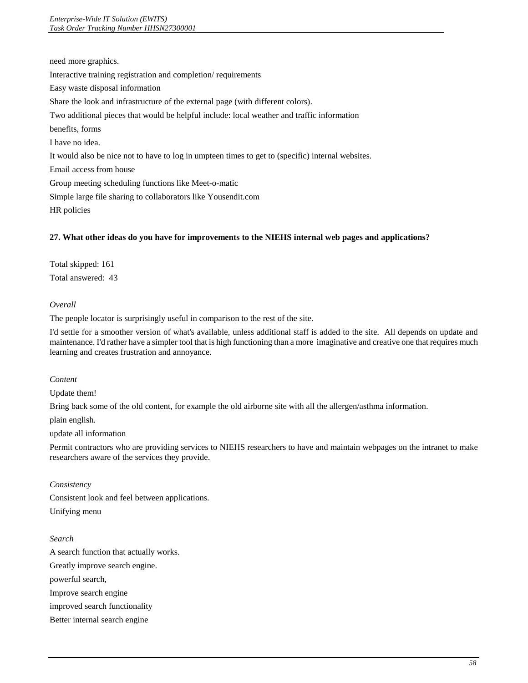need more graphics. Interactive training registration and completion/ requirements Easy waste disposal information Share the look and infrastructure of the external page (with different colors). Two additional pieces that would be helpful include: local weather and traffic information benefits, forms I have no idea. It would also be nice not to have to log in umpteen times to get to (specific) internal websites. Email access from house Group meeting scheduling functions like Meet-o-matic Simple large file sharing to collaborators like Yousendit.com HR policies

# **27. What other ideas do you have for improvements to the NIEHS internal web pages and applications?**

Total skipped: 161 Total answered: 43

# *Overall*

The people locator is surprisingly useful in comparison to the rest of the site.

I'd settle for a smoother version of what's available, unless additional staff is added to the site. All depends on update and maintenance. I'd rather have a simpler tool that is high functioning than a more imaginative and creative one that requires much learning and creates frustration and annoyance.

# *Content*

Update them!

Bring back some of the old content, for example the old airborne site with all the allergen/asthma information.

plain english.

update all information

Permit contractors who are providing services to NIEHS researchers to have and maintain webpages on the intranet to make researchers aware of the services they provide.

# *Consistency*

Consistent look and feel between applications. Unifying menu

# *Search*

 A search function that actually works. Greatly improve search engine. powerful search, Improve search engine improved search functionality Better internal search engine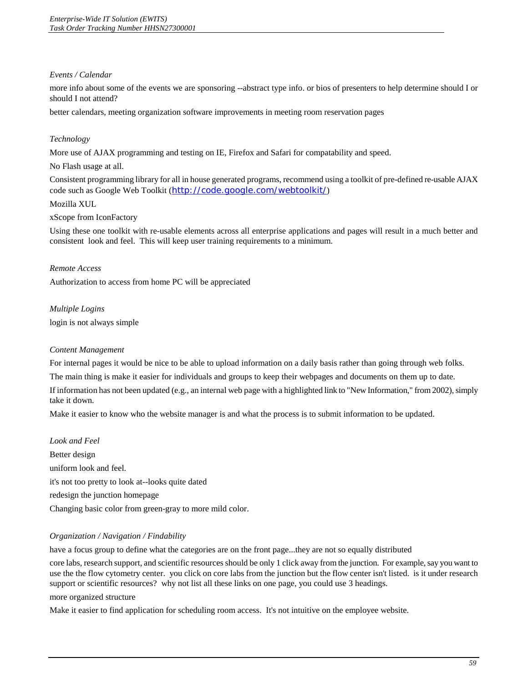# *Events / Calendar*

 more info about some of the events we are sponsoring --abstract type info. or bios of presenters to help determine should I or should I not attend?

better calendars, meeting organization software improvements in meeting room reservation pages

# *Technology*

More use of AJAX programming and testing on IE, Firefox and Safari for compatability and speed.

No Flash usage at all.

Consistent programming library for all in house generated programs, recommend using a toolkit of pre-defined re-usable AJAX code such as Google Web Toolkit (<http://code.google.com/webtoolkit/>)

# Mozilla XUL

xScope from IconFactory

Using these one toolkit with re-usable elements across all enterprise applications and pages will result in a much better and consistent look and feel. This will keep user training requirements to a minimum.

# *Remote Access*

Authorization to access from home PC will be appreciated

*Multiple Logins*  login is not always simple

# *Content Management*

For internal pages it would be nice to be able to upload information on a daily basis rather than going through web folks.

The main thing is make it easier for individuals and groups to keep their webpages and documents on them up to date.

If information has not been updated (e.g., an internal web page with a highlighted link to "New Information," from 2002), simply take it down.

Make it easier to know who the website manager is and what the process is to submit information to be updated.

*Look and Feel*  Better design uniform look and feel. it's not too pretty to look at--looks quite dated redesign the junction homepage Changing basic color from green-gray to more mild color.

# *Organization / Navigation / Findability*

have a focus group to define what the categories are on the front page...they are not so equally distributed

core labs, research support, and scientific resources should be only 1 click away from the junction. For example, say you want to use the the flow cytometry center. you click on core labs from the junction but the flow center isn't listed. is it under research support or scientific resources? why not list all these links on one page, you could use 3 headings.

#### more organized structure

Make it easier to find application for scheduling room access. It's not intuitive on the employee website.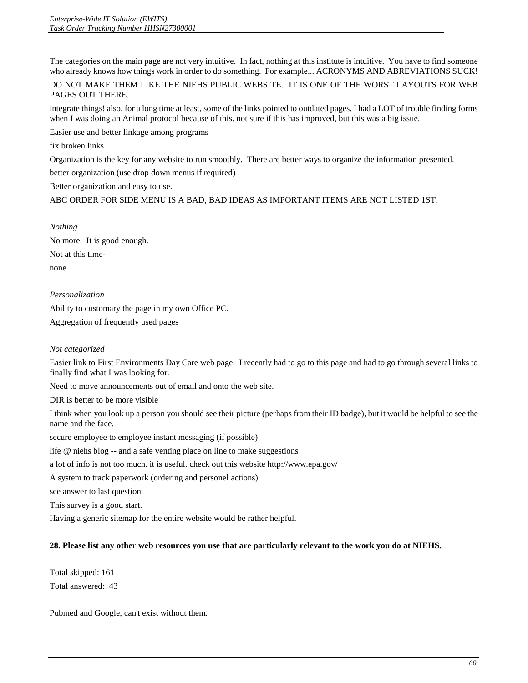The categories on the main page are not very intuitive. In fact, nothing at this institute is intuitive. You have to find someone who already knows how things work in order to do something. For example... ACRONYMS AND ABREVIATIONS SUCK!

DO NOT MAKE THEM LIKE THE NIEHS PUBLIC WEBSITE. IT IS ONE OF THE WORST LAYOUTS FOR WEB PAGES OUT THERE.

integrate things! also, for a long time at least, some of the links pointed to outdated pages. I had a LOT of trouble finding forms when I was doing an Animal protocol because of this. not sure if this has improved, but this was a big issue.

Easier use and better linkage among programs

fix broken links

Organization is the key for any website to run smoothly. There are better ways to organize the information presented.

better organization (use drop down menus if required)

Better organization and easy to use.

ABC ORDER FOR SIDE MENU IS A BAD, BAD IDEAS AS IMPORTANT ITEMS ARE NOT LISTED 1ST.

*Nothing* 

No more. It is good enough. Not at this timenone

# *Personalization*

Ability to customary the page in my own Office PC. Aggregation of frequently used pages

# *Not categorized*

 Easier link to First Environments Day Care web page. I recently had to go to this page and had to go through several links to finally find what I was looking for.

Need to move announcements out of email and onto the web site.

DIR is better to be more visible

I think when you look up a person you should see their picture (perhaps from their ID badge), but it would be helpful to see the name and the face.

secure employee to employee instant messaging (if possible)

life @ niehs blog -- and a safe venting place on line to make suggestions

a lot of info is not too much. it is useful. check out this website http://www.epa.gov/

A system to track paperwork (ordering and personel actions)

see answer to last question.

This survey is a good start.

Having a generic sitemap for the entire website would be rather helpful.

# **28. Please list any other web resources you use that are particularly relevant to the work you do at NIEHS.**

Total skipped: 161 Total answered: 43

Pubmed and Google, can't exist without them.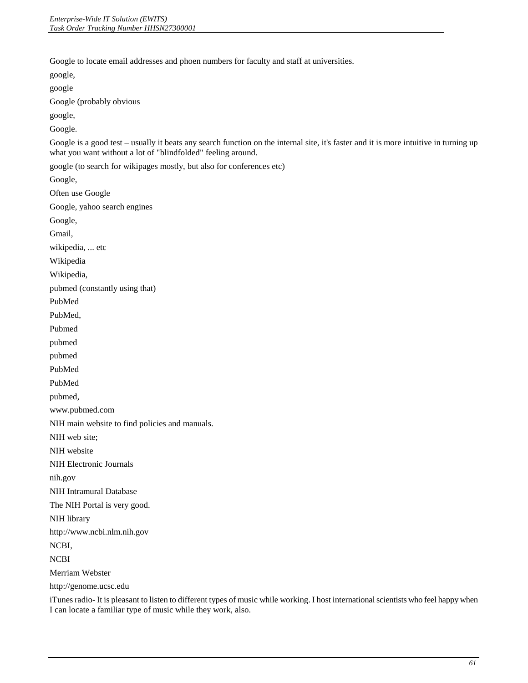Google to locate email addresses and phoen numbers for faculty and staff at universities.

google, google Google (probably obvious google, Google. Google is a good test – usually it beats any search function on the internal site, it's faster and it is more intuitive in turning up what you want without a lot of "blindfolded" feeling around. google (to search for wikipages mostly, but also for conferences etc) Google, Often use Google Google, yahoo search engines Google, Gmail, wikipedia, ... etc Wikipedia Wikipedia, pubmed (constantly using that) PubMed PubMed, Pubmed pubmed pubmed PubMed PubMed pubmed, www.pubmed.com NIH main website to find policies and manuals. NIH web site; NIH website NIH Electronic Journals nih.gov NIH Intramural Database The NIH Portal is very good. NIH library [http://www.ncbi.nlm.nih.gov](http://www.ncbi.nlm.nih.gov/) NCBI, NCBI Merriam Webster http://genome.ucsc.edu

iTunes radio- It is pleasant to listen to different types of music while working. I host international scientists who feel happy when I can locate a familiar type of music while they work, also.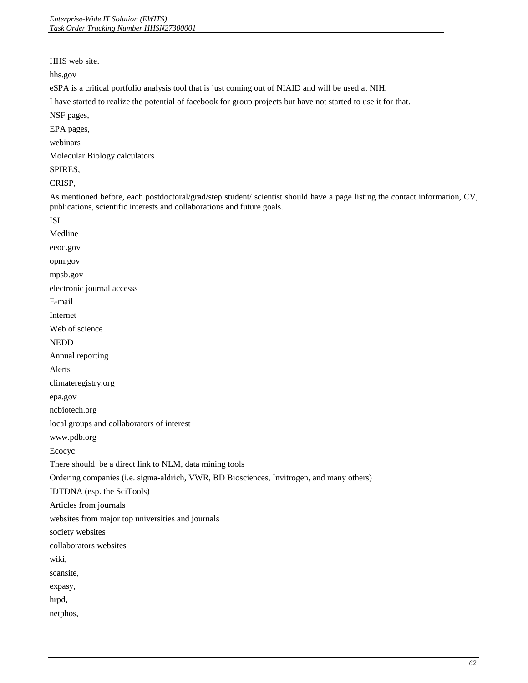HHS web site.

[hhs.gov](http://hhs.gov)

eSPA is a critical portfolio analysis tool that is just coming out of NIAID and will be used at NIH.

I have started to realize the potential of facebook for group projects but have not started to use it for that.

NSF pages,

EPA pages,

webinars

Molecular Biology calculators

SPIRES,

CRISP,

As mentioned before, each postdoctoral/grad/step student/ scientist should have a page listing the contact information, CV, publications, scientific interests and collaborations and future goals.

| <b>ISI</b>                                                                                |
|-------------------------------------------------------------------------------------------|
| Medline                                                                                   |
| eeoc.gov                                                                                  |
| opm.gov                                                                                   |
| mpsb.gov                                                                                  |
| electronic journal accesss                                                                |
| E-mail                                                                                    |
| Internet                                                                                  |
| Web of science                                                                            |
| <b>NEDD</b>                                                                               |
| Annual reporting                                                                          |
| Alerts                                                                                    |
| climateregistry.org                                                                       |
| epa.gov                                                                                   |
| ncbiotech.org                                                                             |
| local groups and collaborators of interest                                                |
| www.pdb.org                                                                               |
| Ecocyc                                                                                    |
| There should be a direct link to NLM, data mining tools                                   |
| Ordering companies (i.e. sigma-aldrich, VWR, BD Biosciences, Invitrogen, and many others) |
| IDTDNA (esp. the SciTools)                                                                |
| Articles from journals                                                                    |
| websites from major top universities and journals                                         |
| society websites                                                                          |
| collaborators websites                                                                    |
| wiki,                                                                                     |
| scansite,                                                                                 |
| expasy,                                                                                   |
| hrpd,                                                                                     |
| netphos,                                                                                  |
|                                                                                           |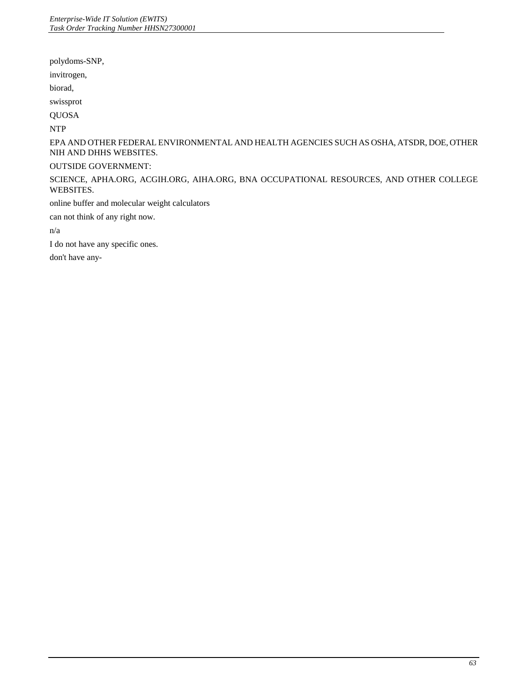polydoms-SNP,

invitrogen,

biorad,

swissprot

QUOSA

NTP

EPA AND OTHER FEDERAL ENVIRONMENTAL AND HEALTH AGENCIES SUCH AS OSHA, ATSDR, DOE, OTHER NIH AND DHHS WEBSITES.

# OUTSIDE GOVERNMENT:

SCIENCE, APHA.ORG, ACGIH.ORG, AIHA.ORG, BNA OCCUPATIONAL RESOURCES, AND OTHER COLLEGE WEBSITES.

online buffer and molecular weight calculators

can not think of any right now.

n/a

I do not have any specific ones.

don't have any-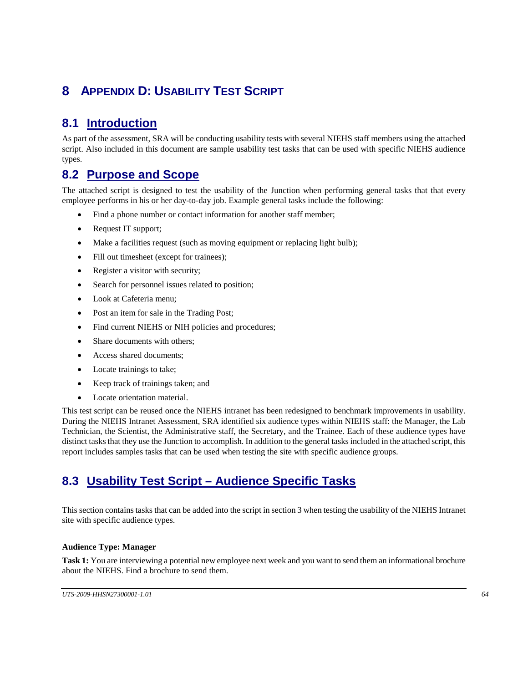# **8 APPENDIX D: USABILITY TEST SCRIPT**

# **8.1 Introduction**

 As part of the assessment, SRA will be conducting usability tests with several NIEHS staff members using the attached script. Also included in this document are sample usability test tasks that can be used with specific NIEHS audience types.

# **8.2 Purpose and Scope**

 The attached script is designed to test the usability of the Junction when performing general tasks that that every employee performs in his or her day-to-day job. Example general tasks include the following:

- Find a phone number or contact information for another staff member;
- Request IT support;
- Make a facilities request (such as moving equipment or replacing light bulb);
- Fill out timesheet (except for trainees);
- Register a visitor with security;
- Search for personnel issues related to position;
- Look at Cafeteria menu;
- Post an item for sale in the Trading Post;
- Find current NIEHS or NIH policies and procedures;
- Share documents with others:
- Access shared documents;
- Locate trainings to take;
- Keep track of trainings taken; and
- Locate orientation material.

 During the NIEHS Intranet Assessment, SRA identified six audience types within NIEHS staff: the Manager, the Lab Technician, the Scientist, the Administrative staff, the Secretary, and the Trainee. Each of these audience types have distinct tasks that they use the Junction to accomplish. In addition to the general tasks included in the attached script, this This test script can be reused once the NIEHS intranet has been redesigned to benchmark improvements in usability. report includes samples tasks that can be used when testing the site with specific audience groups.

# **8.3 Usability Test Script – Audience Specific Tasks**

 This section contains tasks that can be added into the script in section 3 when testing the usability of the NIEHS Intranet site with specific audience types.

# **Audience Type: Manager**

 **Task 1:** You are interviewing a potential new employee next week and you want to send them an informational brochure about the NIEHS. Find a brochure to send them.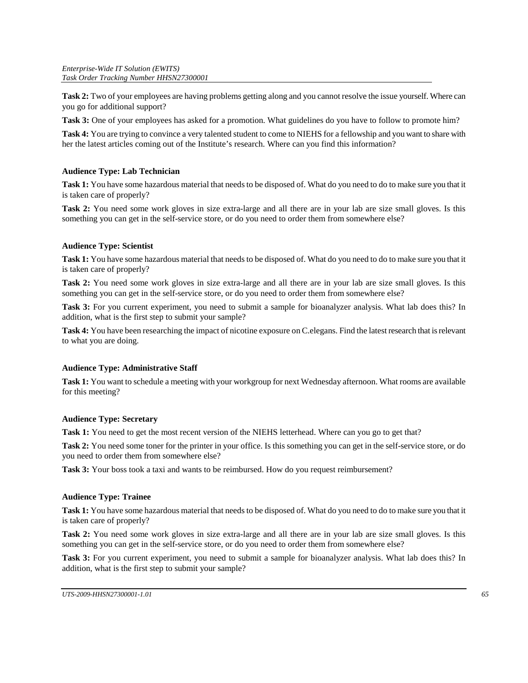**Task 2:** Two of your employees are having problems getting along and you cannot resolve the issue yourself. Where can you go for additional support?

**Task 3:** One of your employees has asked for a promotion. What guidelines do you have to follow to promote him?

 **Task 4:** You are trying to convince a very talented student to come to NIEHS for a fellowship and you want to share with her the latest articles coming out of the Institute's research. Where can you find this information?

# **Audience Type: Lab Technician**

 **Task 1:** You have some hazardous material that needs to be disposed of. What do you need to do to make sure you that it is taken care of properly?

 **Task 2:** You need some work gloves in size extra-large and all there are in your lab are size small gloves. Is this something you can get in the self-service store, or do you need to order them from somewhere else?

# **Audience Type: Scientist**

 **Task 1:** You have some hazardous material that needs to be disposed of. What do you need to do to make sure you that it is taken care of properly?

**Task 2:** You need some work gloves in size extra-large and all there are in your lab are size small gloves. Is this something you can get in the self-service store, or do you need to order them from somewhere else?

 **Task 3:** For you current experiment, you need to submit a sample for bioanalyzer analysis. What lab does this? In addition, what is the first step to submit your sample?

 **Task 4:** You have been researching the impact of nicotine exposure on C.elegans. Find the latest research that is relevant to what you are doing.

# **Audience Type: Administrative Staff**

**Task 1:** You want to schedule a meeting with your workgroup for next Wednesday afternoon. What rooms are available for this meeting?

# **Audience Type: Secretary**

Task 1: You need to get the most recent version of the NIEHS letterhead. Where can you go to get that?

**Task 2:** You need some toner for the printer in your office. Is this something you can get in the self-service store, or do you need to order them from somewhere else?

**Task 3:** Your boss took a taxi and wants to be reimbursed. How do you request reimbursement?

#### **Audience Type: Trainee**

 **Task 1:** You have some hazardous material that needs to be disposed of. What do you need to do to make sure you that it is taken care of properly?

 **Task 2:** You need some work gloves in size extra-large and all there are in your lab are size small gloves. Is this something you can get in the self-service store, or do you need to order them from somewhere else?

 **Task 3:** For you current experiment, you need to submit a sample for bioanalyzer analysis. What lab does this? In addition, what is the first step to submit your sample?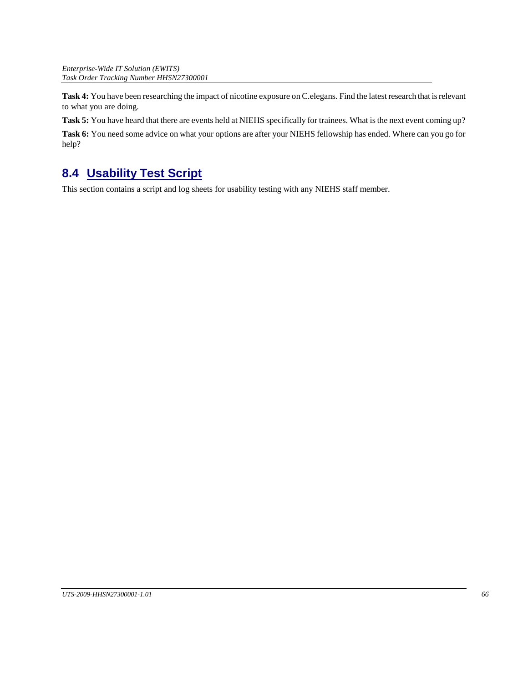**Task 4:** You have been researching the impact of nicotine exposure on C.elegans. Find the latest research that is relevant to what you are doing.

**Task 5:** You have heard that there are events held at NIEHS specifically for trainees. What is the next event coming up?

**Task 6:** You need some advice on what your options are after your NIEHS fellowship has ended. Where can you go for help?

# **8.4 Usability Test Script**

This section contains a script and log sheets for usability testing with any NIEHS staff member.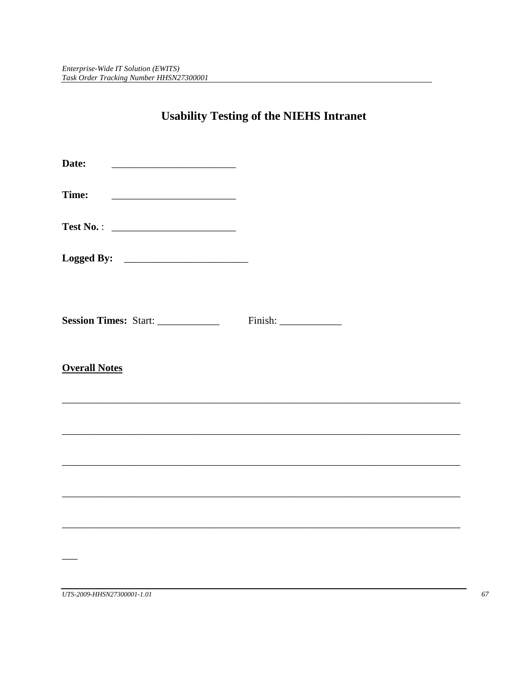# **Usability Testing of the NIEHS Intranet**

| Date:                 |  |
|-----------------------|--|
| Time:                 |  |
|                       |  |
|                       |  |
| Session Times: Start: |  |
| <b>Overall Notes</b>  |  |
|                       |  |
|                       |  |
|                       |  |
|                       |  |
|                       |  |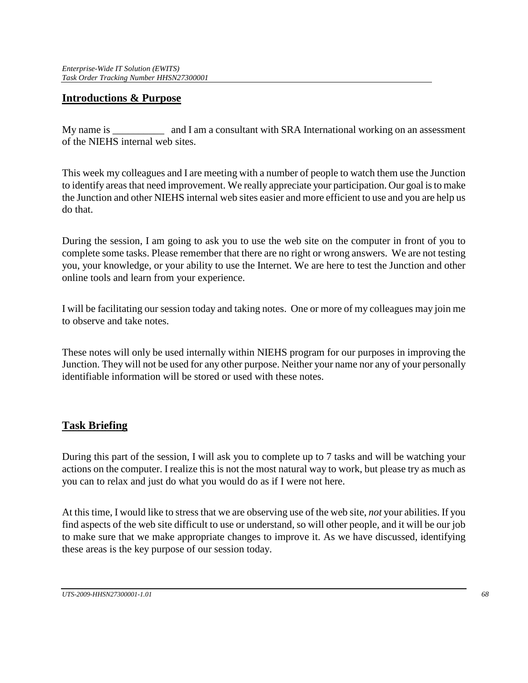# **Introductions & Purpose**

My name is and I am a consultant with SRA International working on an assessment of the NIEHS internal web sites.

 This week my colleagues and I are meeting with a number of people to watch them use the Junction to identify areas that need improvement. We really appreciate your participation. Our goal is to make the Junction and other NIEHS internal web sites easier and more efficient to use and you are help us do that.

 you, your knowledge, or your ability to use the Internet. We are here to test the Junction and other During the session, I am going to ask you to use the web site on the computer in front of you to complete some tasks. Please remember that there are no right or wrong answers. We are not testing online tools and learn from your experience.

I will be facilitating our session today and taking notes. One or more of my colleagues may join me to observe and take notes.

These notes will only be used internally within NIEHS program for our purposes in improving the Junction. They will not be used for any other purpose. Neither your name nor any of your personally identifiable information will be stored or used with these notes.

# **Task Briefing**

 During this part of the session, I will ask you to complete up to 7 tasks and will be watching your actions on the computer. I realize this is not the most natural way to work, but please try as much as you can to relax and just do what you would do as if I were not here.

 find aspects of the web site difficult to use or understand, so will other people, and it will be our job At this time, I would like to stress that we are observing use of the web site, *not* your abilities. If you to make sure that we make appropriate changes to improve it. As we have discussed, identifying these areas is the key purpose of our session today.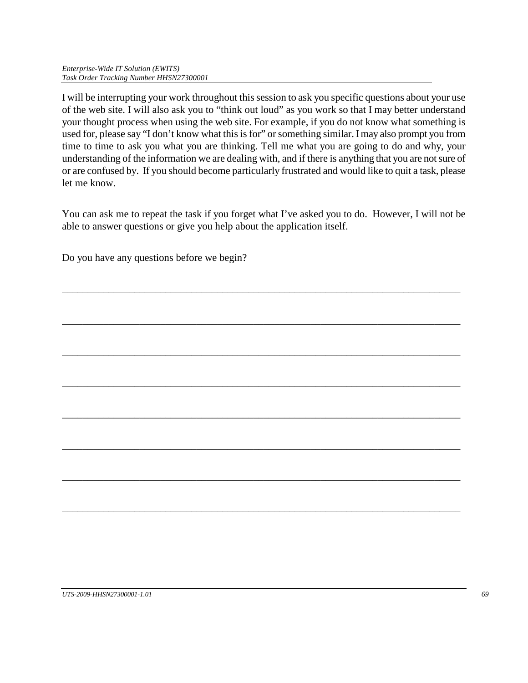*Enterprise-Wide IT Solution (EWITS) Task Order Tracking Number HHSN27300001*

 of the web site. I will also ask you to "think out loud" as you work so that I may better understand your thought process when using the web site. For example, if you do not know what something is used for, please say "I don't know what this is for" or something similar. I may also prompt you from understanding of the information we are dealing with, and if there is anything that you are not sure of or are confused by. If you should become particularly frustrated and would like to quit a task, please I will be interrupting your work throughout this session to ask you specific questions about your use time to time to ask you what you are thinking. Tell me what you are going to do and why, your let me know.

 You can ask me to repeat the task if you forget what I've asked you to do. However, I will not be able to answer questions or give you help about the application itself.

\_\_\_\_\_\_\_\_\_\_\_\_\_\_\_\_\_\_\_\_\_\_\_\_\_\_\_\_\_\_\_\_\_\_\_\_\_\_\_\_\_\_\_\_\_\_\_\_\_\_\_\_\_\_\_\_\_\_\_\_\_\_\_\_\_\_\_\_\_\_\_\_\_\_\_\_\_

\_\_\_\_\_\_\_\_\_\_\_\_\_\_\_\_\_\_\_\_\_\_\_\_\_\_\_\_\_\_\_\_\_\_\_\_\_\_\_\_\_\_\_\_\_\_\_\_\_\_\_\_\_\_\_\_\_\_\_\_\_\_\_\_\_\_\_\_\_\_\_\_\_\_\_\_\_

\_\_\_\_\_\_\_\_\_\_\_\_\_\_\_\_\_\_\_\_\_\_\_\_\_\_\_\_\_\_\_\_\_\_\_\_\_\_\_\_\_\_\_\_\_\_\_\_\_\_\_\_\_\_\_\_\_\_\_\_\_\_\_\_\_\_\_\_\_\_\_\_\_\_\_\_\_

\_\_\_\_\_\_\_\_\_\_\_\_\_\_\_\_\_\_\_\_\_\_\_\_\_\_\_\_\_\_\_\_\_\_\_\_\_\_\_\_\_\_\_\_\_\_\_\_\_\_\_\_\_\_\_\_\_\_\_\_\_\_\_\_\_\_\_\_\_\_\_\_\_\_\_\_\_

\_\_\_\_\_\_\_\_\_\_\_\_\_\_\_\_\_\_\_\_\_\_\_\_\_\_\_\_\_\_\_\_\_\_\_\_\_\_\_\_\_\_\_\_\_\_\_\_\_\_\_\_\_\_\_\_\_\_\_\_\_\_\_\_\_\_\_\_\_\_\_\_\_\_\_\_\_

\_\_\_\_\_\_\_\_\_\_\_\_\_\_\_\_\_\_\_\_\_\_\_\_\_\_\_\_\_\_\_\_\_\_\_\_\_\_\_\_\_\_\_\_\_\_\_\_\_\_\_\_\_\_\_\_\_\_\_\_\_\_\_\_\_\_\_\_\_\_\_\_\_\_\_\_\_

\_\_\_\_\_\_\_\_\_\_\_\_\_\_\_\_\_\_\_\_\_\_\_\_\_\_\_\_\_\_\_\_\_\_\_\_\_\_\_\_\_\_\_\_\_\_\_\_\_\_\_\_\_\_\_\_\_\_\_\_\_\_\_\_\_\_\_\_\_\_\_\_\_\_\_\_\_

\_\_\_\_\_\_\_\_\_\_\_\_\_\_\_\_\_\_\_\_\_\_\_\_\_\_\_\_\_\_\_\_\_\_\_\_\_\_\_\_\_\_\_\_\_\_\_\_\_\_\_\_\_\_\_\_\_\_\_\_\_\_\_\_\_\_\_\_\_\_\_\_\_\_\_\_\_

Do you have any questions before we begin?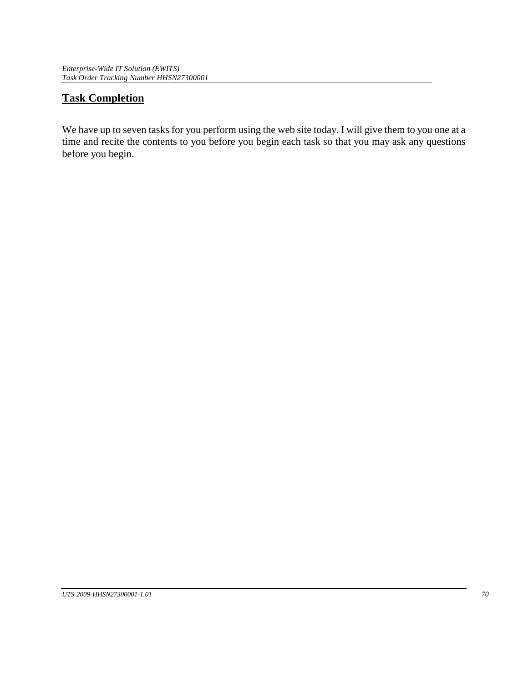# **Task Completion**

We have up to seven tasks for you perform using the web site today. I will give them to you one at a time and recite the contents to you before you begin each task so that you may ask any questions before you begin.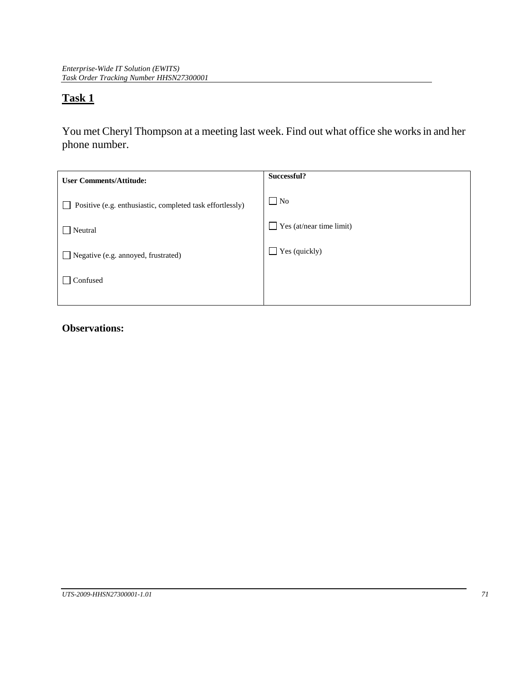You met Cheryl Thompson at a meeting last week. Find out what office she works in and her phone number.

| <b>User Comments/Attitude:</b>                            | Successful?                     |
|-----------------------------------------------------------|---------------------------------|
| Positive (e.g. enthusiastic, completed task effortlessly) | $\Box$ No                       |
| Neutral                                                   | $\Box$ Yes (at/near time limit) |
| Negative (e.g. annoyed, frustrated)                       | $\Box$ Yes (quickly)            |
| Confused                                                  |                                 |
|                                                           |                                 |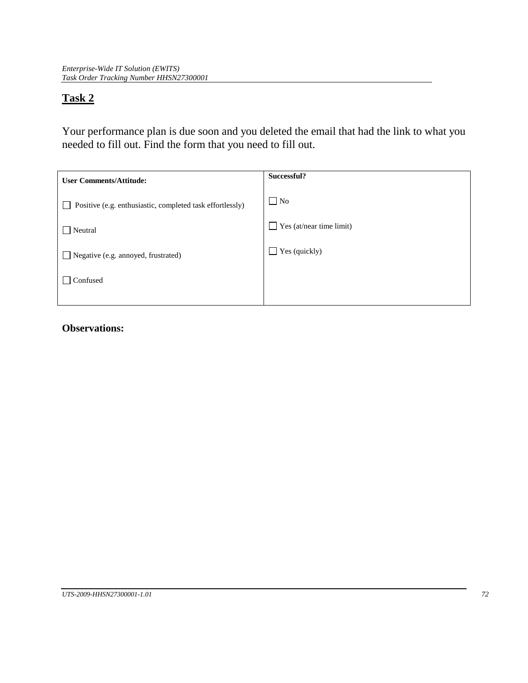Your performance plan is due soon and you deleted the email that had the link to what you needed to fill out. Find the form that you need to fill out.

| <b>User Comments/Attitude:</b>                            | Successful?                     |
|-----------------------------------------------------------|---------------------------------|
| Positive (e.g. enthusiastic, completed task effortlessly) | $\Box$ No                       |
| Neutral                                                   | $\Box$ Yes (at/near time limit) |
| Negative (e.g. annoyed, frustrated)                       | $\Box$ Yes (quickly)            |
| Confused                                                  |                                 |
|                                                           |                                 |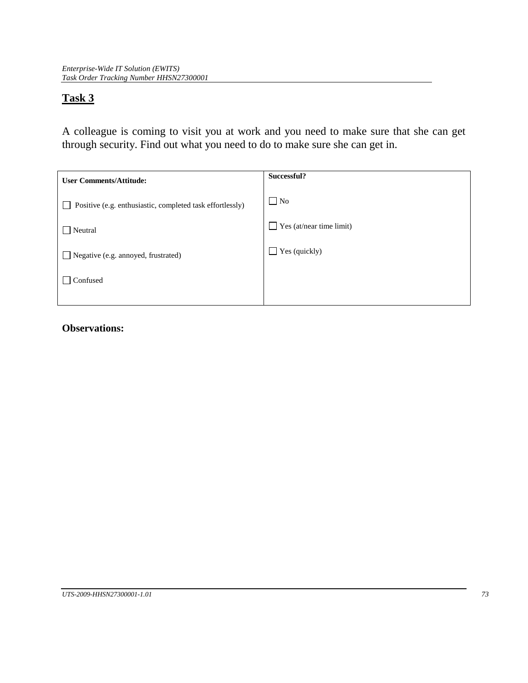A colleague is coming to visit you at work and you need to make sure that she can get through security. Find out what you need to do to make sure she can get in.

| <b>User Comments/Attitude:</b>                            | Successful?                              |
|-----------------------------------------------------------|------------------------------------------|
| Positive (e.g. enthusiastic, completed task effortlessly) | $\Box$ No                                |
| Neutral                                                   | Yes (at/near time limit)<br>$\mathsf{L}$ |
| Negative (e.g. annoyed, frustrated)                       | $\Box$ Yes (quickly)                     |
| Confused                                                  |                                          |
|                                                           |                                          |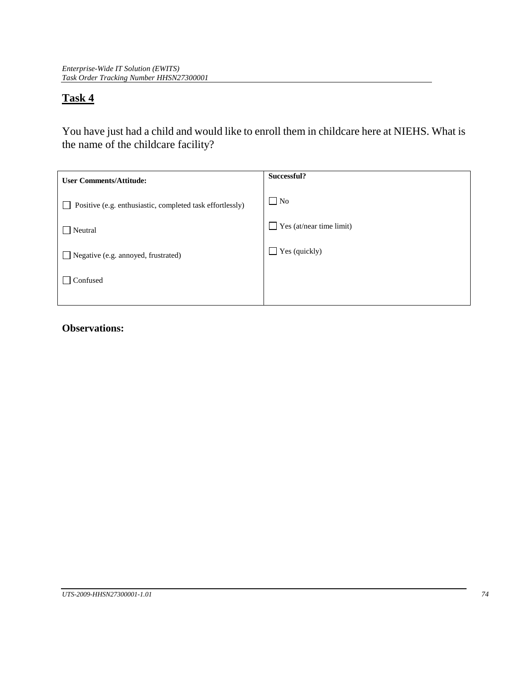You have just had a child and would like to enroll them in childcare here at NIEHS. What is the name of the childcare facility?

| <b>User Comments/Attitude:</b>                            | Successful?                     |
|-----------------------------------------------------------|---------------------------------|
| Positive (e.g. enthusiastic, completed task effortlessly) | $\Box$ No                       |
| Neutral                                                   | $\Box$ Yes (at/near time limit) |
| Negative (e.g. annoyed, frustrated)                       | $\Box$ Yes (quickly)            |
| Confused                                                  |                                 |
|                                                           |                                 |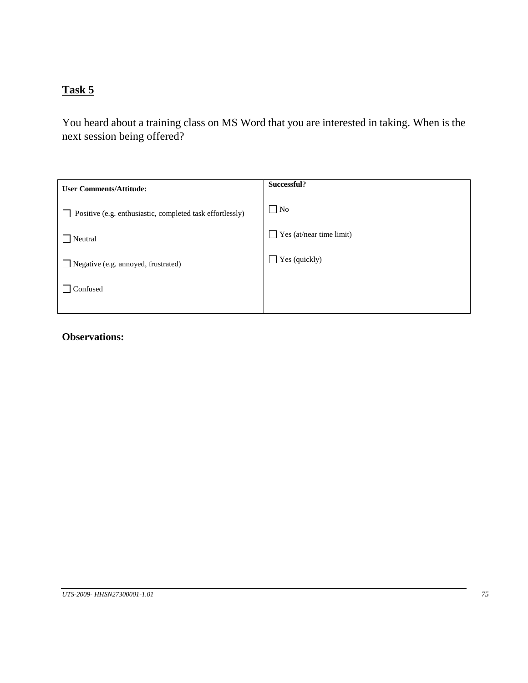You heard about a training class on MS Word that you are interested in taking. When is the next session being offered?

| <b>User Comments/Attitude:</b>                            | Successful?              |
|-----------------------------------------------------------|--------------------------|
| Positive (e.g. enthusiastic, completed task effortlessly) | $\Box$ No                |
| Neutral                                                   | Yes (at/near time limit) |
| Negative (e.g. annoyed, frustrated)                       | Yes (quickly)<br>LΓ      |
| Confused                                                  |                          |
|                                                           |                          |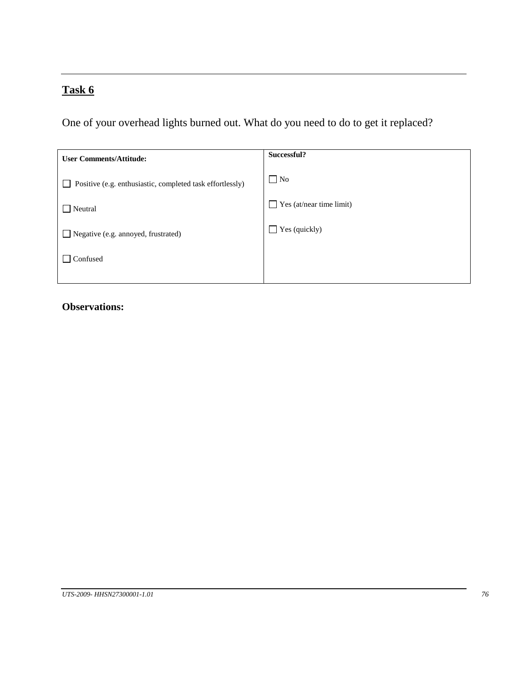One of your overhead lights burned out. What do you need to do to get it replaced?

| <b>User Comments/Attitude:</b>                            | Successful?              |
|-----------------------------------------------------------|--------------------------|
| Positive (e.g. enthusiastic, completed task effortlessly) | $\Box$ No                |
| Neutral                                                   | Yes (at/near time limit) |
| Negative (e.g. annoyed, frustrated)                       | Yes (quickly)            |
| Confused                                                  |                          |
|                                                           |                          |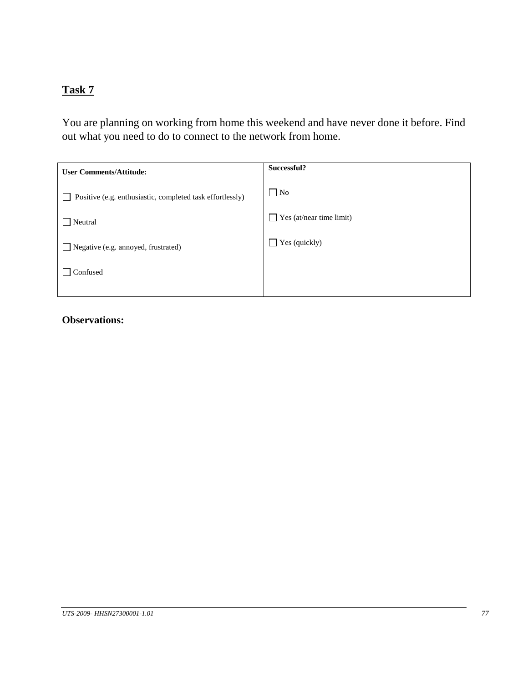You are planning on working from home this weekend and have never done it before. Find out what you need to do to connect to the network from home.

| <b>User Comments/Attitude:</b>                            | Successful?              |
|-----------------------------------------------------------|--------------------------|
| Positive (e.g. enthusiastic, completed task effortlessly) | $\Box$ No                |
| Neutral                                                   | Yes (at/near time limit) |
| Negative (e.g. annoyed, frustrated)                       | Yes (quickly)<br>LΓ      |
| Confused                                                  |                          |
|                                                           |                          |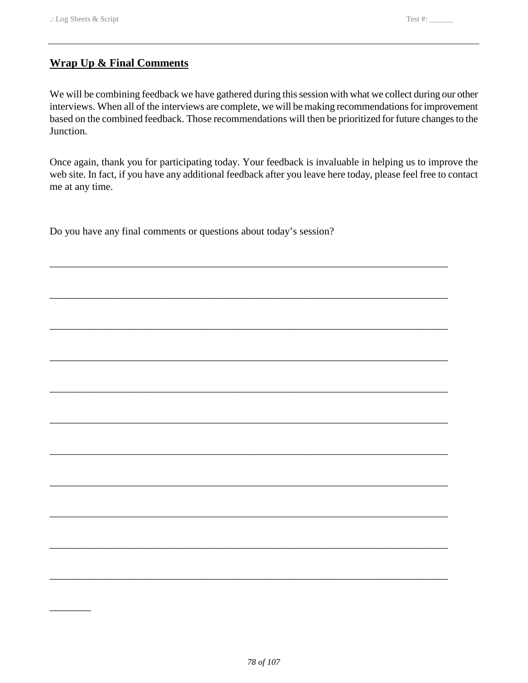\_\_\_\_\_\_\_\_

# **Wrap Up & Final Comments**

 We will be combining feedback we have gathered during this session with what we collect during our other  $\overline{a}$ interviews. When all of the interviews are complete, we will be making recommendations for improvement based on the combined feedback. Those recommendations will then be prioritized for future changes to the Junction.

Once again, thank you for participating today. Your feedback is invaluable in helping us to improve the web site. In fact, if you have any additional feedback after you leave here today, please feel free to contact me at any time.

\_\_\_\_\_\_\_\_\_\_\_\_\_\_\_\_\_\_\_\_\_\_\_\_\_\_\_\_\_\_\_\_\_\_\_\_\_\_\_\_\_\_\_\_\_\_\_\_\_\_\_\_\_\_\_\_\_\_\_\_\_\_\_\_\_\_\_\_\_\_\_\_\_\_\_\_\_

\_\_\_\_\_\_\_\_\_\_\_\_\_\_\_\_\_\_\_\_\_\_\_\_\_\_\_\_\_\_\_\_\_\_\_\_\_\_\_\_\_\_\_\_\_\_\_\_\_\_\_\_\_\_\_\_\_\_\_\_\_\_\_\_\_\_\_\_\_\_\_\_\_\_\_\_\_

\_\_\_\_\_\_\_\_\_\_\_\_\_\_\_\_\_\_\_\_\_\_\_\_\_\_\_\_\_\_\_\_\_\_\_\_\_\_\_\_\_\_\_\_\_\_\_\_\_\_\_\_\_\_\_\_\_\_\_\_\_\_\_\_\_\_\_\_\_\_\_\_\_\_\_\_\_

\_\_\_\_\_\_\_\_\_\_\_\_\_\_\_\_\_\_\_\_\_\_\_\_\_\_\_\_\_\_\_\_\_\_\_\_\_\_\_\_\_\_\_\_\_\_\_\_\_\_\_\_\_\_\_\_\_\_\_\_\_\_\_\_\_\_\_\_\_\_\_\_\_\_\_\_\_

\_\_\_\_\_\_\_\_\_\_\_\_\_\_\_\_\_\_\_\_\_\_\_\_\_\_\_\_\_\_\_\_\_\_\_\_\_\_\_\_\_\_\_\_\_\_\_\_\_\_\_\_\_\_\_\_\_\_\_\_\_\_\_\_\_\_\_\_\_\_\_\_\_\_\_\_\_

\_\_\_\_\_\_\_\_\_\_\_\_\_\_\_\_\_\_\_\_\_\_\_\_\_\_\_\_\_\_\_\_\_\_\_\_\_\_\_\_\_\_\_\_\_\_\_\_\_\_\_\_\_\_\_\_\_\_\_\_\_\_\_\_\_\_\_\_\_\_\_\_\_\_\_\_\_

\_\_\_\_\_\_\_\_\_\_\_\_\_\_\_\_\_\_\_\_\_\_\_\_\_\_\_\_\_\_\_\_\_\_\_\_\_\_\_\_\_\_\_\_\_\_\_\_\_\_\_\_\_\_\_\_\_\_\_\_\_\_\_\_\_\_\_\_\_\_\_\_\_\_\_\_\_

\_\_\_\_\_\_\_\_\_\_\_\_\_\_\_\_\_\_\_\_\_\_\_\_\_\_\_\_\_\_\_\_\_\_\_\_\_\_\_\_\_\_\_\_\_\_\_\_\_\_\_\_\_\_\_\_\_\_\_\_\_\_\_\_\_\_\_\_\_\_\_\_\_\_\_\_\_

\_\_\_\_\_\_\_\_\_\_\_\_\_\_\_\_\_\_\_\_\_\_\_\_\_\_\_\_\_\_\_\_\_\_\_\_\_\_\_\_\_\_\_\_\_\_\_\_\_\_\_\_\_\_\_\_\_\_\_\_\_\_\_\_\_\_\_\_\_\_\_\_\_\_\_\_\_

\_\_\_\_\_\_\_\_\_\_\_\_\_\_\_\_\_\_\_\_\_\_\_\_\_\_\_\_\_\_\_\_\_\_\_\_\_\_\_\_\_\_\_\_\_\_\_\_\_\_\_\_\_\_\_\_\_\_\_\_\_\_\_\_\_\_\_\_\_\_\_\_\_\_\_\_\_

\_\_\_\_\_\_\_\_\_\_\_\_\_\_\_\_\_\_\_\_\_\_\_\_\_\_\_\_\_\_\_\_\_\_\_\_\_\_\_\_\_\_\_\_\_\_\_\_\_\_\_\_\_\_\_\_\_\_\_\_\_\_\_\_\_\_\_\_\_\_\_\_\_\_\_\_\_

Do you have any final comments or questions about today's session?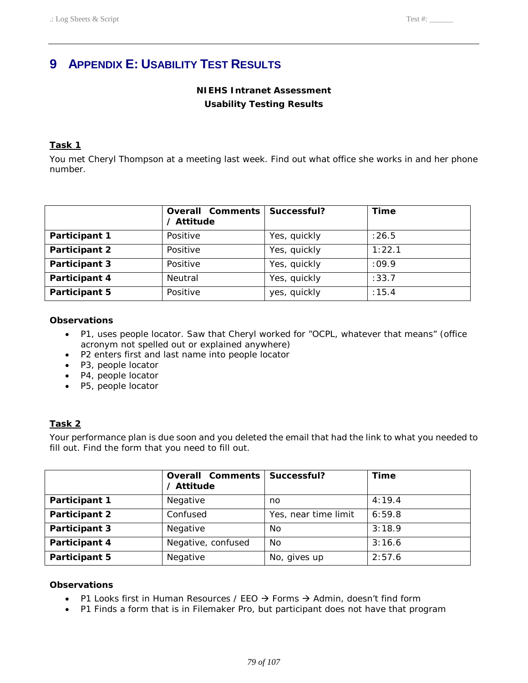# **9 APPENDIX E: USABILITY TEST RESULTS**

# **NIEHS Intranet Assessment Usability Testing Results**

## **Task 1**

 You met Cheryl Thompson at a meeting last week. Find out what office she works in and her phone number.

|               | <b>Overall Comments</b><br>/ Attitude | Successful?  | <b>Time</b> |
|---------------|---------------------------------------|--------------|-------------|
| Participant 1 | Positive                              | Yes, quickly | :26.5       |
| Participant 2 | Positive                              | Yes, quickly | 1:22.1      |
| Participant 3 | Positive                              | Yes, quickly | :09.9       |
| Participant 4 | Neutral                               | Yes, quickly | :33.7       |
| Participant 5 | Positive                              | yes, quickly | : 15.4      |

### **Observations**

- P1, uses people locator. Saw that Cheryl worked for "OCPL, whatever that means" (office acronym not spelled out or explained anywhere)
- • P2 enters first and last name into people locator
- • P3, people locator
- • P4, people locator
- • P5, people locator

## **Task 2**

 Your performance plan is due soon and you deleted the email that had the link to what you needed to fill out. Find the form that you need to fill out.

|               | <b>Overall Comments</b><br>/ Attitude | Successful?          | <b>Time</b> |
|---------------|---------------------------------------|----------------------|-------------|
| Participant 1 | Negative                              | no                   | 4:19.4      |
| Participant 2 | Confused                              | Yes, near time limit | 6:59.8      |
| Participant 3 | Negative                              | No                   | 3:18.9      |
| Participant 4 | Negative, confused                    | No                   | 3:16.6      |
| Participant 5 | Negative                              | No, gives up         | 2:57.6      |

- P1 Looks first in Human Resources / EEO  $\rightarrow$  Forms  $\rightarrow$  Admin, doesn't find form
- P1 Finds a form that is in Filemaker Pro, but participant does not have that program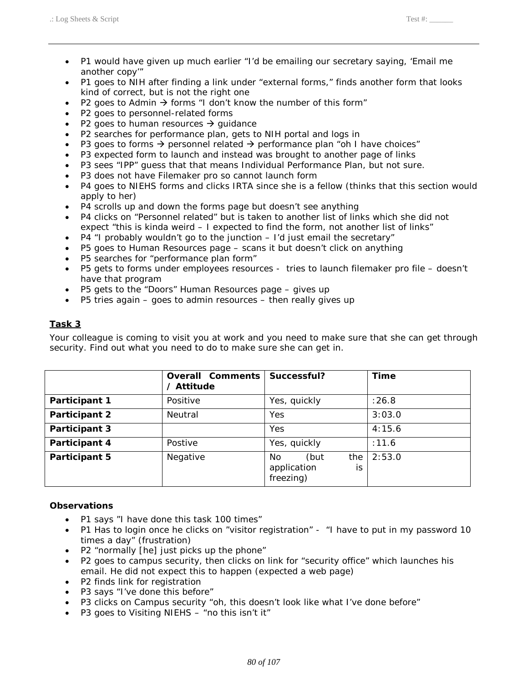- P1 would have given up much earlier "I'd be emailing our secretary saying, 'Email me another copy'"
- P1 goes to NIH after finding a link under "external forms," finds another form that looks kind of correct, but is not the right one
- P2 goes to Admin  $\rightarrow$  forms "I don't know the number of this form"
- • P2 goes to personnel-related forms
- P2 goes to human resources  $\rightarrow$  guidance
- P2 searches for performance plan, gets to NIH portal and logs in
- P3 goes to forms  $\rightarrow$  personnel related  $\rightarrow$  performance plan "oh I have choices"
- P3 expected form to launch and instead was brought to another page of links
- • P3 sees "IPP" guess that that means Individual Performance Plan, but not sure.
- • P3 does not have Filemaker pro so cannot launch form
- P4 goes to NIEHS forms and clicks IRTA since she is a fellow (thinks that this section would apply to her)
- P4 scrolls up and down the forms page but doesn't see anything
- • P4 clicks on "Personnel related" but is taken to another list of links which she did not expect "this is kinda weird – I expected to find the form, not another list of links"
- P4  $\degree$  I probably wouldn't go to the junction  $-$  I'd just email the secretary"
- • P5 goes to Human Resources page scans it but doesn't click on anything
- • P5 searches for "performance plan form"
- • P5 gets to forms under employees resources tries to launch filemaker pro file doesn't have that program
- P5 gets to the "Doors" Human Resources page gives up
- P5 tries again goes to admin resources then really gives up

 Your colleague is coming to visit you at work and you need to make sure that she can get through security. Find out what you need to do to make sure she can get in.

|               | <b>Overall Comments</b><br>/ Attitude | Successful?                                          | <b>Time</b> |
|---------------|---------------------------------------|------------------------------------------------------|-------------|
| Participant 1 | Positive                              | Yes, quickly                                         | :26.8       |
| Participant 2 | Neutral                               | Yes                                                  | 3:03.0      |
| Participant 3 |                                       | Yes                                                  | 4:15.6      |
| Participant 4 | Postive                               | Yes, quickly                                         | :11.6       |
| Participant 5 | Negative                              | the<br>No.<br>(but<br>application<br>is<br>freezing) | 2:53.0      |

- P1 says "I have done this task 100 times"
- P1 Has to login once he clicks on "visitor registration" "I have to put in my password 10 times a day" (frustration)
- • P2 "normally [he] just picks up the phone"
- • P2 goes to campus security, then clicks on link for "security office" which launches his email. He did not expect this to happen (expected a web page)
- • P2 finds link for registration
- P3 says "I've done this before"
- P3 clicks on Campus security "oh, this doesn't look like what I've done before"
- • P3 goes to Visiting NIEHS "no this isn't it"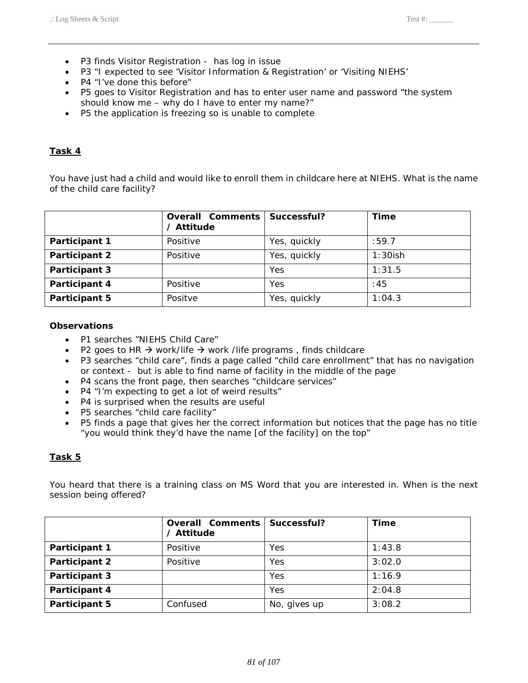- • P3 finds Visitor Registration has log in issue
- • P3 "I expected to see 'Visitor Information & Registration' or 'Visiting NIEHS'
- P4 "I've done this before"
- • P5 goes to Visitor Registration and has to enter user name and password "the system should know me – why do I have to enter my name?"
- • P5 the application is freezing so is unable to complete

 You have just had a child and would like to enroll them in childcare here at NIEHS. What is the name of the child care facility?

|                      | <b>Overall Comments</b><br>/ Attitude | Successful?  | <b>Time</b> |
|----------------------|---------------------------------------|--------------|-------------|
| Participant 1        | Positive                              | Yes, quickly | :59.7       |
| <b>Participant 2</b> | Positive                              | Yes, quickly | $1:30$ ish  |
| Participant 3        |                                       | Yes          | 1:31.5      |
| Participant 4        | Positive                              | Yes          | :45         |
| Participant 5        | Positve                               | Yes, quickly | 1:04.3      |

#### **Observations**

- • P1 searches "NIEHS Child Care"
- P2 goes to HR  $\rightarrow$  work/life  $\rightarrow$  work /life programs, finds childcare
- P3 searches "child care", finds a page called "child care enrollment" that has no navigation or context - but is able to find name of facility in the middle of the page
- • P4 scans the front page, then searches "childcare services"
- P4 "I'm expecting to get a lot of weird results"
- P4 is surprised when the results are useful
- • P5 searches "child care facility"
- • P5 finds a page that gives her the correct information but notices that the page has no title "you would think they'd have the name [of the facility] on the top"

## **Task 5**

 You heard that there is a training class on MS Word that you are interested in. When is the next session being offered?

|               | <b>Overall Comments</b><br>/ Attitude | Successful?  | <b>Time</b> |
|---------------|---------------------------------------|--------------|-------------|
| Participant 1 | Positive                              | Yes          | 1:43.8      |
| Participant 2 | Positive                              | Yes          | 3:02.0      |
| Participant 3 |                                       | Yes          | 1:16.9      |
| Participant 4 |                                       | Yes          | 2:04.8      |
| Participant 5 | Confused                              | No, gives up | 3:08.2      |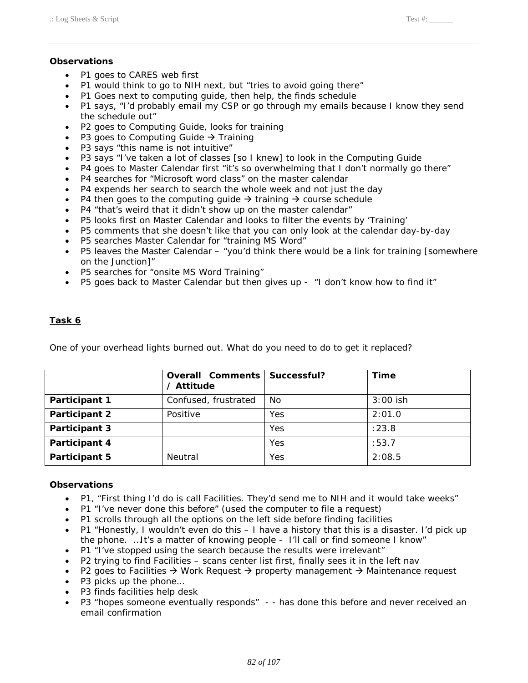## **Observations**

- P1 goes to CARES web first
- P1 would think to go to NIH next, but "tries to avoid going there"
- P1 Goes next to computing guide, then help, the finds schedule
- P1 says, "I'd probably email my CSP or go through my emails because I know they send the schedule out"
- • P2 goes to Computing Guide, looks for training
- P3 goes to Computing Guide  $\rightarrow$  Training
- • P3 says "this name is not intuitive"
- • P3 says "I've taken a lot of classes [so I knew] to look in the Computing Guide
- P4 goes to Master Calendar first "it's so overwhelming that I don't normally go there"
- • P4 searches for "Microsoft word class" on the master calendar
- P4 expends her search to search the whole week and not just the day
- P4 then goes to the computing guide  $\rightarrow$  training  $\rightarrow$  course schedule
- P4 "that's weird that it didn't show up on the master calendar"
- • P5 looks first on Master Calendar and looks to filter the events by 'Training'
- • P5 comments that she doesn't like that you can only look at the calendar day-by-day
- • P5 searches Master Calendar for "training MS Word"
- P5 leaves the Master Calendar "you'd think there would be a link for training [somewhere on the Junction]"
- • P5 searches for "onsite MS Word Training"
- P5 goes back to Master Calendar but then gives up "I don't know how to find it"

## **Task 6**

One of your overhead lights burned out. What do you need to do to get it replaced?

|               | <b>Overall Comments</b><br>/ Attitude | Successful? | <b>Time</b> |
|---------------|---------------------------------------|-------------|-------------|
| Participant 1 | Confused, frustrated                  | No          | $3:00$ ish  |
| Participant 2 | Positive                              | Yes         | 2:01.0      |
| Participant 3 |                                       | Yes         | :23.8       |
| Participant 4 |                                       | Yes         | :53.7       |
| Participant 5 | Neutral                               | Yes         | 2:08.5      |

- P1, "First thing I'd do is call Facilities. They'd send me to NIH and it would take weeks"
- P1 "I've never done this before" (used the computer to file a request)
- • P1 scrolls through all the options on the left side before finding facilities
- P1 "Honestly, I wouldn't even do this I have a history that this is a disaster. I'd pick up the phone. …It's a matter of knowing people - I'll call or find someone I know"
- P1 "I've stopped using the search because the results were irrelevant"
- • P2 trying to find Facilities scans center list first, finally sees it in the left nav
- P2 goes to Facilities  $\rightarrow$  Work Request  $\rightarrow$  property management  $\rightarrow$  Maintenance request
- P3 picks up the phone...
- • P3 finds facilities help desk
- P3 "hopes someone eventually responds" - has done this before and never received an email confirmation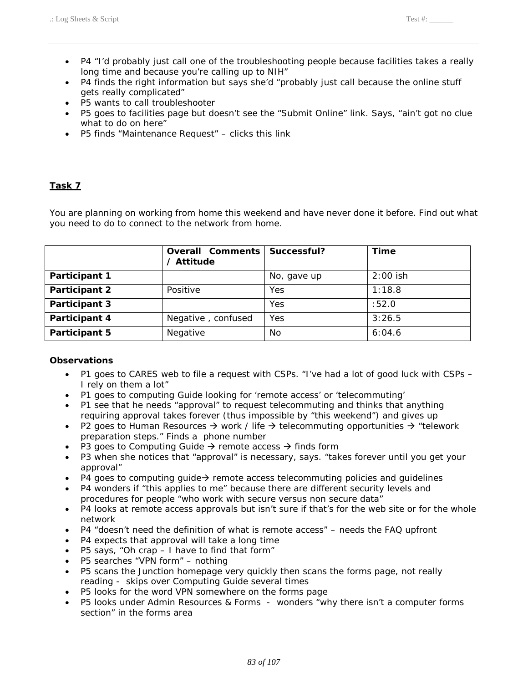- • P4 "I'd probably just call one of the troubleshooting people because facilities takes a really long time and because you're calling up to NIH"
- P4 finds the right information but says she'd "probably just call because the online stuff gets really complicated"
- P5 wants to call troubleshooter
- • P5 goes to facilities page but doesn't see the "Submit Online" link. Says, "ain't got no clue what to do on here"
- • P5 finds "Maintenance Request" clicks this link

 You are planning on working from home this weekend and have never done it before. Find out what you need to do to connect to the network from home.

|               | <b>Overall Comments</b><br>/ Attitude | Successful? | <b>Time</b> |
|---------------|---------------------------------------|-------------|-------------|
| Participant 1 |                                       | No, gave up | $2:00$ ish  |
| Participant 2 | Positive                              | Yes         | 1:18.8      |
| Participant 3 |                                       | Yes         | :52.0       |
| Participant 4 | Negative, confused                    | Yes         | 3:26.5      |
| Participant 5 | Negative                              | No          | 6:04.6      |

- P1 goes to CARES web to file a request with CSPs. "I've had a lot of good luck with CSPs I rely on them a lot"
- • P1 goes to computing Guide looking for 'remote access' or 'telecommuting'
- P1 see that he needs "approval" to request telecommuting and thinks that anything requiring approval takes forever (thus impossible by "this weekend") and gives up
- P2 goes to Human Resources  $\rightarrow$  work / life  $\rightarrow$  telecommuting opportunities  $\rightarrow$  "telework preparation steps." Finds a phone number
- P3 goes to Computing Guide  $\rightarrow$  remote access  $\rightarrow$  finds form
- P3 when she notices that "approval" is necessary, says. "takes forever until you get your approval"
- P4 goes to computing guide $\rightarrow$  remote access telecommuting policies and guidelines
- • P4 wonders if "this applies to me" because there are different security levels and procedures for people "who work with secure versus non secure data"
- P4 looks at remote access approvals but isn't sure if that's for the web site or for the whole network
- P4 "doesn't need the definition of what is remote access" needs the FAQ upfront
- P4 expects that approval will take a long time
- • P5 says, "Oh crap I have to find that form"
- P5 searches "VPN form" nothing
- • P5 scans the Junction homepage very quickly then scans the forms page, not really reading - skips over Computing Guide several times
- • P5 looks for the word VPN somewhere on the forms page
- P5 looks under Admin Resources & Forms wonders "why there isn't a computer forms section" in the forms area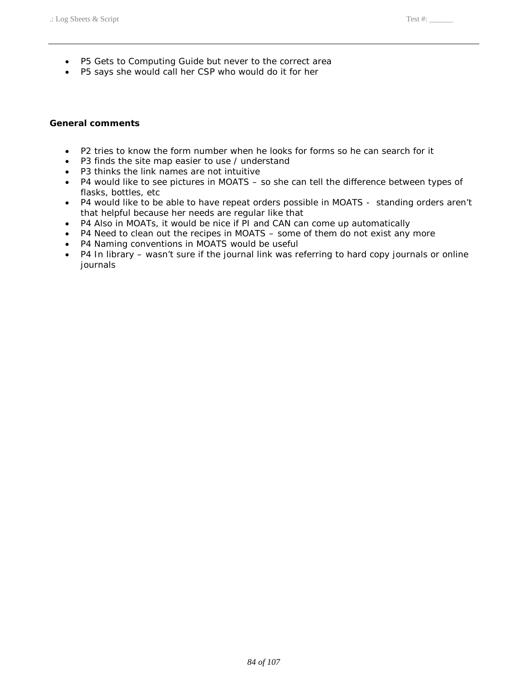- P5 Gets to Computing Guide but never to the correct area
- P5 says she would call her CSP who would do it for her

### **General comments**

- • P2 tries to know the form number when he looks for forms so he can search for it
- P3 finds the site map easier to use / understand
- • P3 thinks the link names are not intuitive
- P4 would like to see pictures in MOATS so she can tell the difference between types of flasks, bottles, etc
- P4 would like to be able to have repeat orders possible in MOATS standing orders aren't that helpful because her needs are regular like that
- P4 Also in MOATs, it would be nice if PI and CAN can come up automatically
- • P4 Need to clean out the recipes in MOATS some of them do not exist any more
- P4 Naming conventions in MOATS would be useful
- P4 In library wasn't sure if the journal link was referring to hard copy journals or online journals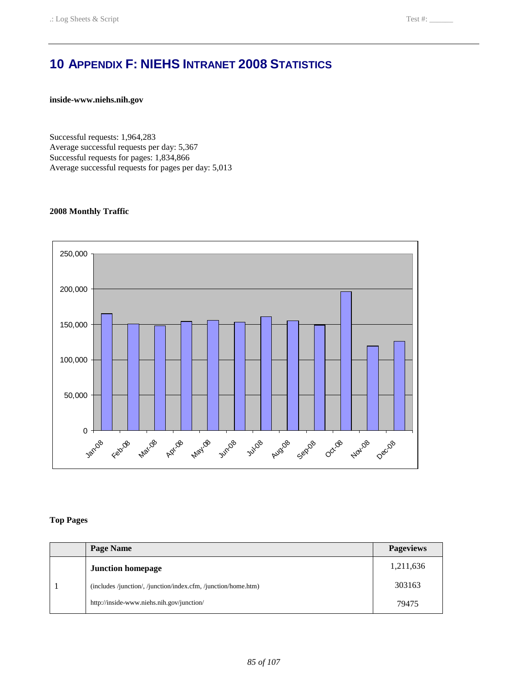# **10 APPENDIX F: NIEHS INTRANET 2008 STATISTICS**

**inside-www.niehs.nih.gov** 

Successful requests: 1,964,283 Average successful requests per day: 5,367 Successful requests for pages: 1,834,866 Average successful requests for pages per day: 5,013

#### **2008 Monthly Traffic**



#### **Top Pages**

| Page Name                                                      | <b>Pageviews</b> |
|----------------------------------------------------------------|------------------|
| <b>Junction homepage</b>                                       | 1,211,636        |
| (includes /junction/, /junction/index.cfm, /junction/home.htm) | 303163           |
| http://inside-www.niehs.nih.gov/junction/                      | 79475            |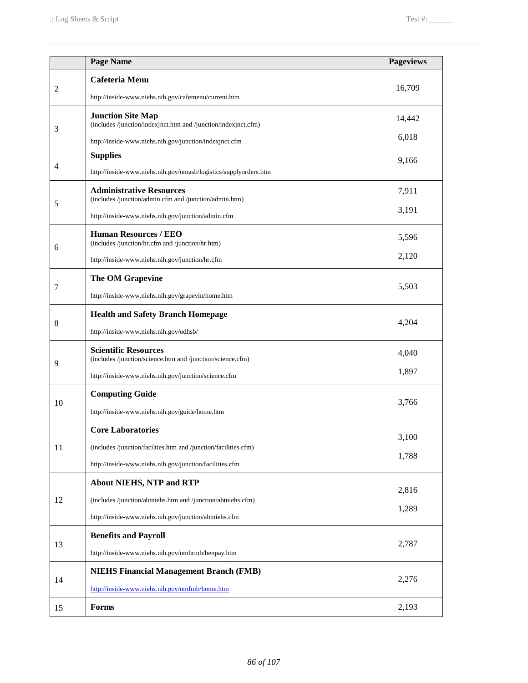|                | <b>Page Name</b>                                                                           | <b>Pageviews</b> |
|----------------|--------------------------------------------------------------------------------------------|------------------|
|                | <b>Cafeteria Menu</b>                                                                      |                  |
| $\overline{2}$ | http://inside-www.niehs.nih.gov/cafemenu/current.htm                                       | 16,709           |
|                | <b>Junction Site Map</b><br>(includes /junction/indexjnct.htm and /junction/indexjnct.cfm) | 14,442           |
| 3              | http://inside-www.niehs.nih.gov/junction/indexjnct.cfm                                     | 6,018            |
|                | <b>Supplies</b>                                                                            |                  |
| 4              | http://inside-www.niehs.nih.gov/omasb/logistics/supplyorders.htm                           | 9,166            |
|                | <b>Administrative Resources</b><br>(includes /junction/admin.cfm and /junction/admin.htm)  | 7,911            |
| 5              | http://inside-www.niehs.nih.gov/junction/admin.cfm                                         | 3,191            |
|                | <b>Human Resources / EEO</b><br>(includes /junction/hr.cfm and /junction/hr.htm)           | 5,596            |
| 6              | http://inside-www.niehs.nih.gov/junction/hr.cfm                                            | 2,120            |
|                | The OM Grapevine                                                                           |                  |
| 7              | http://inside-www.niehs.nih.gov/grapevin/home.htm                                          | 5,503            |
|                | <b>Health and Safety Branch Homepage</b>                                                   |                  |
| 8              | http://inside-www.niehs.nih.gov/odhsb/                                                     | 4,204            |
| 9              | <b>Scientific Resources</b><br>(includes /junction/science.htm and /junction/science.cfm)  | 4,040            |
|                | http://inside-www.niehs.nih.gov/junction/science.cfm                                       | 1,897            |
| 10             | <b>Computing Guide</b>                                                                     | 3,766            |
|                | http://inside-www.niehs.nih.gov/guide/home.htm                                             |                  |
|                | <b>Core Laboratories</b>                                                                   | 3,100            |
| 11             | (includes /junction/facilties.htm and /junction/facilities.cfm)                            |                  |
|                | http://inside-www.niehs.nih.gov/junction/facilities.cfm                                    | 1,788            |
|                | <b>About NIEHS, NTP and RTP</b>                                                            | 2,816            |
| 12             | (includes /junction/abtniehs.htm and /junction/abtniehs.cfm)                               |                  |
|                | http://inside-www.niehs.nih.gov/junction/abtniehs.cfm                                      | 1,289            |
| 13             | <b>Benefits and Payroll</b>                                                                | 2,787            |
|                | http://inside-www.niehs.nih.gov/omhrmb/benpay.htm                                          |                  |
|                | <b>NIEHS Financial Management Branch (FMB)</b>                                             | 2,276            |
| 14             | http://inside-www.niehs.nih.gov/omfmb/home.htm                                             |                  |
| 15             | Forms                                                                                      | 2,193            |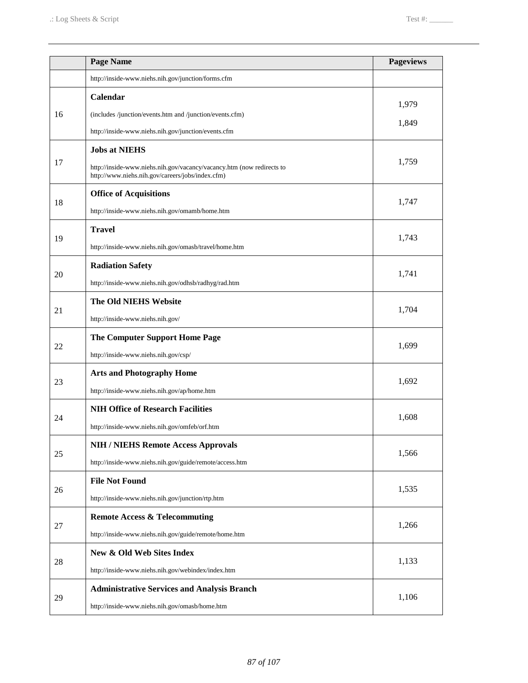|    | <b>Page Name</b>                                                                                                                                  | <b>Pageviews</b> |
|----|---------------------------------------------------------------------------------------------------------------------------------------------------|------------------|
|    | http://inside-www.niehs.nih.gov/junction/forms.cfm                                                                                                |                  |
| 16 | Calendar<br>(includes /junction/events.htm and /junction/events.cfm)<br>http://inside-www.niehs.nih.gov/junction/events.cfm                       | 1,979<br>1,849   |
| 17 | <b>Jobs at NIEHS</b><br>http://inside-www.niehs.nih.gov/vacancy/vacancy.htm (now redirects to<br>http://www.niehs.nih.gov/careers/jobs/index.cfm) | 1,759            |
| 18 | <b>Office of Acquisitions</b><br>http://inside-www.niehs.nih.gov/omamb/home.htm                                                                   | 1,747            |
| 19 | <b>Travel</b><br>http://inside-www.niehs.nih.gov/omasb/travel/home.htm                                                                            | 1,743            |
| 20 | <b>Radiation Safety</b><br>http://inside-www.niehs.nih.gov/odhsb/radhyg/rad.htm                                                                   | 1,741            |
| 21 | The Old NIEHS Website<br>http://inside-www.niehs.nih.gov/                                                                                         | 1,704            |
| 22 | <b>The Computer Support Home Page</b><br>http://inside-www.niehs.nih.gov/csp/                                                                     | 1,699            |
| 23 | <b>Arts and Photography Home</b><br>http://inside-www.niehs.nih.gov/ap/home.htm                                                                   | 1,692            |
| 24 | <b>NIH Office of Research Facilities</b><br>http://inside-www.niehs.nih.gov/omfeb/orf.htm                                                         | 1,608            |
| 25 | <b>NIH / NIEHS Remote Access Approvals</b><br>http://inside-www.niehs.nih.gov/guide/remote/access.htm                                             | 1,566            |
| 26 | <b>File Not Found</b><br>http://inside-www.niehs.nih.gov/junction/rtp.htm                                                                         | 1,535            |
| 27 | <b>Remote Access &amp; Telecommuting</b><br>http://inside-www.niehs.nih.gov/guide/remote/home.htm                                                 | 1,266            |
| 28 | New & Old Web Sites Index<br>http://inside-www.niehs.nih.gov/webindex/index.htm                                                                   | 1,133            |
| 29 | <b>Administrative Services and Analysis Branch</b><br>http://inside-www.niehs.nih.gov/omasb/home.htm                                              | 1,106            |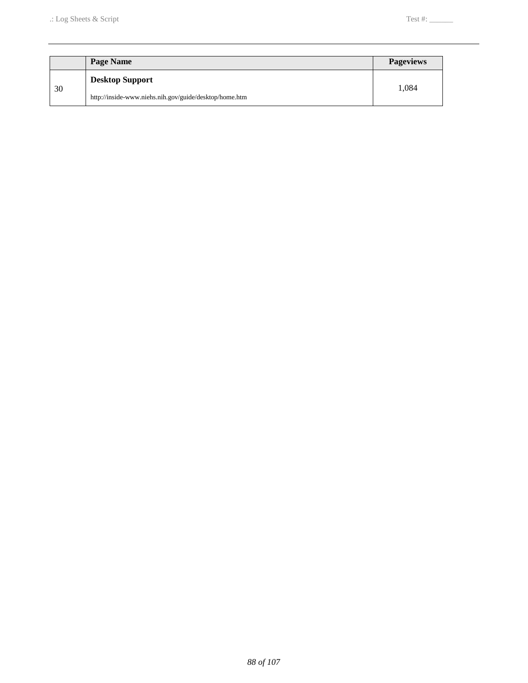|    | Page Name                                              | <b>Pageviews</b> |
|----|--------------------------------------------------------|------------------|
| 30 | <b>Desktop Support</b>                                 | 1.084            |
|    | http://inside-www.niehs.nih.gov/guide/desktop/home.htm |                  |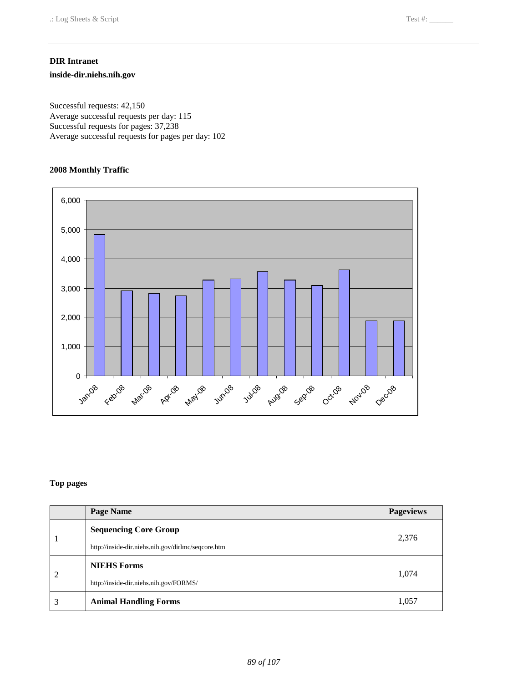#### **DIR Intranet**

**inside-dir.niehs.nih.gov** 

Successful requests: 42,150 Average successful requests per day: 115 Successful requests for pages: 37,238 Average successful requests for pages per day: 102

#### **2008 Monthly Traffic**



#### **Top pages**

|   | Page Name                                          | <b>Pageviews</b> |
|---|----------------------------------------------------|------------------|
|   | <b>Sequencing Core Group</b>                       | 2,376            |
|   | http://inside-dir.niehs.nih.gov/dirlmc/seqcore.htm |                  |
| 2 | <b>NIEHS Forms</b>                                 |                  |
|   | http://inside-dir.niehs.nih.gov/FORMS/             | 1,074            |
|   | <b>Animal Handling Forms</b>                       | 1,057            |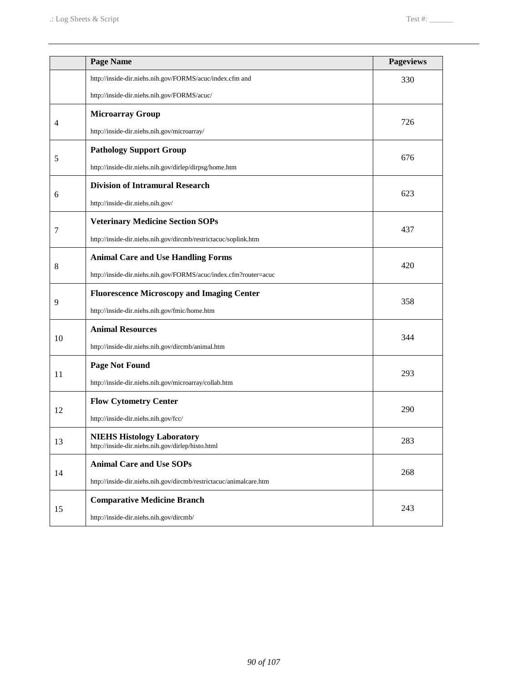|    | Page Name                                                                              | <b>Pageviews</b> |
|----|----------------------------------------------------------------------------------------|------------------|
|    | http://inside-dir.niehs.nih.gov/FORMS/acuc/index.cfm and                               | 330              |
|    | http://inside-dir.niehs.nih.gov/FORMS/acuc/                                            |                  |
|    | <b>Microarray Group</b>                                                                | 726              |
| 4  | http://inside-dir.niehs.nih.gov/microarray/                                            |                  |
|    | <b>Pathology Support Group</b>                                                         | 676              |
| 5  | http://inside-dir.niehs.nih.gov/dirlep/dirpsg/home.htm                                 |                  |
|    | <b>Division of Intramural Research</b>                                                 |                  |
| 6  | http://inside-dir.niehs.nih.gov/                                                       | 623              |
|    | <b>Veterinary Medicine Section SOPs</b>                                                |                  |
| 7  | http://inside-dir.niehs.nih.gov/dircmb/restrictacuc/soplink.htm                        | 437              |
|    | <b>Animal Care and Use Handling Forms</b>                                              |                  |
| 8  | http://inside-dir.niehs.nih.gov/FORMS/acuc/index.cfm?router=acuc                       | 420              |
|    | <b>Fluorescence Microscopy and Imaging Center</b>                                      |                  |
| 9  | http://inside-dir.niehs.nih.gov/fmic/home.htm                                          | 358              |
|    | <b>Animal Resources</b>                                                                |                  |
| 10 | http://inside-dir.niehs.nih.gov/dircmb/animal.htm                                      | 344              |
|    | <b>Page Not Found</b>                                                                  |                  |
| 11 | http://inside-dir.niehs.nih.gov/microarray/collab.htm                                  | 293              |
|    | <b>Flow Cytometry Center</b>                                                           |                  |
| 12 | http://inside-dir.niehs.nih.gov/fcc/                                                   | 290              |
| 13 | <b>NIEHS Histology Laboratory</b><br>http://inside-dir.niehs.nih.gov/dirlep/histo.html | 283              |
| 14 | <b>Animal Care and Use SOPs</b>                                                        |                  |
|    | http://inside-dir.niehs.nih.gov/dircmb/restrictacuc/animalcare.htm                     | 268              |
|    | <b>Comparative Medicine Branch</b>                                                     |                  |
| 15 | http://inside-dir.niehs.nih.gov/dircmb/                                                | 243              |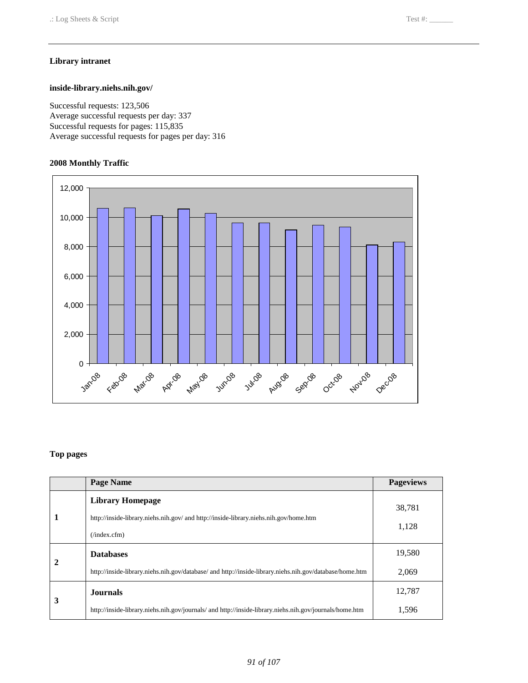#### **Library intranet**

#### **inside-library.niehs.nih.gov/**

Successful requests: 123,506 Average successful requests per day: 337 Successful requests for pages: 115,835 Average successful requests for pages per day: 316

#### **2008 Monthly Traffic**



#### **Top pages**

|   | Page Name                                                                                                                             | <b>Pageviews</b> |
|---|---------------------------------------------------------------------------------------------------------------------------------------|------------------|
|   | <b>Library Homepage</b><br>http://inside-library.niehs.nih.gov/ and http://inside-library.niehs.nih.gov/home.htm<br>$($ index.cfm $)$ | 38,781<br>1,128  |
| 2 | <b>Databases</b>                                                                                                                      | 19,580           |
|   | http://inside-library.niehs.nih.gov/database/ and http://inside-library.niehs.nih.gov/database/home.htm                               | 2,069            |
| 3 | <b>Journals</b>                                                                                                                       | 12,787           |
|   | http://inside-library.niehs.nih.gov/journals/ and http://inside-library.niehs.nih.gov/journals/home.htm                               | 1,596            |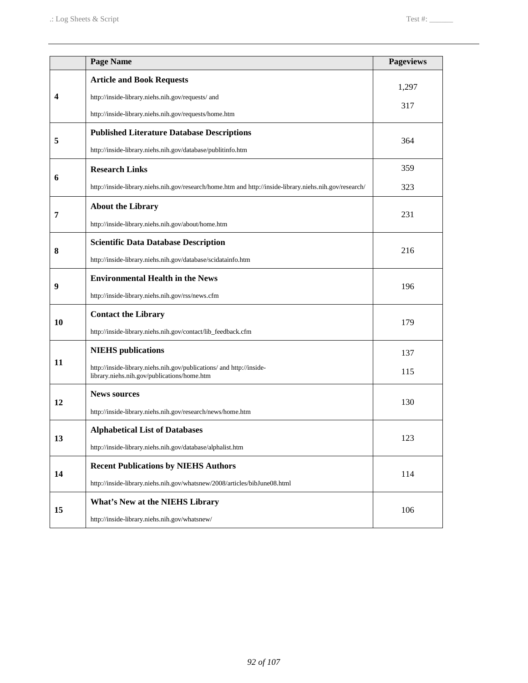|    | <b>Page Name</b>                                                                                                    | <b>Pageviews</b> |
|----|---------------------------------------------------------------------------------------------------------------------|------------------|
|    | <b>Article and Book Requests</b>                                                                                    | 1,297            |
| 4  | http://inside-library.niehs.nih.gov/requests/ and                                                                   |                  |
|    | http://inside-library.niehs.nih.gov/requests/home.htm                                                               | 317              |
|    | <b>Published Literature Database Descriptions</b>                                                                   |                  |
| 5  | http://inside-library.niehs.nih.gov/database/publitinfo.htm                                                         | 364              |
| 6  | <b>Research Links</b>                                                                                               | 359              |
|    | http://inside-library.niehs.nih.gov/research/home.htm and http://inside-library.niehs.nih.gov/research/             | 323              |
|    | <b>About the Library</b>                                                                                            |                  |
| 7  | http://inside-library.niehs.nih.gov/about/home.htm                                                                  | 231              |
| 8  | <b>Scientific Data Database Description</b>                                                                         | 216              |
|    | http://inside-library.niehs.nih.gov/database/scidatainfo.htm                                                        |                  |
| 9  | <b>Environmental Health in the News</b>                                                                             | 196              |
|    | http://inside-library.niehs.nih.gov/rss/news.cfm                                                                    |                  |
| 10 | <b>Contact the Library</b>                                                                                          | 179              |
|    | http://inside-library.niehs.nih.gov/contact/lib_feedback.cfm                                                        |                  |
|    | <b>NIEHS</b> publications                                                                                           | 137              |
| 11 | http://inside-library.niehs.nih.gov/publications/ and http://inside-<br>library.niehs.nih.gov/publications/home.htm | 115              |
|    | <b>News sources</b>                                                                                                 |                  |
| 12 | http://inside-library.niehs.nih.gov/research/news/home.htm                                                          | 130              |
|    | <b>Alphabetical List of Databases</b>                                                                               | 123              |
| 13 | http://inside-library.niehs.nih.gov/database/alphalist.htm                                                          |                  |
| 14 | <b>Recent Publications by NIEHS Authors</b>                                                                         | 114              |
|    | http://inside-library.niehs.nih.gov/whatsnew/2008/articles/bibJune08.html                                           |                  |
|    | <b>What's New at the NIEHS Library</b>                                                                              | 106              |
| 15 | http://inside-library.niehs.nih.gov/whatsnew/                                                                       |                  |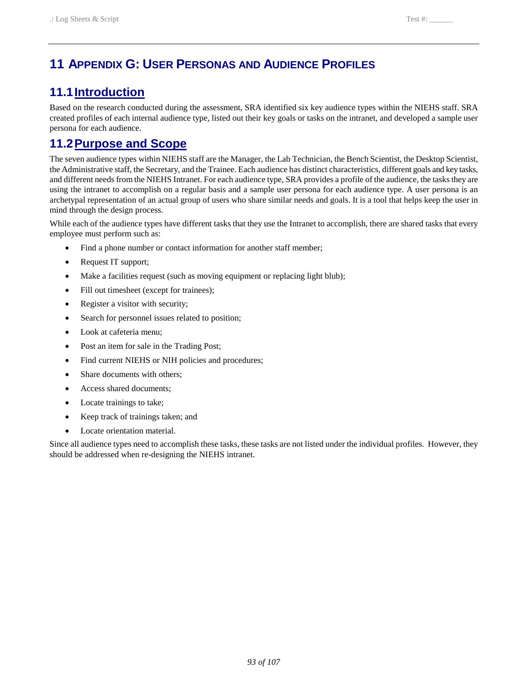# **11 APPENDIX G: USER PERSONAS AND AUDIENCE PROFILES**

# **11.1 Introduction**

 Based on the research conducted during the assessment, SRA identified six key audience types within the NIEHS staff. SRA created profiles of each internal audience type, listed out their key goals or tasks on the intranet, and developed a sample user persona for each audience.

# **11.2Purpose and Scope**

 The seven audience types within NIEHS staff are the Manager, the Lab Technician, the Bench Scientist, the Desktop Scientist, the Administrative staff, the Secretary, and the Trainee. Each audience has distinct characteristics, different goals and key tasks, using the intranet to accomplish on a regular basis and a sample user persona for each audience type. A user persona is an and different needs from the NIEHS Intranet. For each audience type, SRA provides a profile of the audience, the tasks they are archetypal representation of an actual group of users who share similar needs and goals. It is a tool that helps keep the user in mind through the design process.

 While each of the audience types have different tasks that they use the Intranet to accomplish, there are shared tasks that every employee must perform such as:

- Find a phone number or contact information for another staff member;
- Request IT support;
- Make a facilities request (such as moving equipment or replacing light blub);
- Fill out timesheet (except for trainees);
- Register a visitor with security;
- Search for personnel issues related to position;
- Look at cafeteria menu;
- Post an item for sale in the Trading Post;
- Find current NIEHS or NIH policies and procedures;
- Share documents with others;
- Access shared documents;
- Locate trainings to take;
- Keep track of trainings taken; and
- Locate orientation material.

Since all audience types need to accomplish these tasks, these tasks are not listed under the individual profiles. However, they should be addressed when re-designing the NIEHS intranet.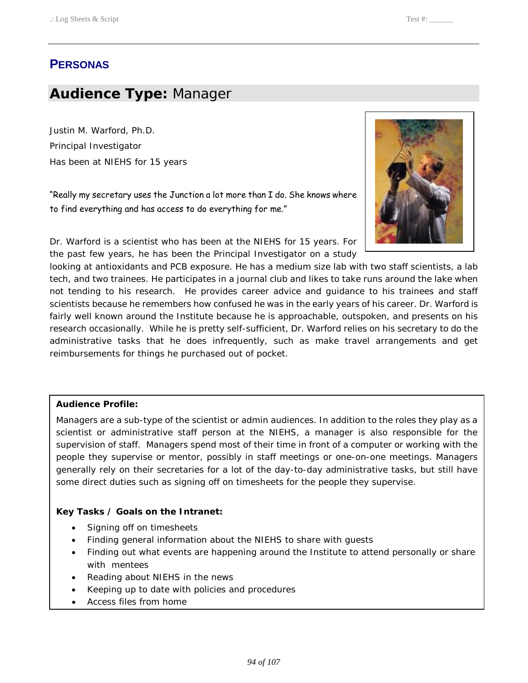# **PERSONAS**

# **Audience Type:** Manager

 Justin M. Warford, Ph.D. Has been at NIEHS for 15 years Principal Investigator

 "Really my secretary uses the Junction a lot more than I do. She knows where to find everything and has access to do everything for me."



 Dr. Warford is a scientist who has been at the NIEHS for 15 years. For the past few years, he has been the Principal Investigator on a study

 looking at antioxidants and PCB exposure. He has a medium size lab with two staff scientists, a lab tech, and two trainees. He participates in a journal club and likes to take runs around the lake when not tending to his research. He provides career advice and guidance to his trainees and staff scientists because he remembers how confused he was in the early years of his career. Dr. Warford is fairly well known around the Institute because he is approachable, outspoken, and presents on his research occasionally. While he is pretty self-sufficient, Dr. Warford relies on his secretary to do the administrative tasks that he does infrequently, such as make travel arrangements and get reimbursements for things he purchased out of pocket.

#### **Audience Profile:**

 Managers are a sub-type of the scientist or admin audiences. In addition to the roles they play as a scientist or administrative staff person at the NIEHS, a manager is also responsible for the supervision of staff. Managers spend most of their time in front of a computer or working with the people they supervise or mentor, possibly in staff meetings or one-on-one meetings. Managers generally rely on their secretaries for a lot of the day-to-day administrative tasks, but still have some direct duties such as signing off on timesheets for the people they supervise.

#### **Key Tasks / Goals on the Intranet:**

- Signing off on timesheets
- Finding general information about the NIEHS to share with guests
- Finding out what events are happening around the Institute to attend personally or share with mentees
- Reading about NIEHS in the news
- • Keeping up to date with policies and procedures
- Access files from home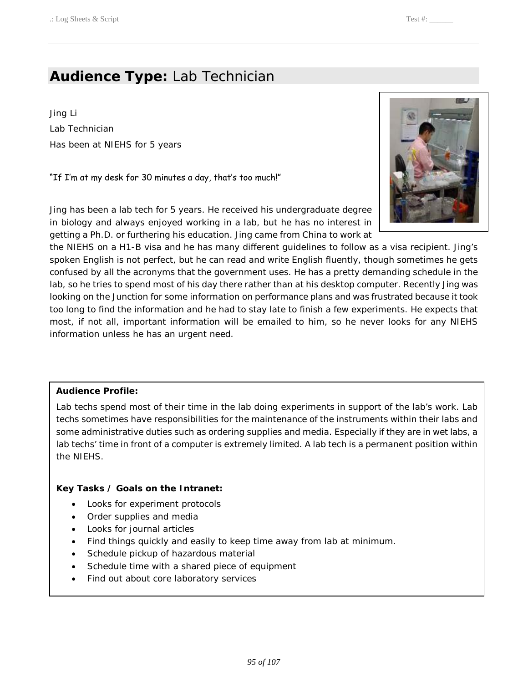# **Audience Type:** Lab Technician

 Has been at NIEHS for 5 years Jing Li Lab Technician

"If I'm at my desk for 30 minutes a day, that's too much!"



 Jing has been a lab tech for 5 years. He received his undergraduate degree getting a Ph.D. or furthering his education. Jing came from China to work at in biology and always enjoyed working in a lab, but he has no interest in

 the NIEHS on a H1-B visa and he has many different guidelines to follow as a visa recipient. Jing's spoken English is not perfect, but he can read and write English fluently, though sometimes he gets confused by all the acronyms that the government uses. He has a pretty demanding schedule in the lab, so he tries to spend most of his day there rather than at his desktop computer. Recently Jing was looking on the Junction for some information on performance plans and was frustrated because it took too long to find the information and he had to stay late to finish a few experiments. He expects that most, if not all, important information will be emailed to him, so he never looks for any NIEHS information unless he has an urgent need.

### **Audience Profile:**

 Lab techs spend most of their time in the lab doing experiments in support of the lab's work. Lab techs sometimes have responsibilities for the maintenance of the instruments within their labs and some administrative duties such as ordering supplies and media. Especially if they are in wet labs, a lab techs' time in front of a computer is extremely limited. A lab tech is a permanent position within the NIEHS.

### **Key Tasks / Goals on the Intranet:**

- Looks for experiment protocols
- Order supplies and media
- Looks for journal articles
- Find things quickly and easily to keep time away from lab at minimum.
- Schedule pickup of hazardous material
- Schedule time with a shared piece of equipment
- Find out about core laboratory services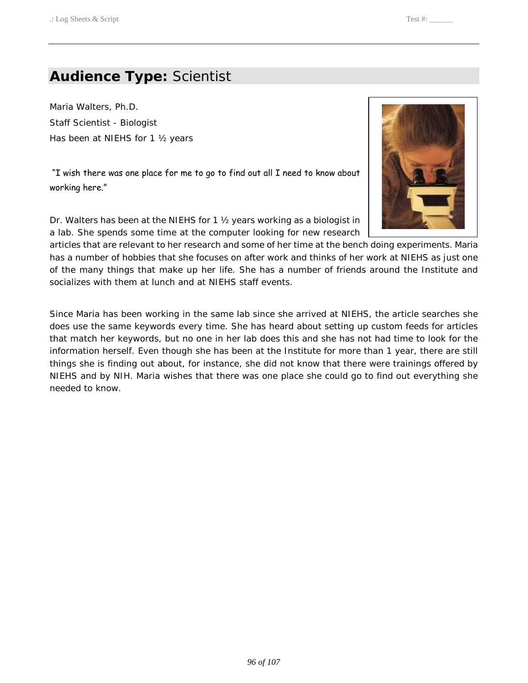# **Audience Type:** Scientist

 Maria Walters, Ph.D. Has been at NIEHS for 1 ½ years Staff Scientist - Biologist

 "I wish there was one place for me to go to find out all I need to know about working here."

Dr. Walters has been at the NIEHS for 1 ½ years working as a biologist in a lab. She spends some time at the computer looking for new research

articles that are relevant to her research and some of her time at the bench doing experiments. Maria has a number of hobbies that she focuses on after work and thinks of her work at NIEHS as just one of the many things that make up her life. She has a number of friends around the Institute and socializes with them at lunch and at NIEHS staff events.

 Since Maria has been working in the same lab since she arrived at NIEHS, the article searches she does use the same keywords every time. She has heard about setting up custom feeds for articles that match her keywords, but no one in her lab does this and she has not had time to look for the information herself. Even though she has been at the Institute for more than 1 year, there are still things she is finding out about, for instance, she did not know that there were trainings offered by NIEHS and by NIH. Maria wishes that there was one place she could go to find out everything she needed to know.

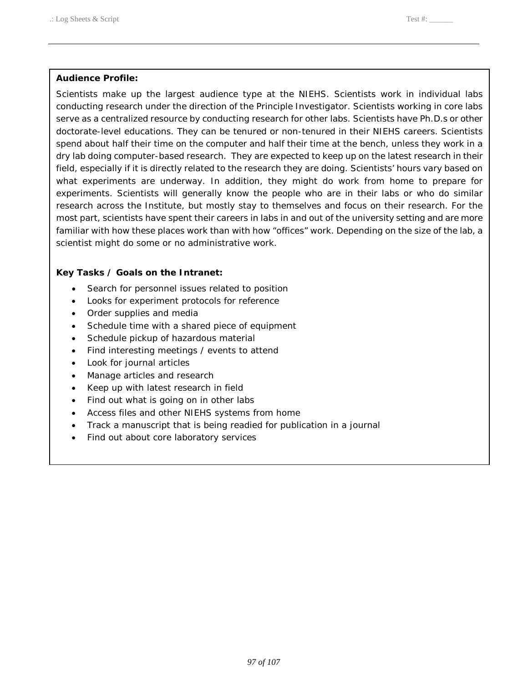#### **Audience Profile:**

 Scientists make up the largest audience type at the NIEHS. Scientists work in individual labs conducting research under the direction of the Principle Investigator. Scientists working in core labs serve as a centralized resource by conducting research for other labs. Scientists have Ph.D.s or other doctorate-level educations. They can be tenured or non-tenured in their NIEHS careers. Scientists spend about half their time on the computer and half their time at the bench, unless they work in a dry lab doing computer-based research. They are expected to keep up on the latest research in their field, especially if it is directly related to the research they are doing. Scientists' hours vary based on what experiments are underway. In addition, they might do work from home to prepare for experiments. Scientists will generally know the people who are in their labs or who do similar most part, scientists have spent their careers in labs in and out of the university setting and are more familiar with how these places work than with how "offices" work. Depending on the size of the lab, a scientist might do some or no administrative work. research across the Institute, but mostly stay to themselves and focus on their research. For the

### **Key Tasks / Goals on the Intranet:**

- Search for personnel issues related to position
- Looks for experiment protocols for reference
- Order supplies and media
- Schedule time with a shared piece of equipment
- Schedule pickup of hazardous material
- Find interesting meetings / events to attend
- Look for journal articles
- Manage articles and research
- Keep up with latest research in field
- Find out what is going on in other labs
- Access files and other NIEHS systems from home
- Track a manuscript that is being readied for publication in a journal
- Find out about core laboratory services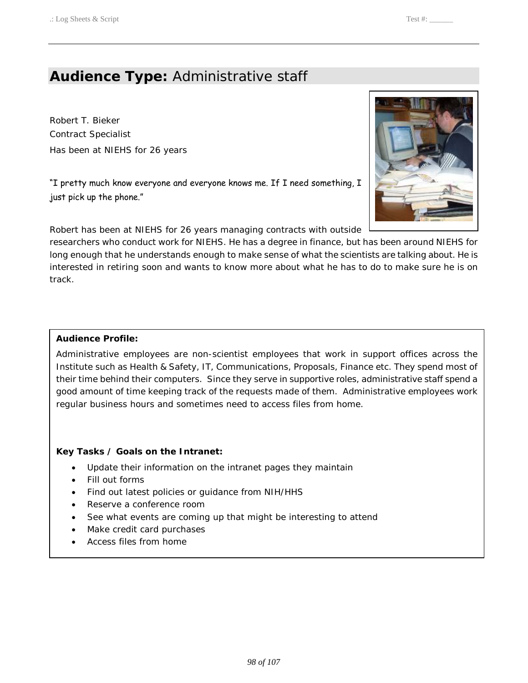# **Audience Type:** Administrative staff

 Robert T. Bieker Has been at NIEHS for 26 years Contract Specialist

"I pretty much know everyone and everyone knows me. If I need something, I just pick up the phone."

Robert has been at NIEHS for 26 years managing contracts with outside

 researchers who conduct work for NIEHS. He has a degree in finance, but has been around NIEHS for long enough that he understands enough to make sense of what the scientists are talking about. He is interested in retiring soon and wants to know more about what he has to do to make sure he is on track.

## **Audience Profile:**

 Administrative employees are non-scientist employees that work in support offices across the Institute such as Health & Safety, IT, Communications, Proposals, Finance etc. They spend most of their time behind their computers. Since they serve in supportive roles, administrative staff spend a good amount of time keeping track of the requests made of them. Administrative employees work regular business hours and sometimes need to access files from home.

## **Key Tasks / Goals on the Intranet:**

- Update their information on the intranet pages they maintain
- Fill out forms
- Find out latest policies or guidance from NIH/HHS
- Reserve a conference room
- See what events are coming up that might be interesting to attend
- Make credit card purchases
- Access files from home

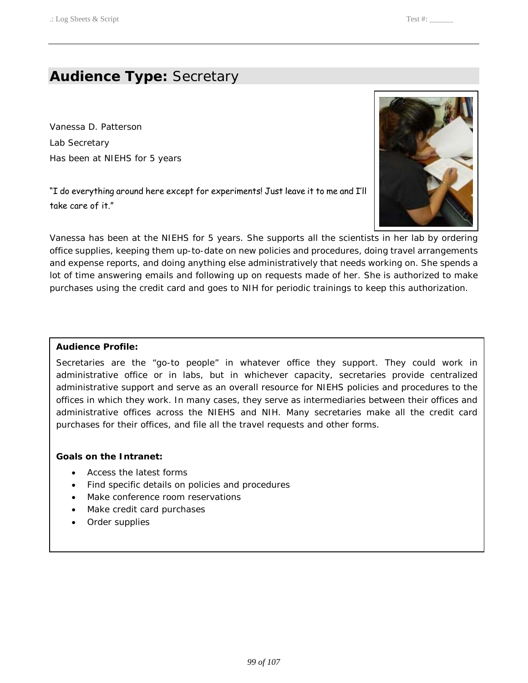# **Audience Type:** Secretary

 Vanessa D. Patterson Has been at NIEHS for 5 years Lab Secretary

"I do everything around here except for experiments! Just leave it to me and I'll take care of it."



 Vanessa has been at the NIEHS for 5 years. She supports all the scientists in her lab by ordering office supplies, keeping them up-to-date on new policies and procedures, doing travel arrangements and expense reports, and doing anything else administratively that needs working on. She spends a lot of time answering emails and following up on requests made of her. She is authorized to make purchases using the credit card and goes to NIH for periodic trainings to keep this authorization.

#### **Audience Profile:**

 Secretaries are the "go-to people" in whatever office they support. They could work in administrative office or in labs, but in whichever capacity, secretaries provide centralized administrative support and serve as an overall resource for NIEHS policies and procedures to the offices in which they work. In many cases, they serve as intermediaries between their offices and administrative offices across the NIEHS and NIH. Many secretaries make all the credit card purchases for their offices, and file all the travel requests and other forms.

#### **Goals on the Intranet:**

- Access the latest forms
- Find specific details on policies and procedures
- Make conference room reservations
- Make credit card purchases
- Order supplies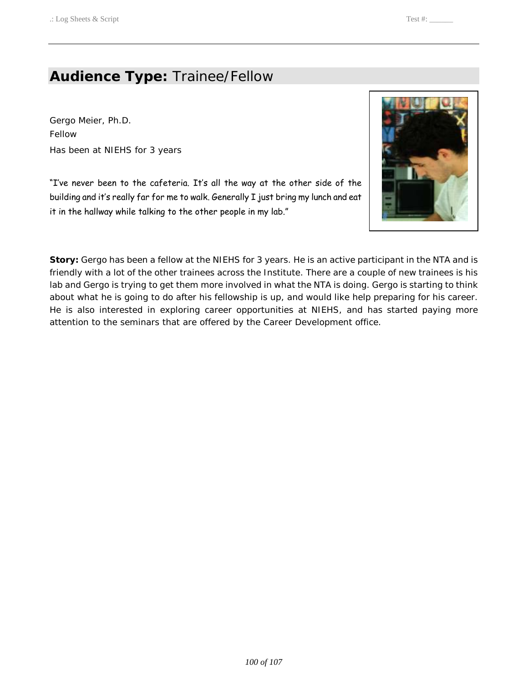# **Audience Type:** Trainee/Fellow

 Has been at NIEHS for 3 years Gergo Meier, Ph.D. Fellow

"I've never been to the cafeteria. It's all the way at the other side of the building and it's really far for me to walk. Generally I just bring my lunch and eat it in the hallway while talking to the other people in my lab."



 **Story:** Gergo has been a fellow at the NIEHS for 3 years. He is an active participant in the NTA and is friendly with a lot of the other trainees across the Institute. There are a couple of new trainees is his lab and Gergo is trying to get them more involved in what the NTA is doing. Gergo is starting to think about what he is going to do after his fellowship is up, and would like help preparing for his career. He is also interested in exploring career opportunities at NIEHS, and has started paying more attention to the seminars that are offered by the Career Development office.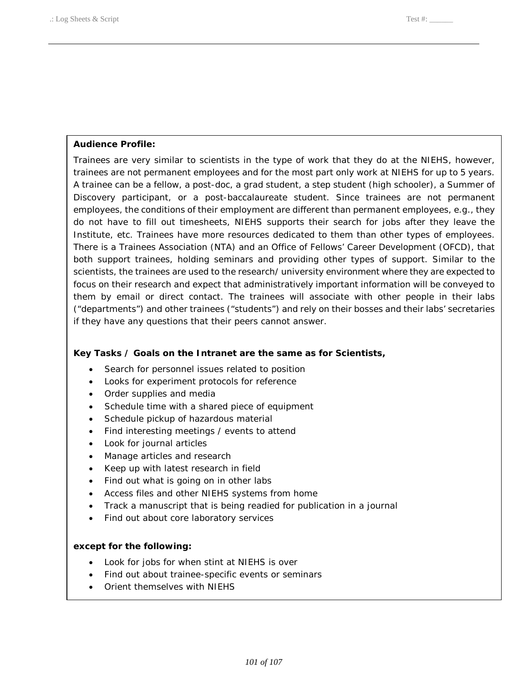## **Audience Profile:**

 Trainees are very similar to scientists in the type of work that they do at the NIEHS, however, trainees are not permanent employees and for the most part only work at NIEHS for up to 5 years. A trainee can be a fellow, a post-doc, a grad student, a step student (high schooler), a Summer of Discovery participant, or a post-baccalaureate student. Since trainees are not permanent employees, the conditions of their employment are different than permanent employees, e.g., they do not have to fill out timesheets, NIEHS supports their search for jobs after they leave the Institute, etc. Trainees have more resources dedicated to them than other types of employees. There is a Trainees Association (NTA) and an Office of Fellows' Career Development (OFCD), that both support trainees, holding seminars and providing other types of support. Similar to the scientists, the trainees are used to the research/ university environment where they are expected to focus on their research and expect that administratively important information will be conveyed to them by email or direct contact. The trainees will associate with other people in their labs ("departments") and other trainees ("students") and rely on their bosses and their labs' secretaries if they have any questions that their peers cannot answer.

## **Key Tasks / Goals on the Intranet are the same as for Scientists,**

- Search for personnel issues related to position
- Looks for experiment protocols for reference
- Order supplies and media
- Schedule time with a shared piece of equipment
- Schedule pickup of hazardous material
- Find interesting meetings / events to attend
- Look for journal articles
- Manage articles and research
- Keep up with latest research in field
- Find out what is going on in other labs
- Access files and other NIEHS systems from home
- Track a manuscript that is being readied for publication in a journal
- Find out about core laboratory services

### **except for the following:**

- Look for jobs for when stint at NIEHS is over
- Find out about trainee-specific events or seminars
- Orient themselves with NIEHS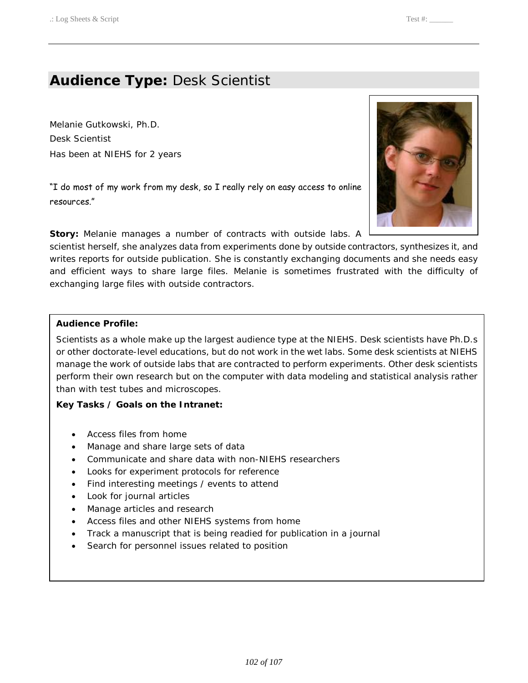# **Audience Type:** Desk Scientist

 Has been at NIEHS for 2 years Melanie Gutkowski, Ph.D. Desk Scientist

 "I do most of my work from my desk, so I really rely on easy access to online resources."

**Story:** Melanie manages a number of contracts with outside labs. A

 scientist herself, she analyzes data from experiments done by outside contractors, synthesizes it, and writes reports for outside publication. She is constantly exchanging documents and she needs easy and efficient ways to share large files. Melanie is sometimes frustrated with the difficulty of exchanging large files with outside contractors.

### **Audience Profile:**

 Scientists as a whole make up the largest audience type at the NIEHS. Desk scientists have Ph.D.s or other doctorate-level educations, but do not work in the wet labs. Some desk scientists at NIEHS manage the work of outside labs that are contracted to perform experiments. Other desk scientists perform their own research but on the computer with data modeling and statistical analysis rather than with test tubes and microscopes.

### **Key Tasks / Goals on the Intranet:**

- Access files from home
- Manage and share large sets of data
- Communicate and share data with non-NIEHS researchers
- Looks for experiment protocols for reference
- Find interesting meetings / events to attend
- Look for journal articles
- Manage articles and research
- Access files and other NIEHS systems from home
- Track a manuscript that is being readied for publication in a journal
- Search for personnel issues related to position

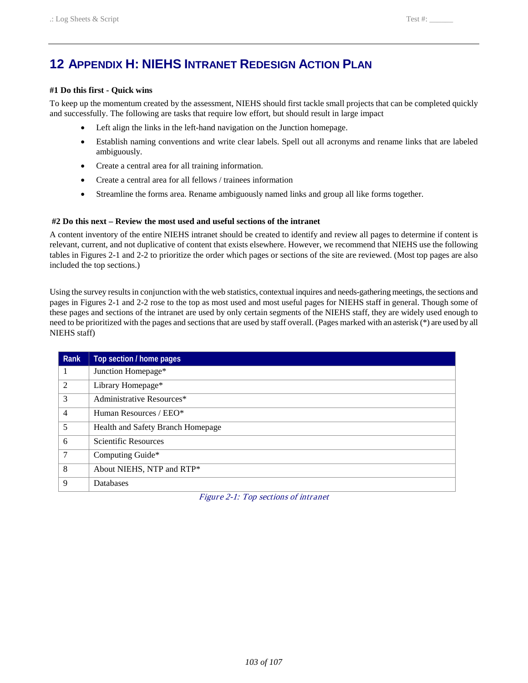# **12 APPENDIX H: NIEHS INTRANET REDESIGN ACTION PLAN**

#### **#1 Do this first - Quick wins**

 To keep up the momentum created by the assessment, NIEHS should first tackle small projects that can be completed quickly and successfully. The following are tasks that require low effort, but should result in large impact

- Left align the links in the left-hand navigation on the Junction homepage.
- • Establish naming conventions and write clear labels. Spell out all acronyms and rename links that are labeled ambiguously.
- • Create a central area for all training information.
- Create a central area for all fellows / trainees information
- • Streamline the forms area. Rename ambiguously named links and group all like forms together.

#### **#2 Do this next – Review the most used and useful sections of the intranet**

 relevant, current, and not duplicative of content that exists elsewhere. However, we recommend that NIEHS use the following tables in Figures 2-1 and 2-2 to prioritize the order which pages or sections of the site are reviewed. (Most top pages are also A content inventory of the entire NIEHS intranet should be created to identify and review all pages to determine if content is included the top sections.)

 Using the survey results in conjunction with the web statistics, contextual inquires and needs-gathering meetings, the sections and these pages and sections of the intranet are used by only certain segments of the NIEHS staff, they are widely used enough to need to be prioritized with the pages and sections that are used by staff overall. (Pages marked with an asterisk (\*) are used by all pages in Figures 2-1 and 2-2 rose to the top as most used and most useful pages for NIEHS staff in general. Though some of NIEHS staff)

| Rank           | Top section / home pages          |
|----------------|-----------------------------------|
|                | Junction Homepage*                |
| 2              | Library Homepage*                 |
| 3              | Administrative Resources*         |
| $\overline{4}$ | Human Resources / EEO*            |
| 5              | Health and Safety Branch Homepage |
| 6              | Scientific Resources              |
| $\overline{7}$ | Computing Guide*                  |
| 8              | About NIEHS, NTP and RTP*         |
| 9              | Databases                         |